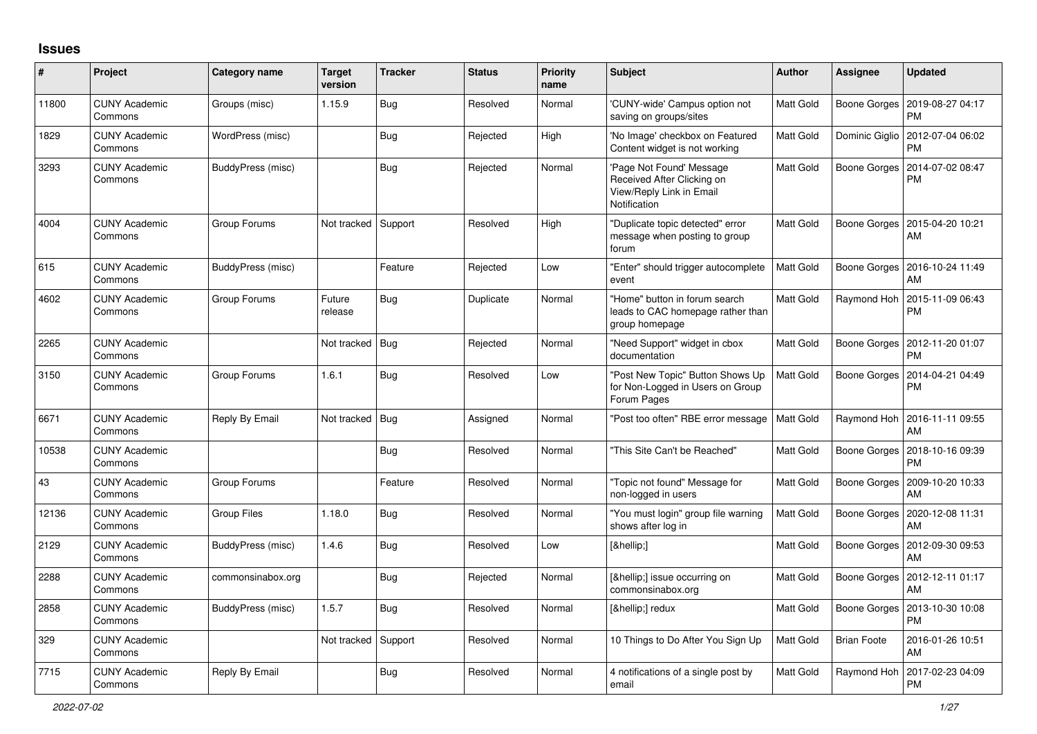## **Issues**

| $\pmb{\#}$ | Project                         | <b>Category name</b> | <b>Target</b><br>version | <b>Tracker</b> | <b>Status</b> | <b>Priority</b><br>name | <b>Subject</b>                                                                                     | Author           | Assignee            | <b>Updated</b>                        |
|------------|---------------------------------|----------------------|--------------------------|----------------|---------------|-------------------------|----------------------------------------------------------------------------------------------------|------------------|---------------------|---------------------------------------|
| 11800      | <b>CUNY Academic</b><br>Commons | Groups (misc)        | 1.15.9                   | Bug            | Resolved      | Normal                  | 'CUNY-wide' Campus option not<br>saving on groups/sites                                            | <b>Matt Gold</b> | Boone Gorges        | 2019-08-27 04:17<br><b>PM</b>         |
| 1829       | <b>CUNY Academic</b><br>Commons | WordPress (misc)     |                          | <b>Bug</b>     | Rejected      | High                    | 'No Image' checkbox on Featured<br>Content widget is not working                                   | Matt Gold        | Dominic Giglio      | 2012-07-04 06:02<br><b>PM</b>         |
| 3293       | <b>CUNY Academic</b><br>Commons | BuddyPress (misc)    |                          | Bug            | Rejected      | Normal                  | 'Page Not Found' Message<br>Received After Clicking on<br>View/Reply Link in Email<br>Notification | Matt Gold        | Boone Gorges        | 2014-07-02 08:47<br><b>PM</b>         |
| 4004       | <b>CUNY Academic</b><br>Commons | Group Forums         | Not tracked              | Support        | Resolved      | High                    | 'Duplicate topic detected" error<br>message when posting to group<br>forum                         | Matt Gold        | Boone Gorges        | 2015-04-20 10:21<br>AM                |
| 615        | <b>CUNY Academic</b><br>Commons | BuddyPress (misc)    |                          | Feature        | Rejected      | Low                     | 'Enter" should trigger autocomplete<br>event                                                       | <b>Matt Gold</b> | <b>Boone Gorges</b> | 2016-10-24 11:49<br>AM                |
| 4602       | <b>CUNY Academic</b><br>Commons | Group Forums         | Future<br>release        | Bug            | Duplicate     | Normal                  | 'Home" button in forum search<br>leads to CAC homepage rather than<br>group homepage               | Matt Gold        | Raymond Hoh         | 2015-11-09 06:43<br><b>PM</b>         |
| 2265       | <b>CUNY Academic</b><br>Commons |                      | Not tracked              | Bug            | Rejected      | Normal                  | "Need Support" widget in cbox<br>documentation                                                     | Matt Gold        | Boone Gorges        | 2012-11-20 01:07<br><b>PM</b>         |
| 3150       | <b>CUNY Academic</b><br>Commons | Group Forums         | 1.6.1                    | Bug            | Resolved      | Low                     | 'Post New Topic" Button Shows Up<br>for Non-Logged in Users on Group<br>Forum Pages                | Matt Gold        | Boone Gorges        | 2014-04-21 04:49<br><b>PM</b>         |
| 6671       | <b>CUNY Academic</b><br>Commons | Reply By Email       | Not tracked              | Bug            | Assigned      | Normal                  | 'Post too often" RBE error message                                                                 | Matt Gold        | Raymond Hoh         | 2016-11-11 09:55<br>AM                |
| 10538      | <b>CUNY Academic</b><br>Commons |                      |                          | Bug            | Resolved      | Normal                  | This Site Can't be Reached"                                                                        | Matt Gold        | Boone Gorges        | 2018-10-16 09:39<br><b>PM</b>         |
| 43         | <b>CUNY Academic</b><br>Commons | Group Forums         |                          | Feature        | Resolved      | Normal                  | "Topic not found" Message for<br>non-logged in users                                               | Matt Gold        | Boone Gorges        | 2009-10-20 10:33<br>AM                |
| 12136      | <b>CUNY Academic</b><br>Commons | <b>Group Files</b>   | 1.18.0                   | Bug            | Resolved      | Normal                  | 'You must login" group file warning<br>shows after log in                                          | Matt Gold        | Boone Gorges        | 2020-12-08 11:31<br>AM                |
| 2129       | <b>CUNY Academic</b><br>Commons | BuddyPress (misc)    | 1.4.6                    | Bug            | Resolved      | Low                     | […]                                                                                                | Matt Gold        | <b>Boone Gorges</b> | 2012-09-30 09:53<br>AM                |
| 2288       | <b>CUNY Academic</b><br>Commons | commonsinabox.org    |                          | Bug            | Rejected      | Normal                  | […] issue occurring on<br>commonsinabox.org                                                        | Matt Gold        |                     | Boone Gorges   2012-12-11 01:17<br>AM |
| 2858       | <b>CUNY Academic</b><br>Commons | BuddyPress (misc)    | 1.5.7                    | Bug            | Resolved      | Normal                  | […] redux                                                                                          | Matt Gold        | Boone Gorges        | 2013-10-30 10:08<br><b>PM</b>         |
| 329        | <b>CUNY Academic</b><br>Commons |                      | Not tracked              | Support        | Resolved      | Normal                  | 10 Things to Do After You Sign Up                                                                  | Matt Gold        | <b>Brian Foote</b>  | 2016-01-26 10:51<br>AM                |
| 7715       | <b>CUNY Academic</b><br>Commons | Reply By Email       |                          | Bug            | Resolved      | Normal                  | 4 notifications of a single post by<br>email                                                       | <b>Matt Gold</b> | Raymond Hoh         | 2017-02-23 04:09<br><b>PM</b>         |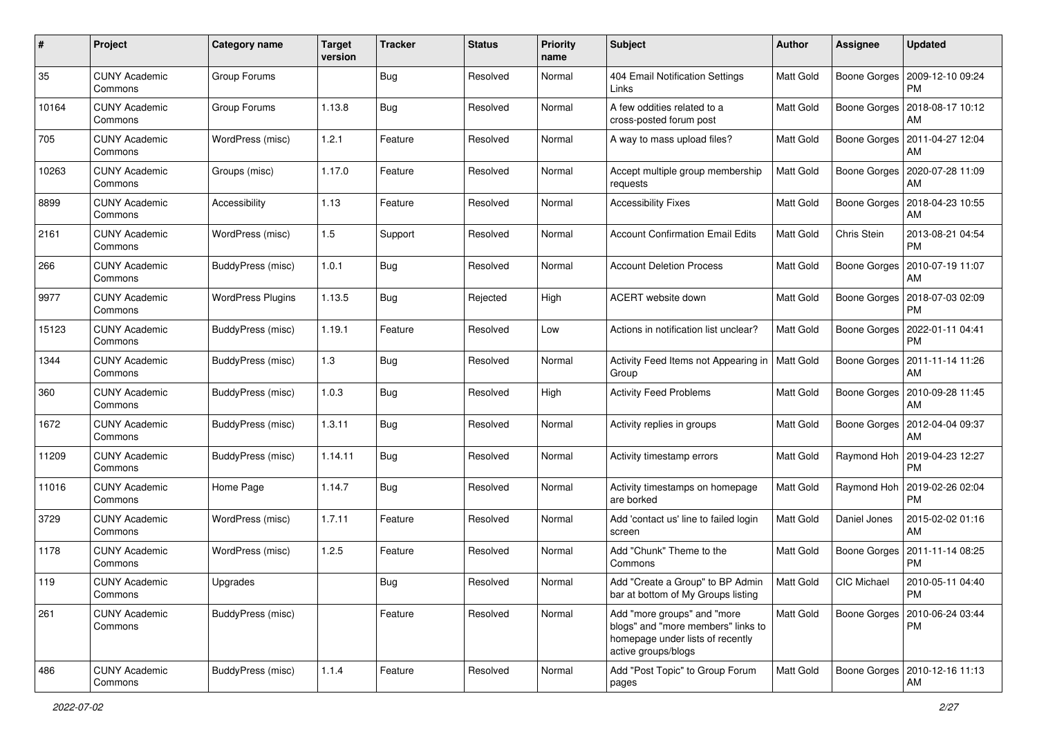| #     | Project                         | <b>Category name</b>     | <b>Target</b><br>version | <b>Tracker</b> | <b>Status</b> | <b>Priority</b><br>name | Subject                                                                                                                      | Author           | <b>Assignee</b>    | <b>Updated</b>                              |
|-------|---------------------------------|--------------------------|--------------------------|----------------|---------------|-------------------------|------------------------------------------------------------------------------------------------------------------------------|------------------|--------------------|---------------------------------------------|
| 35    | <b>CUNY Academic</b><br>Commons | Group Forums             |                          | <b>Bug</b>     | Resolved      | Normal                  | 404 Email Notification Settings<br>Links                                                                                     | Matt Gold        | Boone Gorges       | 2009-12-10 09:24<br>PM                      |
| 10164 | <b>CUNY Academic</b><br>Commons | Group Forums             | 1.13.8                   | Bug            | Resolved      | Normal                  | A few oddities related to a<br>cross-posted forum post                                                                       | Matt Gold        | Boone Gorges       | 2018-08-17 10:12<br>AM                      |
| 705   | <b>CUNY Academic</b><br>Commons | WordPress (misc)         | 1.2.1                    | Feature        | Resolved      | Normal                  | A way to mass upload files?                                                                                                  | <b>Matt Gold</b> | Boone Gorges       | 2011-04-27 12:04<br>AM                      |
| 10263 | <b>CUNY Academic</b><br>Commons | Groups (misc)            | 1.17.0                   | Feature        | Resolved      | Normal                  | Accept multiple group membership<br>requests                                                                                 | Matt Gold        | Boone Gorges       | 2020-07-28 11:09<br>AM                      |
| 8899  | <b>CUNY Academic</b><br>Commons | Accessibility            | 1.13                     | Feature        | Resolved      | Normal                  | <b>Accessibility Fixes</b>                                                                                                   | Matt Gold        | Boone Gorges       | 2018-04-23 10:55<br>AM                      |
| 2161  | <b>CUNY Academic</b><br>Commons | WordPress (misc)         | 1.5                      | Support        | Resolved      | Normal                  | <b>Account Confirmation Email Edits</b>                                                                                      | Matt Gold        | Chris Stein        | 2013-08-21 04:54<br><b>PM</b>               |
| 266   | <b>CUNY Academic</b><br>Commons | BuddyPress (misc)        | 1.0.1                    | Bug            | Resolved      | Normal                  | <b>Account Deletion Process</b>                                                                                              | Matt Gold        | Boone Gorges       | 2010-07-19 11:07<br>AM                      |
| 9977  | <b>CUNY Academic</b><br>Commons | <b>WordPress Plugins</b> | 1.13.5                   | <b>Bug</b>     | Rejected      | High                    | ACERT website down                                                                                                           | Matt Gold        | Boone Gorges       | 2018-07-03 02:09<br>PM                      |
| 15123 | <b>CUNY Academic</b><br>Commons | BuddyPress (misc)        | 1.19.1                   | Feature        | Resolved      | Low                     | Actions in notification list unclear?                                                                                        | Matt Gold        | Boone Gorges       | 2022-01-11 04:41<br><b>PM</b>               |
| 1344  | <b>CUNY Academic</b><br>Commons | BuddyPress (misc)        | 1.3                      | Bug            | Resolved      | Normal                  | Activity Feed Items not Appearing in<br>Group                                                                                | Matt Gold        | Boone Gorges       | 2011-11-14 11:26<br>AM                      |
| 360   | <b>CUNY Academic</b><br>Commons | BuddyPress (misc)        | 1.0.3                    | Bug            | Resolved      | High                    | <b>Activity Feed Problems</b>                                                                                                | Matt Gold        | Boone Gorges       | 2010-09-28 11:45<br>AM                      |
| 1672  | <b>CUNY Academic</b><br>Commons | BuddyPress (misc)        | 1.3.11                   | Bug            | Resolved      | Normal                  | Activity replies in groups                                                                                                   | <b>Matt Gold</b> | Boone Gorges       | 2012-04-04 09:37<br>AM                      |
| 11209 | <b>CUNY Academic</b><br>Commons | BuddyPress (misc)        | 1.14.11                  | Bug            | Resolved      | Normal                  | Activity timestamp errors                                                                                                    | Matt Gold        |                    | Raymond Hoh   2019-04-23 12:27<br><b>PM</b> |
| 11016 | <b>CUNY Academic</b><br>Commons | Home Page                | 1.14.7                   | Bug            | Resolved      | Normal                  | Activity timestamps on homepage<br>are borked                                                                                | Matt Gold        | Raymond Hoh        | 2019-02-26 02:04<br>PM                      |
| 3729  | <b>CUNY Academic</b><br>Commons | WordPress (misc)         | 1.7.11                   | Feature        | Resolved      | Normal                  | Add 'contact us' line to failed login<br>screen                                                                              | Matt Gold        | Daniel Jones       | 2015-02-02 01:16<br>AM                      |
| 1178  | <b>CUNY Academic</b><br>Commons | WordPress (misc)         | 1.2.5                    | Feature        | Resolved      | Normal                  | Add "Chunk" Theme to the<br>Commons                                                                                          | Matt Gold        | Boone Gorges       | 2011-11-14 08:25<br><b>PM</b>               |
| 119   | <b>CUNY Academic</b><br>Commons | Upgrades                 |                          | Bug            | Resolved      | Normal                  | Add "Create a Group" to BP Admin<br>bar at bottom of My Groups listing                                                       | <b>Matt Gold</b> | <b>CIC Michael</b> | 2010-05-11 04:40<br>PM                      |
| 261   | <b>CUNY Academic</b><br>Commons | BuddyPress (misc)        |                          | Feature        | Resolved      | Normal                  | Add "more groups" and "more<br>blogs" and "more members" links to<br>homepage under lists of recently<br>active groups/blogs | Matt Gold        | Boone Gorges       | 2010-06-24 03:44<br>PM                      |
| 486   | <b>CUNY Academic</b><br>Commons | BuddyPress (misc)        | 1.1.4                    | Feature        | Resolved      | Normal                  | Add "Post Topic" to Group Forum<br>pages                                                                                     | Matt Gold        |                    | Boone Gorges   2010-12-16 11:13<br>AM       |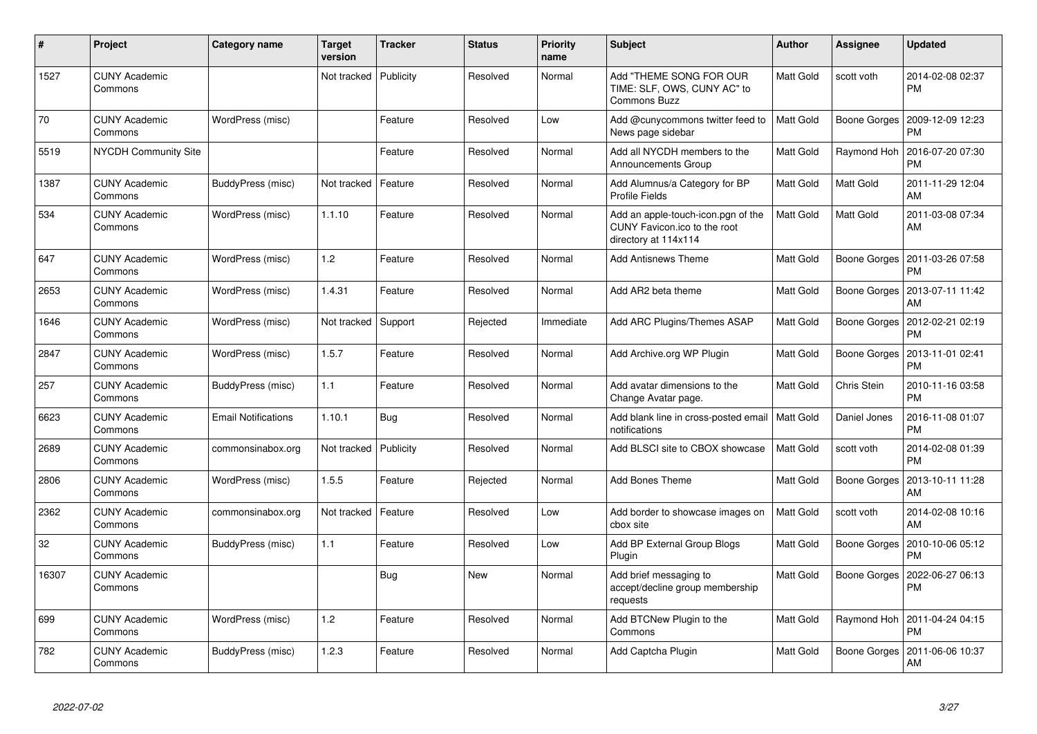| #     | Project                         | <b>Category name</b>       | <b>Target</b><br>version | <b>Tracker</b> | <b>Status</b> | <b>Priority</b><br>name | <b>Subject</b>                                                                             | <b>Author</b> | Assignee     | <b>Updated</b>                |
|-------|---------------------------------|----------------------------|--------------------------|----------------|---------------|-------------------------|--------------------------------------------------------------------------------------------|---------------|--------------|-------------------------------|
| 1527  | <b>CUNY Academic</b><br>Commons |                            | Not tracked              | Publicity      | Resolved      | Normal                  | Add "THEME SONG FOR OUR<br>TIME: SLF, OWS, CUNY AC" to<br><b>Commons Buzz</b>              | Matt Gold     | scott voth   | 2014-02-08 02:37<br><b>PM</b> |
| 70    | <b>CUNY Academic</b><br>Commons | WordPress (misc)           |                          | Feature        | Resolved      | Low                     | Add @cunycommons twitter feed to<br>News page sidebar                                      | Matt Gold     | Boone Gorges | 2009-12-09 12:23<br><b>PM</b> |
| 5519  | <b>NYCDH Community Site</b>     |                            |                          | Feature        | Resolved      | Normal                  | Add all NYCDH members to the<br>Announcements Group                                        | Matt Gold     | Raymond Hoh  | 2016-07-20 07:30<br><b>PM</b> |
| 1387  | <b>CUNY Academic</b><br>Commons | BuddyPress (misc)          | Not tracked              | Feature        | Resolved      | Normal                  | Add Alumnus/a Category for BP<br><b>Profile Fields</b>                                     | Matt Gold     | Matt Gold    | 2011-11-29 12:04<br>AM        |
| 534   | <b>CUNY Academic</b><br>Commons | WordPress (misc)           | 1.1.10                   | Feature        | Resolved      | Normal                  | Add an apple-touch-icon.pgn of the<br>CUNY Favicon.ico to the root<br>directory at 114x114 | Matt Gold     | Matt Gold    | 2011-03-08 07:34<br>AM        |
| 647   | <b>CUNY Academic</b><br>Commons | WordPress (misc)           | 1.2                      | Feature        | Resolved      | Normal                  | <b>Add Antisnews Theme</b>                                                                 | Matt Gold     | Boone Gorges | 2011-03-26 07:58<br><b>PM</b> |
| 2653  | <b>CUNY Academic</b><br>Commons | WordPress (misc)           | 1.4.31                   | Feature        | Resolved      | Normal                  | Add AR2 beta theme                                                                         | Matt Gold     | Boone Gorges | 2013-07-11 11:42<br>AM        |
| 1646  | <b>CUNY Academic</b><br>Commons | WordPress (misc)           | Not tracked              | Support        | Rejected      | Immediate               | Add ARC Plugins/Themes ASAP                                                                | Matt Gold     | Boone Gorges | 2012-02-21 02:19<br><b>PM</b> |
| 2847  | <b>CUNY Academic</b><br>Commons | WordPress (misc)           | 1.5.7                    | Feature        | Resolved      | Normal                  | Add Archive.org WP Plugin                                                                  | Matt Gold     | Boone Gorges | 2013-11-01 02:41<br><b>PM</b> |
| 257   | <b>CUNY Academic</b><br>Commons | BuddyPress (misc)          | 1.1                      | Feature        | Resolved      | Normal                  | Add avatar dimensions to the<br>Change Avatar page.                                        | Matt Gold     | Chris Stein  | 2010-11-16 03:58<br><b>PM</b> |
| 6623  | <b>CUNY Academic</b><br>Commons | <b>Email Notifications</b> | 1.10.1                   | Bug            | Resolved      | Normal                  | Add blank line in cross-posted email   Matt Gold<br>notifications                          |               | Daniel Jones | 2016-11-08 01:07<br><b>PM</b> |
| 2689  | <b>CUNY Academic</b><br>Commons | commonsinabox.org          | Not tracked              | Publicity      | Resolved      | Normal                  | Add BLSCI site to CBOX showcase                                                            | Matt Gold     | scott voth   | 2014-02-08 01:39<br><b>PM</b> |
| 2806  | <b>CUNY Academic</b><br>Commons | WordPress (misc)           | 1.5.5                    | Feature        | Rejected      | Normal                  | Add Bones Theme                                                                            | Matt Gold     | Boone Gorges | 2013-10-11 11:28<br>AM        |
| 2362  | <b>CUNY Academic</b><br>Commons | commonsinabox.org          | Not tracked              | Feature        | Resolved      | Low                     | Add border to showcase images on<br>cbox site                                              | Matt Gold     | scott voth   | 2014-02-08 10:16<br>AM        |
| 32    | <b>CUNY Academic</b><br>Commons | BuddyPress (misc)          | 1.1                      | Feature        | Resolved      | Low                     | Add BP External Group Blogs<br>Plugin                                                      | Matt Gold     | Boone Gorges | 2010-10-06 05:12<br><b>PM</b> |
| 16307 | <b>CUNY Academic</b><br>Commons |                            |                          | Bug            | New           | Normal                  | Add brief messaging to<br>accept/decline group membership<br>requests                      | Matt Gold     | Boone Gorges | 2022-06-27 06:13<br><b>PM</b> |
| 699   | <b>CUNY Academic</b><br>Commons | WordPress (misc)           | 1.2                      | Feature        | Resolved      | Normal                  | Add BTCNew Plugin to the<br>Commons                                                        | Matt Gold     | Raymond Hoh  | 2011-04-24 04:15<br><b>PM</b> |
| 782   | <b>CUNY Academic</b><br>Commons | BuddyPress (misc)          | 1.2.3                    | Feature        | Resolved      | Normal                  | Add Captcha Plugin                                                                         | Matt Gold     | Boone Gorges | 2011-06-06 10:37<br>AM        |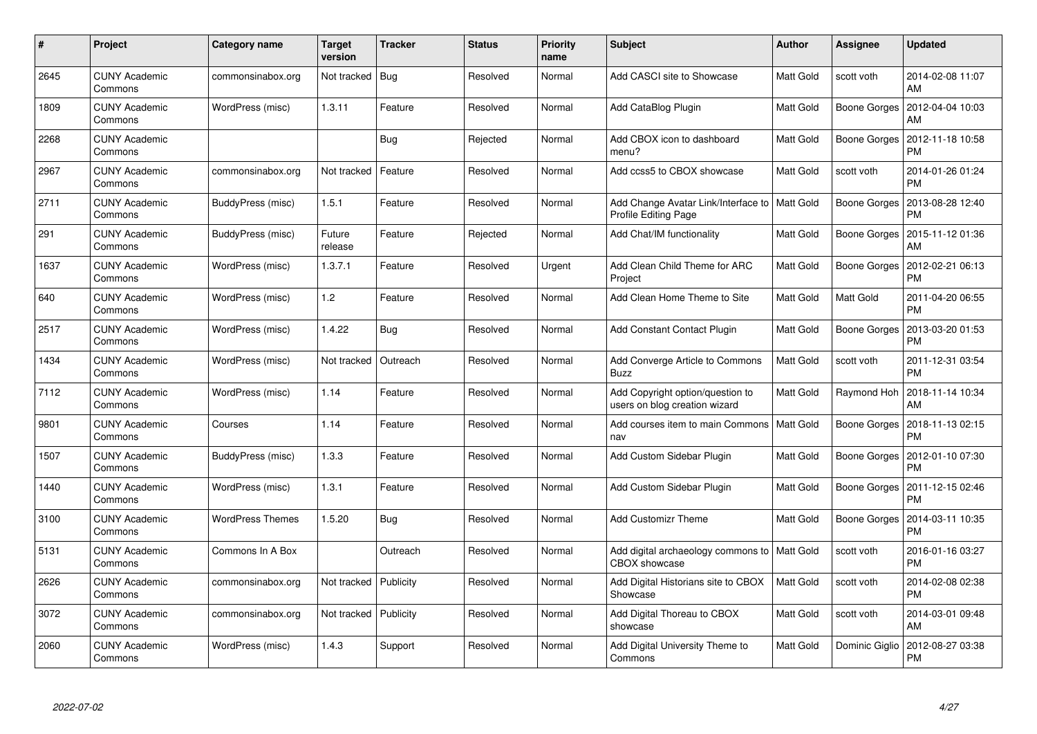| #    | Project                         | Category name           | <b>Target</b><br>version | Tracker   | <b>Status</b> | <b>Priority</b><br>name | <b>Subject</b>                                                          | <b>Author</b> | Assignee       | <b>Updated</b>                |
|------|---------------------------------|-------------------------|--------------------------|-----------|---------------|-------------------------|-------------------------------------------------------------------------|---------------|----------------|-------------------------------|
| 2645 | <b>CUNY Academic</b><br>Commons | commonsinabox.org       | Not tracked              | Bug       | Resolved      | Normal                  | Add CASCI site to Showcase                                              | Matt Gold     | scott voth     | 2014-02-08 11:07<br>AM        |
| 1809 | <b>CUNY Academic</b><br>Commons | WordPress (misc)        | 1.3.11                   | Feature   | Resolved      | Normal                  | Add CataBlog Plugin                                                     | Matt Gold     | Boone Gorges   | 2012-04-04 10:03<br>AM        |
| 2268 | <b>CUNY Academic</b><br>Commons |                         |                          | Bug       | Rejected      | Normal                  | Add CBOX icon to dashboard<br>menu?                                     | Matt Gold     | Boone Gorges   | 2012-11-18 10:58<br>PM        |
| 2967 | <b>CUNY Academic</b><br>Commons | commonsinabox.org       | Not tracked              | Feature   | Resolved      | Normal                  | Add ccss5 to CBOX showcase                                              | Matt Gold     | scott voth     | 2014-01-26 01:24<br>PM        |
| 2711 | <b>CUNY Academic</b><br>Commons | BuddyPress (misc)       | 1.5.1                    | Feature   | Resolved      | Normal                  | Add Change Avatar Link/Interface to   Matt Gold<br>Profile Editing Page |               | Boone Gorges   | 2013-08-28 12:40<br><b>PM</b> |
| 291  | <b>CUNY Academic</b><br>Commons | BuddyPress (misc)       | Future<br>release        | Feature   | Rejected      | Normal                  | Add Chat/IM functionality                                               | Matt Gold     | Boone Gorges   | 2015-11-12 01:36<br>AM        |
| 1637 | <b>CUNY Academic</b><br>Commons | WordPress (misc)        | 1.3.7.1                  | Feature   | Resolved      | Urgent                  | Add Clean Child Theme for ARC<br>Project                                | Matt Gold     | Boone Gorges   | 2012-02-21 06:13<br><b>PM</b> |
| 640  | <b>CUNY Academic</b><br>Commons | WordPress (misc)        | 1.2                      | Feature   | Resolved      | Normal                  | Add Clean Home Theme to Site                                            | Matt Gold     | Matt Gold      | 2011-04-20 06:55<br><b>PM</b> |
| 2517 | <b>CUNY Academic</b><br>Commons | WordPress (misc)        | 1.4.22                   | Bug       | Resolved      | Normal                  | <b>Add Constant Contact Plugin</b>                                      | Matt Gold     | Boone Gorges   | 2013-03-20 01:53<br><b>PM</b> |
| 1434 | <b>CUNY Academic</b><br>Commons | WordPress (misc)        | Not tracked              | Outreach  | Resolved      | Normal                  | Add Converge Article to Commons<br><b>Buzz</b>                          | Matt Gold     | scott voth     | 2011-12-31 03:54<br><b>PM</b> |
| 7112 | <b>CUNY Academic</b><br>Commons | WordPress (misc)        | 1.14                     | Feature   | Resolved      | Normal                  | Add Copyright option/question to<br>users on blog creation wizard       | Matt Gold     | Raymond Hoh    | 2018-11-14 10:34<br>AM        |
| 9801 | <b>CUNY Academic</b><br>Commons | Courses                 | 1.14                     | Feature   | Resolved      | Normal                  | Add courses item to main Commons   Matt Gold<br>nav                     |               | Boone Gorges   | 2018-11-13 02:15<br><b>PM</b> |
| 1507 | <b>CUNY Academic</b><br>Commons | BuddyPress (misc)       | 1.3.3                    | Feature   | Resolved      | Normal                  | Add Custom Sidebar Plugin                                               | Matt Gold     | Boone Gorges   | 2012-01-10 07:30<br><b>PM</b> |
| 1440 | <b>CUNY Academic</b><br>Commons | WordPress (misc)        | 1.3.1                    | Feature   | Resolved      | Normal                  | Add Custom Sidebar Plugin                                               | Matt Gold     | Boone Gorges   | 2011-12-15 02:46<br><b>PM</b> |
| 3100 | <b>CUNY Academic</b><br>Commons | <b>WordPress Themes</b> | 1.5.20                   | Bug       | Resolved      | Normal                  | <b>Add Customizr Theme</b>                                              | Matt Gold     | Boone Gorges   | 2014-03-11 10:35<br><b>PM</b> |
| 5131 | <b>CUNY Academic</b><br>Commons | Commons In A Box        |                          | Outreach  | Resolved      | Normal                  | Add digital archaeology commons to   Matt Gold<br><b>CBOX</b> showcase  |               | scott voth     | 2016-01-16 03:27<br><b>PM</b> |
| 2626 | <b>CUNY Academic</b><br>Commons | commonsinabox.org       | Not tracked              | Publicity | Resolved      | Normal                  | Add Digital Historians site to CBOX<br>Showcase                         | Matt Gold     | scott voth     | 2014-02-08 02:38<br><b>PM</b> |
| 3072 | <b>CUNY Academic</b><br>Commons | commonsinabox.org       | Not tracked              | Publicity | Resolved      | Normal                  | Add Digital Thoreau to CBOX<br>showcase                                 | Matt Gold     | scott voth     | 2014-03-01 09:48<br>AM        |
| 2060 | CUNY Academic<br>Commons        | WordPress (misc)        | 1.4.3                    | Support   | Resolved      | Normal                  | Add Digital University Theme to<br>Commons                              | Matt Gold     | Dominic Giglio | 2012-08-27 03:38<br>PM        |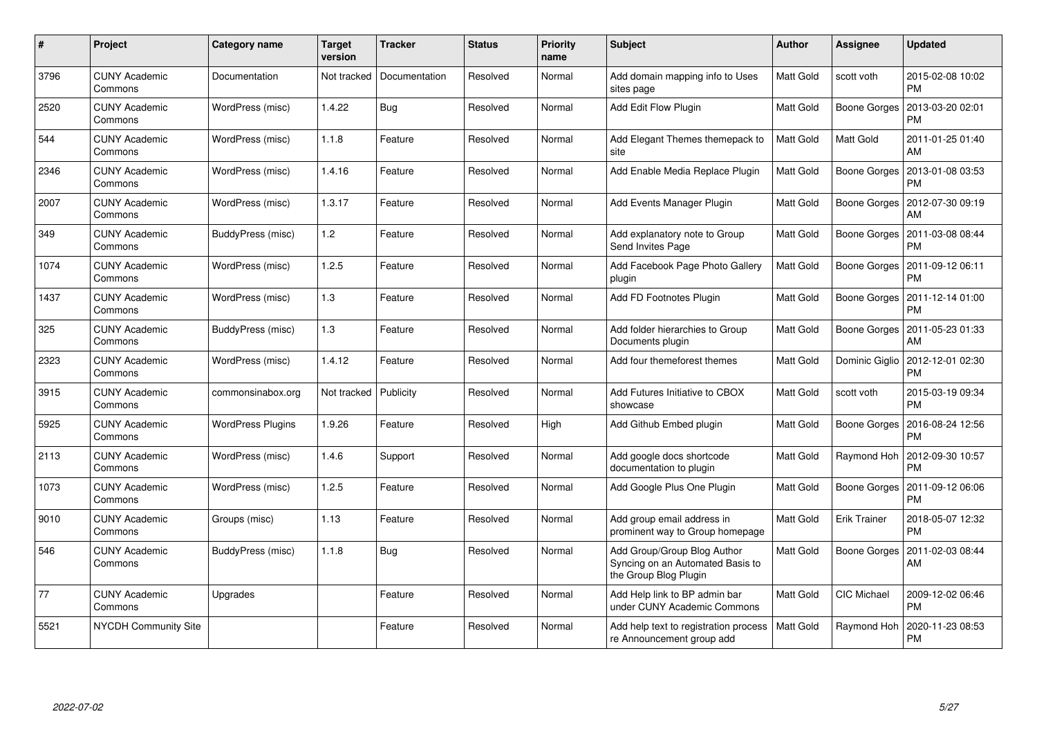| #    | Project                         | Category name            | Target<br>version | <b>Tracker</b> | <b>Status</b> | <b>Priority</b><br>name | <b>Subject</b>                                                                           | <b>Author</b> | Assignee            | <b>Updated</b>                |
|------|---------------------------------|--------------------------|-------------------|----------------|---------------|-------------------------|------------------------------------------------------------------------------------------|---------------|---------------------|-------------------------------|
| 3796 | <b>CUNY Academic</b><br>Commons | Documentation            | Not tracked       | Documentation  | Resolved      | Normal                  | Add domain mapping info to Uses<br>sites page                                            | Matt Gold     | scott voth          | 2015-02-08 10:02<br><b>PM</b> |
| 2520 | <b>CUNY Academic</b><br>Commons | WordPress (misc)         | 1.4.22            | Bug            | Resolved      | Normal                  | Add Edit Flow Plugin                                                                     | Matt Gold     | Boone Gorges        | 2013-03-20 02:01<br><b>PM</b> |
| 544  | <b>CUNY Academic</b><br>Commons | WordPress (misc)         | 1.1.8             | Feature        | Resolved      | Normal                  | Add Elegant Themes themepack to<br>site                                                  | Matt Gold     | Matt Gold           | 2011-01-25 01:40<br>AM        |
| 2346 | <b>CUNY Academic</b><br>Commons | WordPress (misc)         | 1.4.16            | Feature        | Resolved      | Normal                  | Add Enable Media Replace Plugin                                                          | Matt Gold     | Boone Gorges        | 2013-01-08 03:53<br><b>PM</b> |
| 2007 | <b>CUNY Academic</b><br>Commons | WordPress (misc)         | 1.3.17            | Feature        | Resolved      | Normal                  | Add Events Manager Plugin                                                                | Matt Gold     | Boone Gorges        | 2012-07-30 09:19<br>AM        |
| 349  | <b>CUNY Academic</b><br>Commons | BuddyPress (misc)        | 1.2               | Feature        | Resolved      | Normal                  | Add explanatory note to Group<br>Send Invites Page                                       | Matt Gold     | Boone Gorges        | 2011-03-08 08:44<br><b>PM</b> |
| 1074 | <b>CUNY Academic</b><br>Commons | WordPress (misc)         | 1.2.5             | Feature        | Resolved      | Normal                  | Add Facebook Page Photo Gallery<br>plugin                                                | Matt Gold     | Boone Gorges        | 2011-09-12 06:11<br><b>PM</b> |
| 1437 | <b>CUNY Academic</b><br>Commons | WordPress (misc)         | 1.3               | Feature        | Resolved      | Normal                  | Add FD Footnotes Plugin                                                                  | Matt Gold     | Boone Gorges        | 2011-12-14 01:00<br>PM        |
| 325  | <b>CUNY Academic</b><br>Commons | BuddyPress (misc)        | 1.3               | Feature        | Resolved      | Normal                  | Add folder hierarchies to Group<br>Documents plugin                                      | Matt Gold     | Boone Gorges        | 2011-05-23 01:33<br>AM        |
| 2323 | <b>CUNY Academic</b><br>Commons | WordPress (misc)         | 1.4.12            | Feature        | Resolved      | Normal                  | Add four themeforest themes                                                              | Matt Gold     | Dominic Giglio      | 2012-12-01 02:30<br><b>PM</b> |
| 3915 | <b>CUNY Academic</b><br>Commons | commonsinabox.org        | Not tracked       | Publicity      | Resolved      | Normal                  | Add Futures Initiative to CBOX<br>showcase                                               | Matt Gold     | scott voth          | 2015-03-19 09:34<br><b>PM</b> |
| 5925 | <b>CUNY Academic</b><br>Commons | <b>WordPress Plugins</b> | 1.9.26            | Feature        | Resolved      | High                    | Add Github Embed plugin                                                                  | Matt Gold     | Boone Gorges        | 2016-08-24 12:56<br><b>PM</b> |
| 2113 | <b>CUNY Academic</b><br>Commons | WordPress (misc)         | 1.4.6             | Support        | Resolved      | Normal                  | Add google docs shortcode<br>documentation to plugin                                     | Matt Gold     | Raymond Hoh         | 2012-09-30 10:57<br><b>PM</b> |
| 1073 | <b>CUNY Academic</b><br>Commons | WordPress (misc)         | 1.2.5             | Feature        | Resolved      | Normal                  | Add Google Plus One Plugin                                                               | Matt Gold     | Boone Gorges        | 2011-09-12 06:06<br><b>PM</b> |
| 9010 | <b>CUNY Academic</b><br>Commons | Groups (misc)            | 1.13              | Feature        | Resolved      | Normal                  | Add group email address in<br>prominent way to Group homepage                            | Matt Gold     | <b>Erik Trainer</b> | 2018-05-07 12:32<br><b>PM</b> |
| 546  | <b>CUNY Academic</b><br>Commons | BuddyPress (misc)        | 1.1.8             | Bug            | Resolved      | Normal                  | Add Group/Group Blog Author<br>Syncing on an Automated Basis to<br>the Group Blog Plugin | Matt Gold     | Boone Gorges        | 2011-02-03 08:44<br>AM        |
| 77   | <b>CUNY Academic</b><br>Commons | Upgrades                 |                   | Feature        | Resolved      | Normal                  | Add Help link to BP admin bar<br>under CUNY Academic Commons                             | Matt Gold     | <b>CIC Michael</b>  | 2009-12-02 06:46<br><b>PM</b> |
| 5521 | NYCDH Community Site            |                          |                   | Feature        | Resolved      | Normal                  | Add help text to registration process<br>re Announcement group add                       | Matt Gold     | Raymond Hoh         | 2020-11-23 08:53<br>PM        |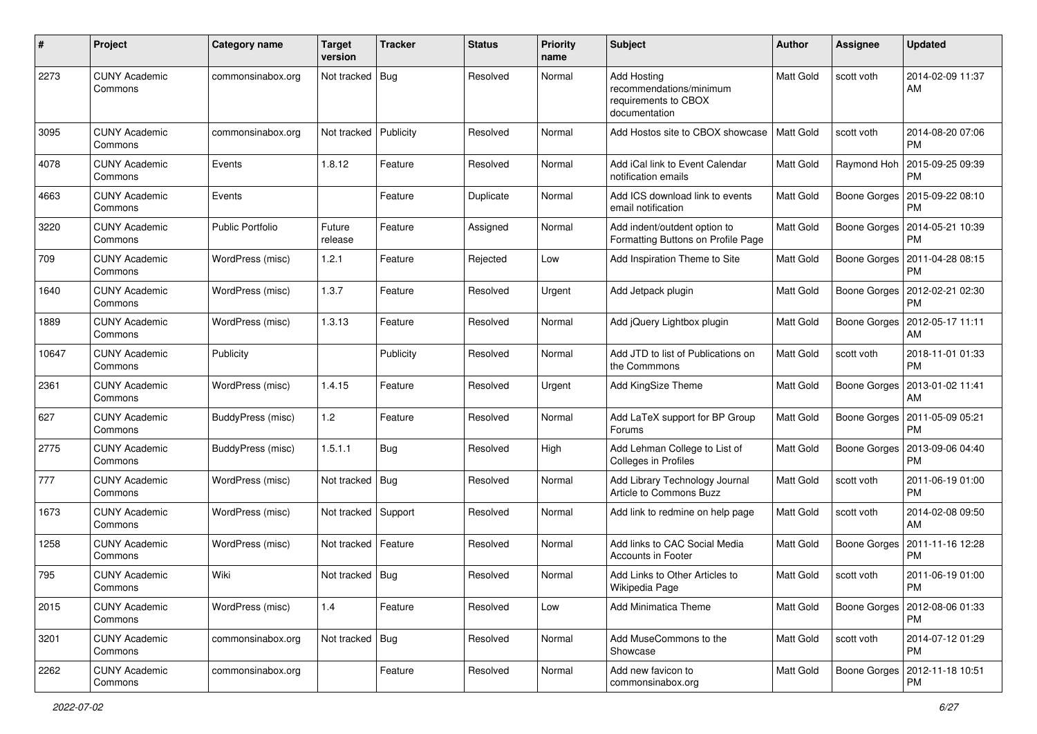| #     | Project                         | Category name           | <b>Target</b><br>version | <b>Tracker</b> | <b>Status</b> | <b>Priority</b><br>name | <b>Subject</b>                                                                         | <b>Author</b>    | <b>Assignee</b> | <b>Updated</b>                               |
|-------|---------------------------------|-------------------------|--------------------------|----------------|---------------|-------------------------|----------------------------------------------------------------------------------------|------------------|-----------------|----------------------------------------------|
| 2273  | <b>CUNY Academic</b><br>Commons | commonsinabox.org       | Not tracked              | Bug            | Resolved      | Normal                  | <b>Add Hosting</b><br>recommendations/minimum<br>requirements to CBOX<br>documentation | <b>Matt Gold</b> | scott voth      | 2014-02-09 11:37<br>AM                       |
| 3095  | <b>CUNY Academic</b><br>Commons | commonsinabox.org       | Not tracked              | Publicity      | Resolved      | Normal                  | Add Hostos site to CBOX showcase                                                       | Matt Gold        | scott voth      | 2014-08-20 07:06<br><b>PM</b>                |
| 4078  | <b>CUNY Academic</b><br>Commons | Events                  | 1.8.12                   | Feature        | Resolved      | Normal                  | Add iCal link to Event Calendar<br>notification emails                                 | Matt Gold        | Raymond Hoh     | 2015-09-25 09:39<br>РM                       |
| 4663  | <b>CUNY Academic</b><br>Commons | Events                  |                          | Feature        | Duplicate     | Normal                  | Add ICS download link to events<br>email notification                                  | Matt Gold        | Boone Gorges    | 2015-09-22 08:10<br><b>PM</b>                |
| 3220  | <b>CUNY Academic</b><br>Commons | <b>Public Portfolio</b> | Future<br>release        | Feature        | Assigned      | Normal                  | Add indent/outdent option to<br>Formatting Buttons on Profile Page                     | Matt Gold        | Boone Gorges    | 2014-05-21 10:39<br>PM                       |
| 709   | <b>CUNY Academic</b><br>Commons | WordPress (misc)        | 1.2.1                    | Feature        | Rejected      | Low                     | Add Inspiration Theme to Site                                                          | <b>Matt Gold</b> | Boone Gorges    | 2011-04-28 08:15<br><b>PM</b>                |
| 1640  | <b>CUNY Academic</b><br>Commons | WordPress (misc)        | 1.3.7                    | Feature        | Resolved      | Urgent                  | Add Jetpack plugin                                                                     | Matt Gold        | Boone Gorges    | 2012-02-21 02:30<br><b>PM</b>                |
| 1889  | <b>CUNY Academic</b><br>Commons | WordPress (misc)        | 1.3.13                   | Feature        | Resolved      | Normal                  | Add jQuery Lightbox plugin                                                             | Matt Gold        | Boone Gorges    | 2012-05-17 11:11<br>AM                       |
| 10647 | <b>CUNY Academic</b><br>Commons | Publicity               |                          | Publicity      | Resolved      | Normal                  | Add JTD to list of Publications on<br>the Commmons                                     | Matt Gold        | scott voth      | 2018-11-01 01:33<br><b>PM</b>                |
| 2361  | <b>CUNY Academic</b><br>Commons | WordPress (misc)        | 1.4.15                   | Feature        | Resolved      | Urgent                  | Add KingSize Theme                                                                     | <b>Matt Gold</b> | Boone Gorges    | 2013-01-02 11:41<br>AM                       |
| 627   | <b>CUNY Academic</b><br>Commons | BuddyPress (misc)       | $1.2$                    | Feature        | Resolved      | Normal                  | Add LaTeX support for BP Group<br>Forums                                               | Matt Gold        | Boone Gorges    | 2011-05-09 05:21<br><b>PM</b>                |
| 2775  | <b>CUNY Academic</b><br>Commons | BuddyPress (misc)       | 1.5.1.1                  | <b>Bug</b>     | Resolved      | High                    | Add Lehman College to List of<br>Colleges in Profiles                                  | <b>Matt Gold</b> | Boone Gorges    | 2013-09-06 04:40<br>PM                       |
| 777   | <b>CUNY Academic</b><br>Commons | WordPress (misc)        | Not tracked   Bug        |                | Resolved      | Normal                  | Add Library Technology Journal<br>Article to Commons Buzz                              | <b>Matt Gold</b> | scott voth      | 2011-06-19 01:00<br><b>PM</b>                |
| 1673  | <b>CUNY Academic</b><br>Commons | WordPress (misc)        | Not tracked Support      |                | Resolved      | Normal                  | Add link to redmine on help page                                                       | Matt Gold        | scott voth      | 2014-02-08 09:50<br>AM                       |
| 1258  | <b>CUNY Academic</b><br>Commons | WordPress (misc)        | Not tracked   Feature    |                | Resolved      | Normal                  | Add links to CAC Social Media<br><b>Accounts in Footer</b>                             | Matt Gold        | Boone Gorges    | 2011-11-16 12:28<br><b>PM</b>                |
| 795   | <b>CUNY Academic</b><br>Commons | Wiki                    | Not tracked   Bug        |                | Resolved      | Normal                  | Add Links to Other Articles to<br>Wikipedia Page                                       | Matt Gold        | scott voth      | 2011-06-19 01:00<br>PM                       |
| 2015  | <b>CUNY Academic</b><br>Commons | WordPress (misc)        | 1.4                      | Feature        | Resolved      | Low                     | <b>Add Minimatica Theme</b>                                                            | Matt Gold        |                 | Boone Gorges   2012-08-06 01:33<br><b>PM</b> |
| 3201  | <b>CUNY Academic</b><br>Commons | commonsinabox.org       | Not tracked   Bug        |                | Resolved      | Normal                  | Add MuseCommons to the<br>Showcase                                                     | <b>Matt Gold</b> | scott voth      | 2014-07-12 01:29<br><b>PM</b>                |
| 2262  | <b>CUNY Academic</b><br>Commons | commonsinabox.org       |                          | Feature        | Resolved      | Normal                  | Add new favicon to<br>commonsinabox.org                                                | Matt Gold        |                 | Boone Gorges   2012-11-18 10:51<br><b>PM</b> |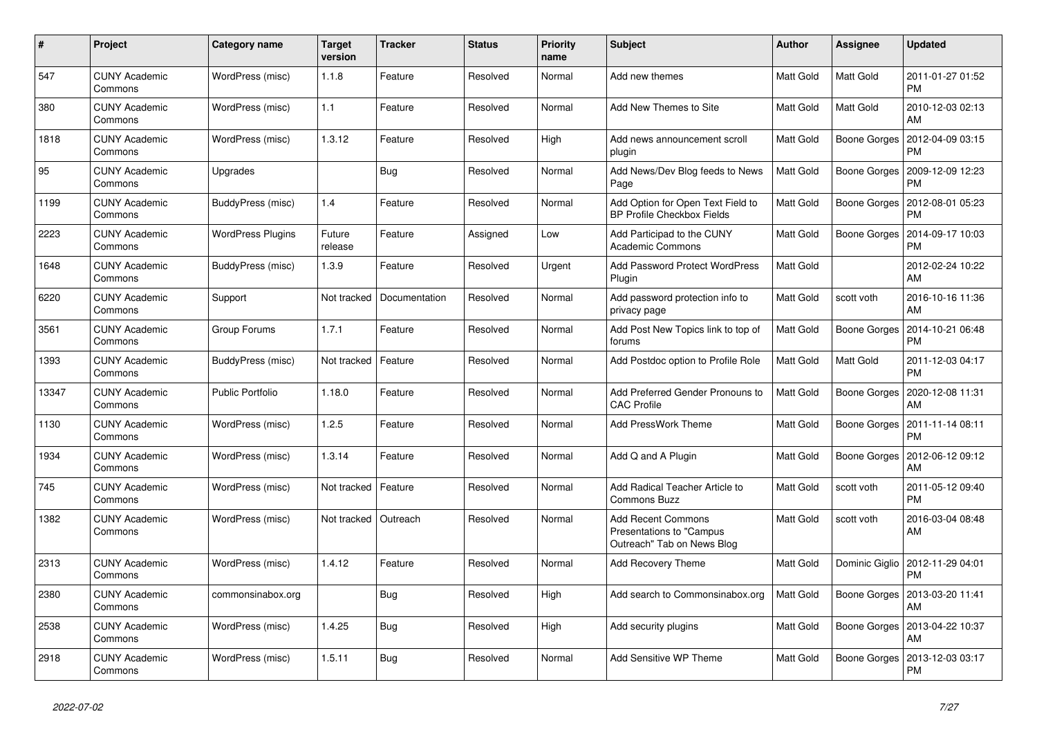| #     | Project                         | Category name            | <b>Target</b><br>version | <b>Tracker</b> | <b>Status</b> | <b>Priority</b><br>name | <b>Subject</b>                                                                      | <b>Author</b>    | Assignee            | <b>Updated</b>                |
|-------|---------------------------------|--------------------------|--------------------------|----------------|---------------|-------------------------|-------------------------------------------------------------------------------------|------------------|---------------------|-------------------------------|
| 547   | <b>CUNY Academic</b><br>Commons | WordPress (misc)         | 1.1.8                    | Feature        | Resolved      | Normal                  | Add new themes                                                                      | Matt Gold        | Matt Gold           | 2011-01-27 01:52<br><b>PM</b> |
| 380   | <b>CUNY Academic</b><br>Commons | WordPress (misc)         | 1.1                      | Feature        | Resolved      | Normal                  | Add New Themes to Site                                                              | Matt Gold        | Matt Gold           | 2010-12-03 02:13<br>AM        |
| 1818  | <b>CUNY Academic</b><br>Commons | WordPress (misc)         | 1.3.12                   | Feature        | Resolved      | High                    | Add news announcement scroll<br>plugin                                              | Matt Gold        | Boone Gorges        | 2012-04-09 03:15<br>PM        |
| 95    | <b>CUNY Academic</b><br>Commons | Upgrades                 |                          | <b>Bug</b>     | Resolved      | Normal                  | Add News/Dev Blog feeds to News<br>Page                                             | <b>Matt Gold</b> | Boone Gorges        | 2009-12-09 12:23<br><b>PM</b> |
| 1199  | <b>CUNY Academic</b><br>Commons | BuddyPress (misc)        | 1.4                      | Feature        | Resolved      | Normal                  | Add Option for Open Text Field to<br><b>BP Profile Checkbox Fields</b>              | Matt Gold        | Boone Gorges        | 2012-08-01 05:23<br>PM        |
| 2223  | <b>CUNY Academic</b><br>Commons | <b>WordPress Plugins</b> | Future<br>release        | Feature        | Assigned      | Low                     | Add Participad to the CUNY<br>Academic Commons                                      | Matt Gold        | Boone Gorges        | 2014-09-17 10:03<br>PM        |
| 1648  | <b>CUNY Academic</b><br>Commons | BuddyPress (misc)        | 1.3.9                    | Feature        | Resolved      | Urgent                  | <b>Add Password Protect WordPress</b><br>Plugin                                     | Matt Gold        |                     | 2012-02-24 10:22<br>AM        |
| 6220  | <b>CUNY Academic</b><br>Commons | Support                  | Not tracked              | Documentation  | Resolved      | Normal                  | Add password protection info to<br>privacy page                                     | Matt Gold        | scott voth          | 2016-10-16 11:36<br>AM        |
| 3561  | <b>CUNY Academic</b><br>Commons | Group Forums             | 1.7.1                    | Feature        | Resolved      | Normal                  | Add Post New Topics link to top of<br>forums                                        | Matt Gold        | <b>Boone Gorges</b> | 2014-10-21 06:48<br><b>PM</b> |
| 1393  | <b>CUNY Academic</b><br>Commons | BuddyPress (misc)        | Not tracked              | Feature        | Resolved      | Normal                  | Add Postdoc option to Profile Role                                                  | Matt Gold        | Matt Gold           | 2011-12-03 04:17<br><b>PM</b> |
| 13347 | <b>CUNY Academic</b><br>Commons | <b>Public Portfolio</b>  | 1.18.0                   | Feature        | Resolved      | Normal                  | Add Preferred Gender Pronouns to<br><b>CAC Profile</b>                              | Matt Gold        | Boone Gorges        | 2020-12-08 11:31<br>AM        |
| 1130  | <b>CUNY Academic</b><br>Commons | WordPress (misc)         | 1.2.5                    | Feature        | Resolved      | Normal                  | <b>Add PressWork Theme</b>                                                          | Matt Gold        | Boone Gorges        | 2011-11-14 08:11<br><b>PM</b> |
| 1934  | <b>CUNY Academic</b><br>Commons | WordPress (misc)         | 1.3.14                   | Feature        | Resolved      | Normal                  | Add Q and A Plugin                                                                  | Matt Gold        | Boone Gorges        | 2012-06-12 09:12<br>AM        |
| 745   | <b>CUNY Academic</b><br>Commons | WordPress (misc)         | Not tracked              | Feature        | Resolved      | Normal                  | Add Radical Teacher Article to<br><b>Commons Buzz</b>                               | Matt Gold        | scott voth          | 2011-05-12 09:40<br><b>PM</b> |
| 1382  | <b>CUNY Academic</b><br>Commons | WordPress (misc)         | Not tracked              | Outreach       | Resolved      | Normal                  | <b>Add Recent Commons</b><br>Presentations to "Campus<br>Outreach" Tab on News Blog | Matt Gold        | scott voth          | 2016-03-04 08:48<br>AM        |
| 2313  | <b>CUNY Academic</b><br>Commons | WordPress (misc)         | 1.4.12                   | Feature        | Resolved      | Normal                  | Add Recovery Theme                                                                  | Matt Gold        | Dominic Giglio      | 2012-11-29 04:01<br><b>PM</b> |
| 2380  | <b>CUNY Academic</b><br>Commons | commonsinabox.org        |                          | <b>Bug</b>     | Resolved      | High                    | Add search to Commonsinabox.org                                                     | Matt Gold        | Boone Gorges        | 2013-03-20 11:41<br>AM        |
| 2538  | <b>CUNY Academic</b><br>Commons | WordPress (misc)         | 1.4.25                   | Bug            | Resolved      | High                    | Add security plugins                                                                | Matt Gold        | Boone Gorges        | 2013-04-22 10:37<br>AM        |
| 2918  | <b>CUNY Academic</b><br>Commons | WordPress (misc)         | 1.5.11                   | Bug            | Resolved      | Normal                  | Add Sensitive WP Theme                                                              | Matt Gold        | Boone Gorges        | 2013-12-03 03:17<br>PM        |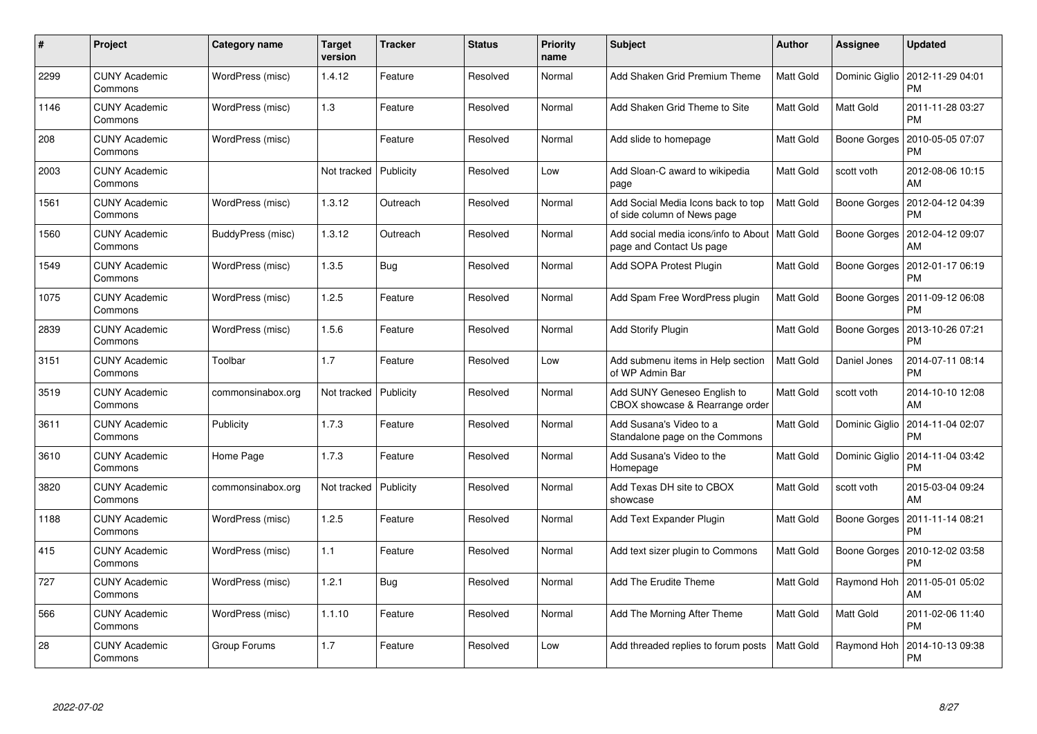| #    | Project                         | Category name     | <b>Target</b><br>version | Tracker   | <b>Status</b> | <b>Priority</b><br>name | <b>Subject</b>                                                               | <b>Author</b>    | Assignee       | <b>Updated</b>                |
|------|---------------------------------|-------------------|--------------------------|-----------|---------------|-------------------------|------------------------------------------------------------------------------|------------------|----------------|-------------------------------|
| 2299 | <b>CUNY Academic</b><br>Commons | WordPress (misc)  | 1.4.12                   | Feature   | Resolved      | Normal                  | Add Shaken Grid Premium Theme                                                | Matt Gold        | Dominic Giglio | 2012-11-29 04:01<br><b>PM</b> |
| 1146 | <b>CUNY Academic</b><br>Commons | WordPress (misc)  | 1.3                      | Feature   | Resolved      | Normal                  | Add Shaken Grid Theme to Site                                                | Matt Gold        | Matt Gold      | 2011-11-28 03:27<br><b>PM</b> |
| 208  | <b>CUNY Academic</b><br>Commons | WordPress (misc)  |                          | Feature   | Resolved      | Normal                  | Add slide to homepage                                                        | Matt Gold        | Boone Gorges   | 2010-05-05 07:07<br>PM        |
| 2003 | <b>CUNY Academic</b><br>Commons |                   | Not tracked              | Publicity | Resolved      | Low                     | Add Sloan-C award to wikipedia<br>page                                       | Matt Gold        | scott voth     | 2012-08-06 10:15<br>AM        |
| 1561 | <b>CUNY Academic</b><br>Commons | WordPress (misc)  | 1.3.12                   | Outreach  | Resolved      | Normal                  | Add Social Media Icons back to top<br>of side column of News page            | Matt Gold        | Boone Gorges   | 2012-04-12 04:39<br><b>PM</b> |
| 1560 | <b>CUNY Academic</b><br>Commons | BuddyPress (misc) | 1.3.12                   | Outreach  | Resolved      | Normal                  | Add social media icons/info to About   Matt Gold<br>page and Contact Us page |                  | Boone Gorges   | 2012-04-12 09:07<br>AM        |
| 1549 | <b>CUNY Academic</b><br>Commons | WordPress (misc)  | 1.3.5                    | Bug       | Resolved      | Normal                  | Add SOPA Protest Plugin                                                      | Matt Gold        | Boone Gorges   | 2012-01-17 06:19<br><b>PM</b> |
| 1075 | <b>CUNY Academic</b><br>Commons | WordPress (misc)  | 1.2.5                    | Feature   | Resolved      | Normal                  | Add Spam Free WordPress plugin                                               | Matt Gold        | Boone Gorges   | 2011-09-12 06:08<br><b>PM</b> |
| 2839 | <b>CUNY Academic</b><br>Commons | WordPress (misc)  | 1.5.6                    | Feature   | Resolved      | Normal                  | <b>Add Storify Plugin</b>                                                    | Matt Gold        | Boone Gorges   | 2013-10-26 07:21<br><b>PM</b> |
| 3151 | <b>CUNY Academic</b><br>Commons | Toolbar           | 1.7                      | Feature   | Resolved      | Low                     | Add submenu items in Help section<br>of WP Admin Bar                         | Matt Gold        | Daniel Jones   | 2014-07-11 08:14<br><b>PM</b> |
| 3519 | <b>CUNY Academic</b><br>Commons | commonsinabox.org | Not tracked              | Publicity | Resolved      | Normal                  | Add SUNY Geneseo English to<br>CBOX showcase & Rearrange order               | Matt Gold        | scott voth     | 2014-10-10 12:08<br>AM        |
| 3611 | <b>CUNY Academic</b><br>Commons | Publicity         | 1.7.3                    | Feature   | Resolved      | Normal                  | Add Susana's Video to a<br>Standalone page on the Commons                    | <b>Matt Gold</b> | Dominic Giglio | 2014-11-04 02:07<br><b>PM</b> |
| 3610 | <b>CUNY Academic</b><br>Commons | Home Page         | 1.7.3                    | Feature   | Resolved      | Normal                  | Add Susana's Video to the<br>Homepage                                        | Matt Gold        | Dominic Giglio | 2014-11-04 03:42<br><b>PM</b> |
| 3820 | <b>CUNY Academic</b><br>Commons | commonsinabox.org | Not tracked              | Publicity | Resolved      | Normal                  | Add Texas DH site to CBOX<br>showcase                                        | <b>Matt Gold</b> | scott voth     | 2015-03-04 09:24<br>AM        |
| 1188 | <b>CUNY Academic</b><br>Commons | WordPress (misc)  | 1.2.5                    | Feature   | Resolved      | Normal                  | Add Text Expander Plugin                                                     | Matt Gold        | Boone Gorges   | 2011-11-14 08:21<br><b>PM</b> |
| 415  | <b>CUNY Academic</b><br>Commons | WordPress (misc)  | 1.1                      | Feature   | Resolved      | Normal                  | Add text sizer plugin to Commons                                             | Matt Gold        | Boone Gorges   | 2010-12-02 03:58<br><b>PM</b> |
| 727  | <b>CUNY Academic</b><br>Commons | WordPress (misc)  | 1.2.1                    | Bug       | Resolved      | Normal                  | Add The Erudite Theme                                                        | Matt Gold        | Raymond Hoh    | 2011-05-01 05:02<br>AM        |
| 566  | <b>CUNY Academic</b><br>Commons | WordPress (misc)  | 1.1.10                   | Feature   | Resolved      | Normal                  | Add The Morning After Theme                                                  | Matt Gold        | Matt Gold      | 2011-02-06 11:40<br><b>PM</b> |
| 28   | CUNY Academic<br>Commons        | Group Forums      | 1.7                      | Feature   | Resolved      | Low                     | Add threaded replies to forum posts                                          | Matt Gold        | Raymond Hoh    | 2014-10-13 09:38<br><b>PM</b> |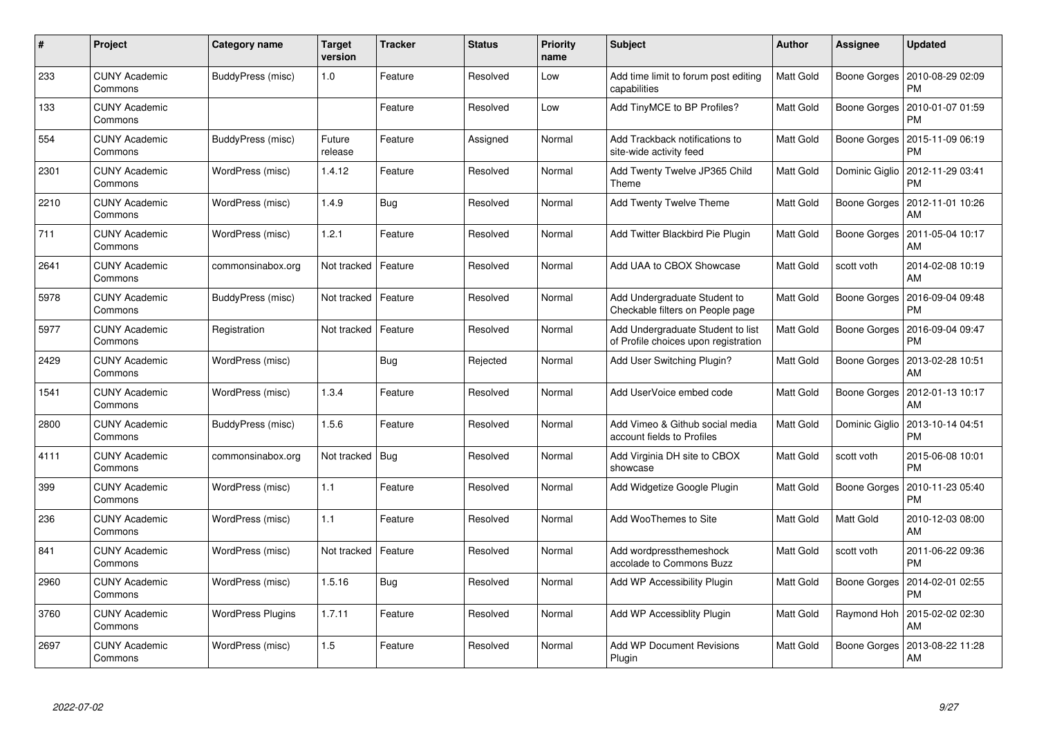| #    | Project                         | <b>Category name</b>     | <b>Target</b><br>version | <b>Tracker</b> | <b>Status</b> | <b>Priority</b><br>name | <b>Subject</b>                                                            | <b>Author</b>    | Assignee       | <b>Updated</b>                |
|------|---------------------------------|--------------------------|--------------------------|----------------|---------------|-------------------------|---------------------------------------------------------------------------|------------------|----------------|-------------------------------|
| 233  | <b>CUNY Academic</b><br>Commons | BuddyPress (misc)        | 1.0                      | Feature        | Resolved      | Low                     | Add time limit to forum post editing<br>capabilities                      | Matt Gold        | Boone Gorges   | 2010-08-29 02:09<br><b>PM</b> |
| 133  | <b>CUNY Academic</b><br>Commons |                          |                          | Feature        | Resolved      | Low                     | Add TinyMCE to BP Profiles?                                               | Matt Gold        | Boone Gorges   | 2010-01-07 01:59<br>PM        |
| 554  | <b>CUNY Academic</b><br>Commons | BuddyPress (misc)        | Future<br>release        | Feature        | Assigned      | Normal                  | Add Trackback notifications to<br>site-wide activity feed                 | Matt Gold        | Boone Gorges   | 2015-11-09 06:19<br>PM        |
| 2301 | <b>CUNY Academic</b><br>Commons | WordPress (misc)         | 1.4.12                   | Feature        | Resolved      | Normal                  | Add Twenty Twelve JP365 Child<br>Theme                                    | Matt Gold        | Dominic Giglio | 2012-11-29 03:41<br>PM        |
| 2210 | <b>CUNY Academic</b><br>Commons | WordPress (misc)         | 1.4.9                    | Bug            | Resolved      | Normal                  | Add Twenty Twelve Theme                                                   | Matt Gold        | Boone Gorges   | 2012-11-01 10:26<br>AM        |
| 711  | <b>CUNY Academic</b><br>Commons | WordPress (misc)         | 1.2.1                    | Feature        | Resolved      | Normal                  | Add Twitter Blackbird Pie Plugin                                          | Matt Gold        | Boone Gorges   | 2011-05-04 10:17<br>AM        |
| 2641 | <b>CUNY Academic</b><br>Commons | commonsinabox.org        | Not tracked              | Feature        | Resolved      | Normal                  | Add UAA to CBOX Showcase                                                  | Matt Gold        | scott voth     | 2014-02-08 10:19<br>AM        |
| 5978 | <b>CUNY Academic</b><br>Commons | BuddyPress (misc)        | Not tracked              | Feature        | Resolved      | Normal                  | Add Undergraduate Student to<br>Checkable filters on People page          | Matt Gold        | Boone Gorges   | 2016-09-04 09:48<br>PM        |
| 5977 | <b>CUNY Academic</b><br>Commons | Registration             | Not tracked              | Feature        | Resolved      | Normal                  | Add Undergraduate Student to list<br>of Profile choices upon registration | Matt Gold        | Boone Gorges   | 2016-09-04 09:47<br>PM        |
| 2429 | <b>CUNY Academic</b><br>Commons | WordPress (misc)         |                          | Bug            | Rejected      | Normal                  | Add User Switching Plugin?                                                | Matt Gold        | Boone Gorges   | 2013-02-28 10:51<br>AM        |
| 1541 | <b>CUNY Academic</b><br>Commons | WordPress (misc)         | 1.3.4                    | Feature        | Resolved      | Normal                  | Add UserVoice embed code                                                  | Matt Gold        | Boone Gorges   | 2012-01-13 10:17<br>AM        |
| 2800 | <b>CUNY Academic</b><br>Commons | BuddyPress (misc)        | 1.5.6                    | Feature        | Resolved      | Normal                  | Add Vimeo & Github social media<br>account fields to Profiles             | <b>Matt Gold</b> | Dominic Giglio | 2013-10-14 04:51<br><b>PM</b> |
| 4111 | <b>CUNY Academic</b><br>Commons | commonsinabox.org        | Not tracked              | Bug            | Resolved      | Normal                  | Add Virginia DH site to CBOX<br>showcase                                  | Matt Gold        | scott voth     | 2015-06-08 10:01<br>PM        |
| 399  | <b>CUNY Academic</b><br>Commons | WordPress (misc)         | 1.1                      | Feature        | Resolved      | Normal                  | Add Widgetize Google Plugin                                               | Matt Gold        | Boone Gorges   | 2010-11-23 05:40<br>PM        |
| 236  | <b>CUNY Academic</b><br>Commons | WordPress (misc)         | 1.1                      | Feature        | Resolved      | Normal                  | Add WooThemes to Site                                                     | Matt Gold        | Matt Gold      | 2010-12-03 08:00<br>AM        |
| 841  | <b>CUNY Academic</b><br>Commons | WordPress (misc)         | Not tracked              | Feature        | Resolved      | Normal                  | Add wordpressthemeshock<br>accolade to Commons Buzz                       | Matt Gold        | scott voth     | 2011-06-22 09:36<br>PM        |
| 2960 | <b>CUNY Academic</b><br>Commons | WordPress (misc)         | 1.5.16                   | Bug            | Resolved      | Normal                  | Add WP Accessibility Plugin                                               | Matt Gold        | Boone Gorges   | 2014-02-01 02:55<br>PM        |
| 3760 | <b>CUNY Academic</b><br>Commons | <b>WordPress Plugins</b> | 1.7.11                   | Feature        | Resolved      | Normal                  | Add WP Accessiblity Plugin                                                | Matt Gold        | Raymond Hoh    | 2015-02-02 02:30<br>AM        |
| 2697 | CUNY Academic<br>Commons        | WordPress (misc)         | 1.5                      | Feature        | Resolved      | Normal                  | <b>Add WP Document Revisions</b><br>Plugin                                | Matt Gold        | Boone Gorges   | 2013-08-22 11:28<br>AM        |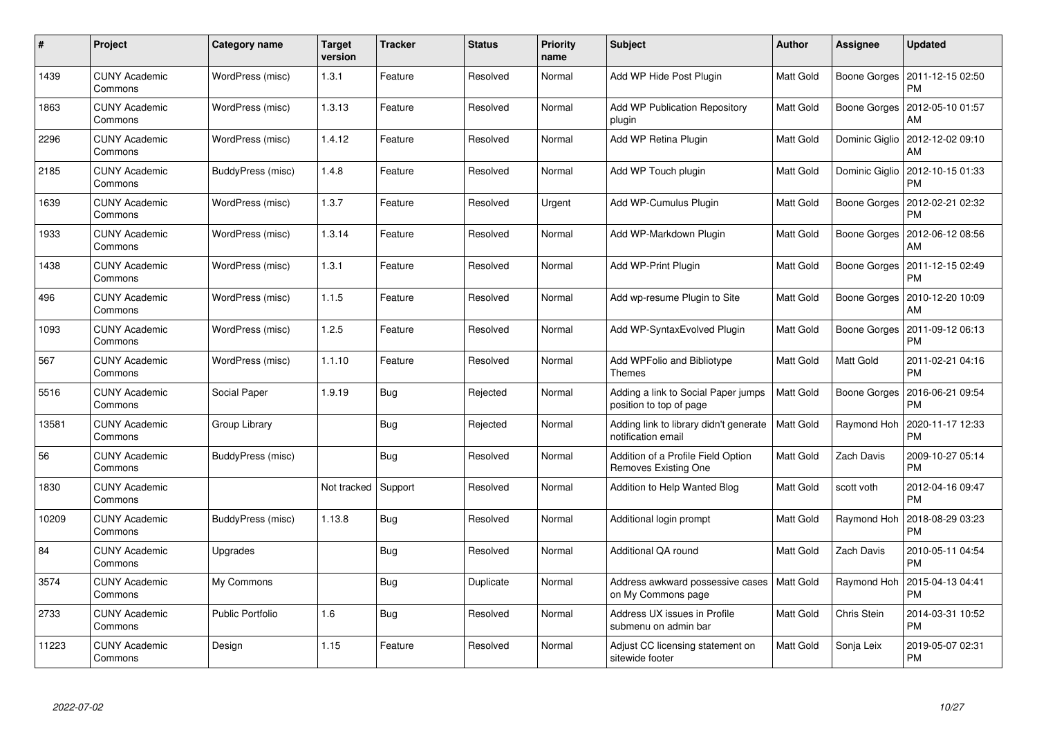| $\#$  | Project                         | <b>Category name</b>    | <b>Target</b><br>version | <b>Tracker</b> | <b>Status</b> | <b>Priority</b><br>name | <b>Subject</b>                                                     | <b>Author</b> | Assignee       | <b>Updated</b>                |
|-------|---------------------------------|-------------------------|--------------------------|----------------|---------------|-------------------------|--------------------------------------------------------------------|---------------|----------------|-------------------------------|
| 1439  | <b>CUNY Academic</b><br>Commons | WordPress (misc)        | 1.3.1                    | Feature        | Resolved      | Normal                  | Add WP Hide Post Plugin                                            | Matt Gold     | Boone Gorges   | 2011-12-15 02:50<br><b>PM</b> |
| 1863  | <b>CUNY Academic</b><br>Commons | WordPress (misc)        | 1.3.13                   | Feature        | Resolved      | Normal                  | <b>Add WP Publication Repository</b><br>plugin                     | Matt Gold     | Boone Gorges   | 2012-05-10 01:57<br>AM        |
| 2296  | <b>CUNY Academic</b><br>Commons | WordPress (misc)        | 1.4.12                   | Feature        | Resolved      | Normal                  | Add WP Retina Plugin                                               | Matt Gold     | Dominic Giglio | 2012-12-02 09:10<br>AM        |
| 2185  | <b>CUNY Academic</b><br>Commons | BuddyPress (misc)       | 1.4.8                    | Feature        | Resolved      | Normal                  | Add WP Touch plugin                                                | Matt Gold     | Dominic Giglio | 2012-10-15 01:33<br>PM        |
| 1639  | <b>CUNY Academic</b><br>Commons | WordPress (misc)        | 1.3.7                    | Feature        | Resolved      | Urgent                  | Add WP-Cumulus Plugin                                              | Matt Gold     | Boone Gorges   | 2012-02-21 02:32<br>PM        |
| 1933  | <b>CUNY Academic</b><br>Commons | WordPress (misc)        | 1.3.14                   | Feature        | Resolved      | Normal                  | Add WP-Markdown Plugin                                             | Matt Gold     | Boone Gorges   | 2012-06-12 08:56<br>AM        |
| 1438  | <b>CUNY Academic</b><br>Commons | WordPress (misc)        | 1.3.1                    | Feature        | Resolved      | Normal                  | Add WP-Print Plugin                                                | Matt Gold     | Boone Gorges   | 2011-12-15 02:49<br><b>PM</b> |
| 496   | <b>CUNY Academic</b><br>Commons | WordPress (misc)        | 1.1.5                    | Feature        | Resolved      | Normal                  | Add wp-resume Plugin to Site                                       | Matt Gold     | Boone Gorges   | 2010-12-20 10:09<br>AM        |
| 1093  | <b>CUNY Academic</b><br>Commons | WordPress (misc)        | 1.2.5                    | Feature        | Resolved      | Normal                  | Add WP-SyntaxEvolved Plugin                                        | Matt Gold     | Boone Gorges   | 2011-09-12 06:13<br><b>PM</b> |
| 567   | <b>CUNY Academic</b><br>Commons | WordPress (misc)        | 1.1.10                   | Feature        | Resolved      | Normal                  | Add WPFolio and Bibliotype<br><b>Themes</b>                        | Matt Gold     | Matt Gold      | 2011-02-21 04:16<br><b>PM</b> |
| 5516  | <b>CUNY Academic</b><br>Commons | Social Paper            | 1.9.19                   | Bug            | Rejected      | Normal                  | Adding a link to Social Paper jumps<br>position to top of page     | Matt Gold     | Boone Gorges   | 2016-06-21 09:54<br><b>PM</b> |
| 13581 | <b>CUNY Academic</b><br>Commons | Group Library           |                          | Bug            | Rejected      | Normal                  | Adding link to library didn't generate<br>notification email       | Matt Gold     | Raymond Hoh    | 2020-11-17 12:33<br><b>PM</b> |
| 56    | <b>CUNY Academic</b><br>Commons | BuddyPress (misc)       |                          | Bug            | Resolved      | Normal                  | Addition of a Profile Field Option<br>Removes Existing One         | Matt Gold     | Zach Davis     | 2009-10-27 05:14<br><b>PM</b> |
| 1830  | <b>CUNY Academic</b><br>Commons |                         | Not tracked              | Support        | Resolved      | Normal                  | Addition to Help Wanted Blog                                       | Matt Gold     | scott voth     | 2012-04-16 09:47<br><b>PM</b> |
| 10209 | <b>CUNY Academic</b><br>Commons | BuddyPress (misc)       | 1.13.8                   | Bug            | Resolved      | Normal                  | Additional login prompt                                            | Matt Gold     | Raymond Hoh    | 2018-08-29 03:23<br><b>PM</b> |
| 84    | <b>CUNY Academic</b><br>Commons | Upgrades                |                          | <b>Bug</b>     | Resolved      | Normal                  | Additional QA round                                                | Matt Gold     | Zach Davis     | 2010-05-11 04:54<br><b>PM</b> |
| 3574  | <b>CUNY Academic</b><br>Commons | My Commons              |                          | <b>Bug</b>     | Duplicate     | Normal                  | Address awkward possessive cases   Matt Gold<br>on My Commons page |               | Raymond Hoh    | 2015-04-13 04:41<br><b>PM</b> |
| 2733  | <b>CUNY Academic</b><br>Commons | <b>Public Portfolio</b> | 1.6                      | Bug            | Resolved      | Normal                  | Address UX issues in Profile<br>submenu on admin bar               | Matt Gold     | Chris Stein    | 2014-03-31 10:52<br><b>PM</b> |
| 11223 | <b>CUNY Academic</b><br>Commons | Design                  | 1.15                     | Feature        | Resolved      | Normal                  | Adjust CC licensing statement on<br>sitewide footer                | Matt Gold     | Sonja Leix     | 2019-05-07 02:31<br><b>PM</b> |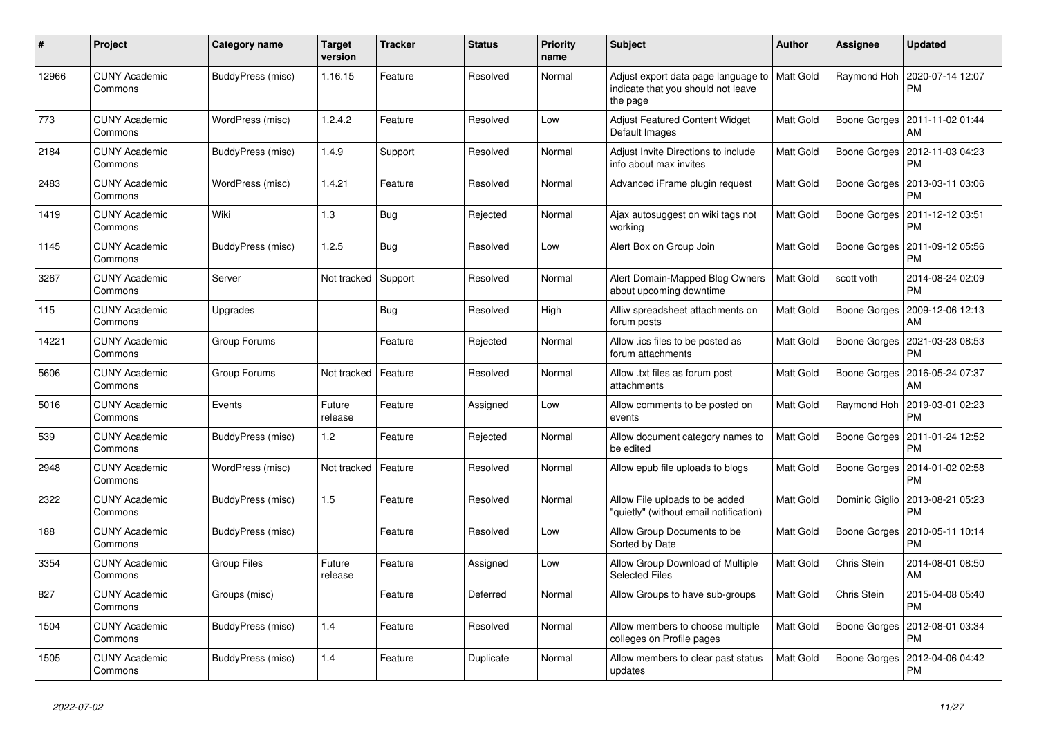| $\pmb{\#}$ | Project                         | Category name      | <b>Target</b><br>version | <b>Tracker</b> | <b>Status</b> | Priority<br>name | <b>Subject</b>                                                                        | <b>Author</b> | Assignee       | <b>Updated</b>                               |
|------------|---------------------------------|--------------------|--------------------------|----------------|---------------|------------------|---------------------------------------------------------------------------------------|---------------|----------------|----------------------------------------------|
| 12966      | <b>CUNY Academic</b><br>Commons | BuddyPress (misc)  | 1.16.15                  | Feature        | Resolved      | Normal           | Adjust export data page language to<br>indicate that you should not leave<br>the page | Matt Gold     | Raymond Hoh    | 2020-07-14 12:07<br><b>PM</b>                |
| 773        | <b>CUNY Academic</b><br>Commons | WordPress (misc)   | 1.2.4.2                  | Feature        | Resolved      | Low              | Adjust Featured Content Widget<br>Default Images                                      | Matt Gold     |                | Boone Gorges   2011-11-02 01:44<br>AM        |
| 2184       | <b>CUNY Academic</b><br>Commons | BuddyPress (misc)  | 1.4.9                    | Support        | Resolved      | Normal           | Adjust Invite Directions to include<br>info about max invites                         | Matt Gold     | Boone Gorges   | 2012-11-03 04:23<br><b>PM</b>                |
| 2483       | <b>CUNY Academic</b><br>Commons | WordPress (misc)   | 1.4.21                   | Feature        | Resolved      | Normal           | Advanced iFrame plugin request                                                        | Matt Gold     | Boone Gorges   | 2013-03-11 03:06<br><b>PM</b>                |
| 1419       | <b>CUNY Academic</b><br>Commons | Wiki               | 1.3                      | <b>Bug</b>     | Rejected      | Normal           | Ajax autosuggest on wiki tags not<br>working                                          | Matt Gold     | Boone Gorges   | 2011-12-12 03:51<br><b>PM</b>                |
| 1145       | <b>CUNY Academic</b><br>Commons | BuddyPress (misc)  | 1.2.5                    | Bug            | Resolved      | Low              | Alert Box on Group Join                                                               | Matt Gold     | Boone Gorges   | 2011-09-12 05:56<br><b>PM</b>                |
| 3267       | <b>CUNY Academic</b><br>Commons | Server             | Not tracked              | Support        | Resolved      | Normal           | Alert Domain-Mapped Blog Owners<br>about upcoming downtime                            | Matt Gold     | scott voth     | 2014-08-24 02:09<br><b>PM</b>                |
| 115        | <b>CUNY Academic</b><br>Commons | Upgrades           |                          | Bug            | Resolved      | High             | Alliw spreadsheet attachments on<br>forum posts                                       | Matt Gold     | Boone Gorges   | 2009-12-06 12:13<br>AM                       |
| 14221      | <b>CUNY Academic</b><br>Commons | Group Forums       |                          | Feature        | Rejected      | Normal           | Allow .ics files to be posted as<br>forum attachments                                 | Matt Gold     |                | Boone Gorges   2021-03-23 08:53<br><b>PM</b> |
| 5606       | <b>CUNY Academic</b><br>Commons | Group Forums       | Not tracked              | Feature        | Resolved      | Normal           | Allow .txt files as forum post<br>attachments                                         | Matt Gold     | Boone Gorges   | 2016-05-24 07:37<br>AM                       |
| 5016       | <b>CUNY Academic</b><br>Commons | Events             | Future<br>release        | Feature        | Assigned      | Low              | Allow comments to be posted on<br>events                                              | Matt Gold     | Raymond Hoh    | 2019-03-01 02:23<br><b>PM</b>                |
| 539        | <b>CUNY Academic</b><br>Commons | BuddyPress (misc)  | 1.2                      | Feature        | Rejected      | Normal           | Allow document category names to<br>be edited                                         | Matt Gold     | Boone Gorges   | 2011-01-24 12:52<br><b>PM</b>                |
| 2948       | <b>CUNY Academic</b><br>Commons | WordPress (misc)   | Not tracked              | Feature        | Resolved      | Normal           | Allow epub file uploads to blogs                                                      | Matt Gold     | Boone Gorges   | 2014-01-02 02:58<br><b>PM</b>                |
| 2322       | <b>CUNY Academic</b><br>Commons | BuddyPress (misc)  | 1.5                      | Feature        | Resolved      | Normal           | Allow File uploads to be added<br>'quietly" (without email notification)              | Matt Gold     | Dominic Giglio | 2013-08-21 05:23<br><b>PM</b>                |
| 188        | <b>CUNY Academic</b><br>Commons | BuddyPress (misc)  |                          | Feature        | Resolved      | Low              | Allow Group Documents to be<br>Sorted by Date                                         | Matt Gold     | Boone Gorges   | 2010-05-11 10:14<br><b>PM</b>                |
| 3354       | <b>CUNY Academic</b><br>Commons | <b>Group Files</b> | Future<br>release        | Feature        | Assigned      | Low              | Allow Group Download of Multiple<br><b>Selected Files</b>                             | Matt Gold     | Chris Stein    | 2014-08-01 08:50<br>AM                       |
| 827        | <b>CUNY Academic</b><br>Commons | Groups (misc)      |                          | Feature        | Deferred      | Normal           | Allow Groups to have sub-groups                                                       | Matt Gold     | Chris Stein    | 2015-04-08 05:40<br><b>PM</b>                |
| 1504       | <b>CUNY Academic</b><br>Commons | BuddyPress (misc)  | 1.4                      | Feature        | Resolved      | Normal           | Allow members to choose multiple<br>colleges on Profile pages                         | Matt Gold     | Boone Gorges   | 2012-08-01 03:34<br>PM                       |
| 1505       | <b>CUNY Academic</b><br>Commons | BuddyPress (misc)  | 1.4                      | Feature        | Duplicate     | Normal           | Allow members to clear past status<br>updates                                         | Matt Gold     | Boone Gorges   | 2012-04-06 04:42<br>PM                       |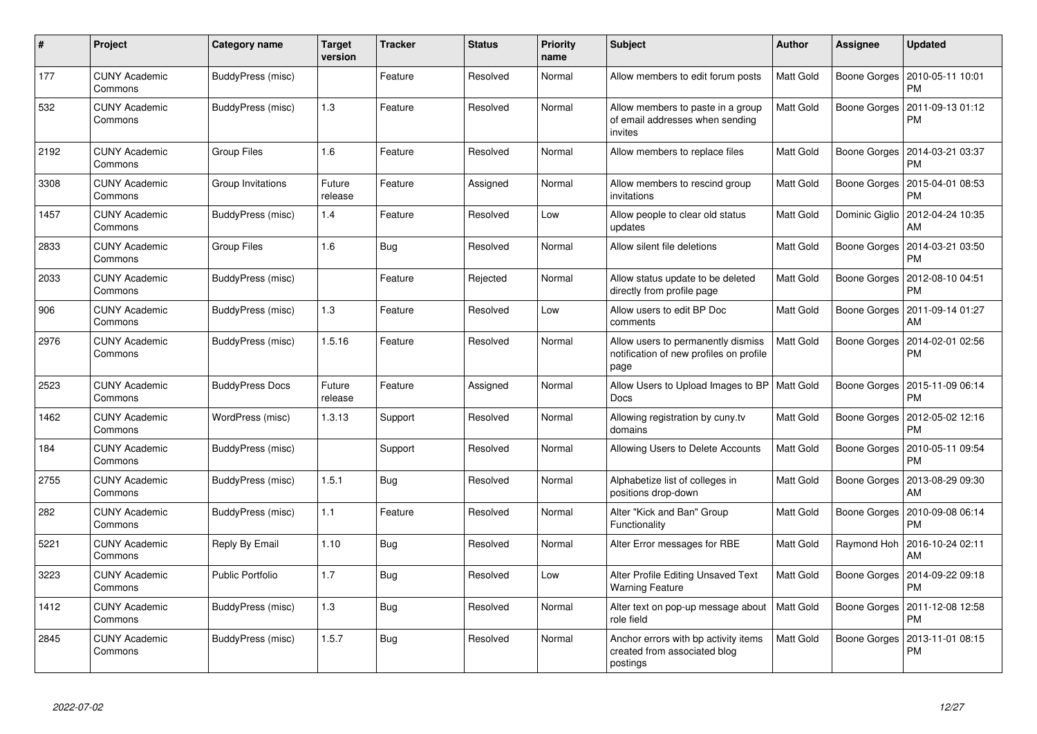| #    | Project                         | <b>Category name</b>    | <b>Target</b><br>version | <b>Tracker</b> | <b>Status</b> | <b>Priority</b><br>name | <b>Subject</b>                                                                        | <b>Author</b>    | Assignee       | <b>Updated</b>                        |
|------|---------------------------------|-------------------------|--------------------------|----------------|---------------|-------------------------|---------------------------------------------------------------------------------------|------------------|----------------|---------------------------------------|
| 177  | <b>CUNY Academic</b><br>Commons | BuddyPress (misc)       |                          | Feature        | Resolved      | Normal                  | Allow members to edit forum posts                                                     | Matt Gold        | Boone Gorges   | 2010-05-11 10:01<br>PM                |
| 532  | <b>CUNY Academic</b><br>Commons | BuddyPress (misc)       | 1.3                      | Feature        | Resolved      | Normal                  | Allow members to paste in a group<br>of email addresses when sending<br>invites       | Matt Gold        | Boone Gorges   | 2011-09-13 01:12<br>PM                |
| 2192 | <b>CUNY Academic</b><br>Commons | <b>Group Files</b>      | 1.6                      | Feature        | Resolved      | Normal                  | Allow members to replace files                                                        | Matt Gold        | Boone Gorges   | 2014-03-21 03:37<br>PM                |
| 3308 | <b>CUNY Academic</b><br>Commons | Group Invitations       | Future<br>release        | Feature        | Assigned      | Normal                  | Allow members to rescind group<br>invitations                                         | Matt Gold        | Boone Gorges   | 2015-04-01 08:53<br>РM                |
| 1457 | <b>CUNY Academic</b><br>Commons | BuddyPress (misc)       | 1.4                      | Feature        | Resolved      | Low                     | Allow people to clear old status<br>updates                                           | Matt Gold        | Dominic Giglio | 2012-04-24 10:35<br>AM                |
| 2833 | <b>CUNY Academic</b><br>Commons | <b>Group Files</b>      | 1.6                      | Bug            | Resolved      | Normal                  | Allow silent file deletions                                                           | <b>Matt Gold</b> |                | Boone Gorges   2014-03-21 03:50<br>PM |
| 2033 | <b>CUNY Academic</b><br>Commons | BuddyPress (misc)       |                          | Feature        | Rejected      | Normal                  | Allow status update to be deleted<br>directly from profile page                       | <b>Matt Gold</b> | Boone Gorges   | 2012-08-10 04:51<br><b>PM</b>         |
| 906  | <b>CUNY Academic</b><br>Commons | BuddyPress (misc)       | 1.3                      | Feature        | Resolved      | Low                     | Allow users to edit BP Doc<br>comments                                                | <b>Matt Gold</b> | Boone Gorges   | 2011-09-14 01:27<br>AM                |
| 2976 | <b>CUNY Academic</b><br>Commons | BuddyPress (misc)       | 1.5.16                   | Feature        | Resolved      | Normal                  | Allow users to permanently dismiss<br>notification of new profiles on profile<br>page | Matt Gold        | Boone Gorges   | 2014-02-01 02:56<br>PM                |
| 2523 | <b>CUNY Academic</b><br>Commons | <b>BuddyPress Docs</b>  | Future<br>release        | Feature        | Assigned      | Normal                  | Allow Users to Upload Images to BP<br>Docs                                            | <b>Matt Gold</b> | Boone Gorges   | 2015-11-09 06:14<br>PM                |
| 1462 | <b>CUNY Academic</b><br>Commons | WordPress (misc)        | 1.3.13                   | Support        | Resolved      | Normal                  | Allowing registration by cuny.tv<br>domains                                           | <b>Matt Gold</b> | Boone Gorges   | 2012-05-02 12:16<br><b>PM</b>         |
| 184  | <b>CUNY Academic</b><br>Commons | BuddyPress (misc)       |                          | Support        | Resolved      | Normal                  | Allowing Users to Delete Accounts                                                     | Matt Gold        | Boone Gorges   | 2010-05-11 09:54<br><b>PM</b>         |
| 2755 | <b>CUNY Academic</b><br>Commons | BuddyPress (misc)       | 1.5.1                    | Bug            | Resolved      | Normal                  | Alphabetize list of colleges in<br>positions drop-down                                | Matt Gold        | Boone Gorges   | 2013-08-29 09:30<br>AM                |
| 282  | <b>CUNY Academic</b><br>Commons | BuddyPress (misc)       | 1.1                      | Feature        | Resolved      | Normal                  | Alter "Kick and Ban" Group<br>Functionality                                           | Matt Gold        | Boone Gorges   | 2010-09-08 06:14<br>РM                |
| 5221 | <b>CUNY Academic</b><br>Commons | Reply By Email          | 1.10                     | Bug            | Resolved      | Normal                  | Alter Error messages for RBE                                                          | Matt Gold        | Raymond Hoh    | 2016-10-24 02:11<br>AM                |
| 3223 | <b>CUNY Academic</b><br>Commons | <b>Public Portfolio</b> | 1.7                      | Bug            | Resolved      | Low                     | Alter Profile Editing Unsaved Text<br><b>Warning Feature</b>                          | Matt Gold        | Boone Gorges   | 2014-09-22 09:18<br>PM                |
| 1412 | <b>CUNY Academic</b><br>Commons | BuddyPress (misc)       | 1.3                      | Bug            | Resolved      | Normal                  | Alter text on pop-up message about<br>role field                                      | Matt Gold        | Boone Gorges   | 2011-12-08 12:58<br>PM                |
| 2845 | <b>CUNY Academic</b><br>Commons | BuddyPress (misc)       | 1.5.7                    | Bug            | Resolved      | Normal                  | Anchor errors with bp activity items<br>created from associated blog<br>postings      | Matt Gold        | Boone Gorges   | 2013-11-01 08:15<br>PM                |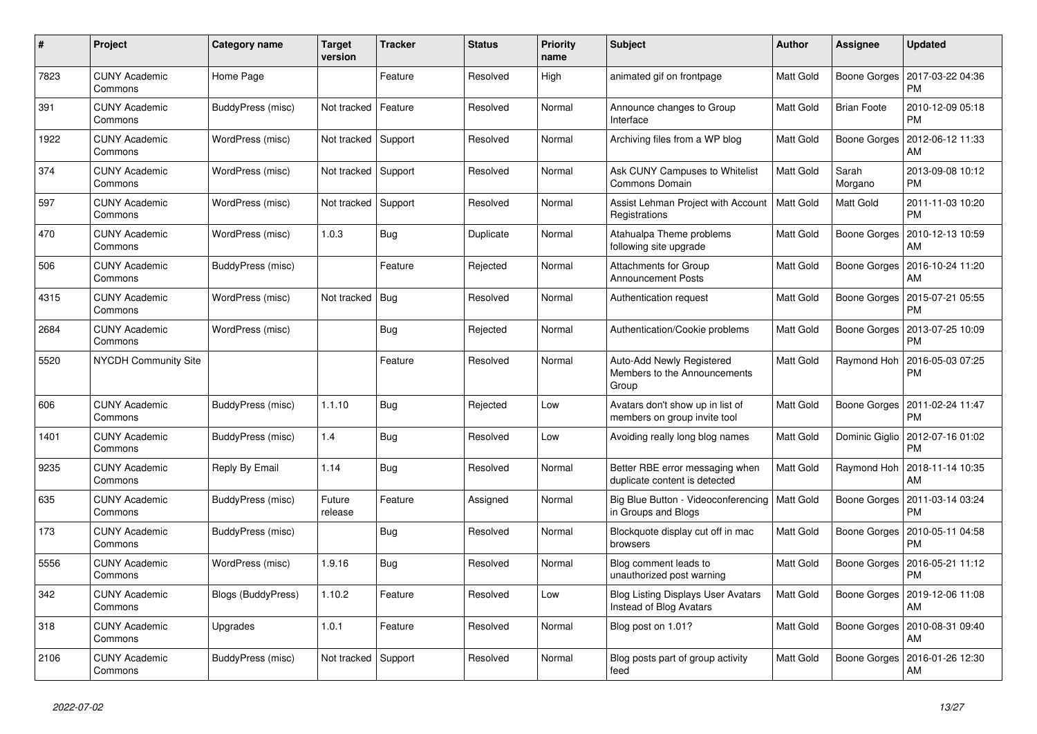| #    | Project                         | <b>Category name</b> | <b>Target</b><br>version | <b>Tracker</b> | <b>Status</b> | <b>Priority</b><br>name | <b>Subject</b>                                                       | <b>Author</b> | Assignee           | <b>Updated</b>                |
|------|---------------------------------|----------------------|--------------------------|----------------|---------------|-------------------------|----------------------------------------------------------------------|---------------|--------------------|-------------------------------|
| 7823 | <b>CUNY Academic</b><br>Commons | Home Page            |                          | Feature        | Resolved      | High                    | animated gif on frontpage                                            | Matt Gold     | Boone Gorges       | 2017-03-22 04:36<br><b>PM</b> |
| 391  | <b>CUNY Academic</b><br>Commons | BuddyPress (misc)    | Not tracked              | Feature        | Resolved      | Normal                  | Announce changes to Group<br>Interface                               | Matt Gold     | <b>Brian Foote</b> | 2010-12-09 05:18<br><b>PM</b> |
| 1922 | <b>CUNY Academic</b><br>Commons | WordPress (misc)     | Not tracked              | Support        | Resolved      | Normal                  | Archiving files from a WP blog                                       | Matt Gold     | Boone Gorges       | 2012-06-12 11:33<br>AM        |
| 374  | <b>CUNY Academic</b><br>Commons | WordPress (misc)     | Not tracked              | Support        | Resolved      | Normal                  | Ask CUNY Campuses to Whitelist<br>Commons Domain                     | Matt Gold     | Sarah<br>Morgano   | 2013-09-08 10:12<br><b>PM</b> |
| 597  | <b>CUNY Academic</b><br>Commons | WordPress (misc)     | Not tracked              | Support        | Resolved      | Normal                  | Assist Lehman Project with Account<br>Registrations                  | Matt Gold     | Matt Gold          | 2011-11-03 10:20<br><b>PM</b> |
| 470  | <b>CUNY Academic</b><br>Commons | WordPress (misc)     | 1.0.3                    | Bug            | Duplicate     | Normal                  | Atahualpa Theme problems<br>following site upgrade                   | Matt Gold     | Boone Gorges       | 2010-12-13 10:59<br>AM        |
| 506  | <b>CUNY Academic</b><br>Commons | BuddyPress (misc)    |                          | Feature        | Rejected      | Normal                  | <b>Attachments for Group</b><br><b>Announcement Posts</b>            | Matt Gold     | Boone Gorges       | 2016-10-24 11:20<br>AM        |
| 4315 | <b>CUNY Academic</b><br>Commons | WordPress (misc)     | Not tracked              | Bug            | Resolved      | Normal                  | Authentication request                                               | Matt Gold     | Boone Gorges       | 2015-07-21 05:55<br><b>PM</b> |
| 2684 | <b>CUNY Academic</b><br>Commons | WordPress (misc)     |                          | Bug            | Rejected      | Normal                  | Authentication/Cookie problems                                       | Matt Gold     | Boone Gorges       | 2013-07-25 10:09<br><b>PM</b> |
| 5520 | <b>NYCDH Community Site</b>     |                      |                          | Feature        | Resolved      | Normal                  | Auto-Add Newly Registered<br>Members to the Announcements<br>Group   | Matt Gold     | Raymond Hoh        | 2016-05-03 07:25<br><b>PM</b> |
| 606  | <b>CUNY Academic</b><br>Commons | BuddyPress (misc)    | 1.1.10                   | <b>Bug</b>     | Rejected      | Low                     | Avatars don't show up in list of<br>members on group invite tool     | Matt Gold     | Boone Gorges       | 2011-02-24 11:47<br><b>PM</b> |
| 1401 | <b>CUNY Academic</b><br>Commons | BuddyPress (misc)    | 1.4                      | Bug            | Resolved      | Low                     | Avoiding really long blog names                                      | Matt Gold     | Dominic Giglio     | 2012-07-16 01:02<br><b>PM</b> |
| 9235 | <b>CUNY Academic</b><br>Commons | Reply By Email       | 1.14                     | Bug            | Resolved      | Normal                  | Better RBE error messaging when<br>duplicate content is detected     | Matt Gold     | Raymond Hoh        | 2018-11-14 10:35<br>AM        |
| 635  | <b>CUNY Academic</b><br>Commons | BuddyPress (misc)    | Future<br>release        | Feature        | Assigned      | Normal                  | Big Blue Button - Videoconferencing<br>in Groups and Blogs           | Matt Gold     | Boone Gorges       | 2011-03-14 03:24<br><b>PM</b> |
| 173  | <b>CUNY Academic</b><br>Commons | BuddyPress (misc)    |                          | Bug            | Resolved      | Normal                  | Blockquote display cut off in mac<br>browsers                        | Matt Gold     | Boone Gorges       | 2010-05-11 04:58<br><b>PM</b> |
| 5556 | <b>CUNY Academic</b><br>Commons | WordPress (misc)     | 1.9.16                   | Bug            | Resolved      | Normal                  | Blog comment leads to<br>unauthorized post warning                   | Matt Gold     | Boone Gorges       | 2016-05-21 11:12<br><b>PM</b> |
| 342  | <b>CUNY Academic</b><br>Commons | Blogs (BuddyPress)   | 1.10.2                   | Feature        | Resolved      | Low                     | <b>Blog Listing Displays User Avatars</b><br>Instead of Blog Avatars | Matt Gold     | Boone Gorges       | 2019-12-06 11:08<br>AM        |
| 318  | <b>CUNY Academic</b><br>Commons | Upgrades             | 1.0.1                    | Feature        | Resolved      | Normal                  | Blog post on 1.01?                                                   | Matt Gold     | Boone Gorges       | 2010-08-31 09:40<br>AM        |
| 2106 | <b>CUNY Academic</b><br>Commons | BuddyPress (misc)    | Not tracked              | Support        | Resolved      | Normal                  | Blog posts part of group activity<br>feed                            | Matt Gold     | Boone Gorges       | 2016-01-26 12:30<br>AM        |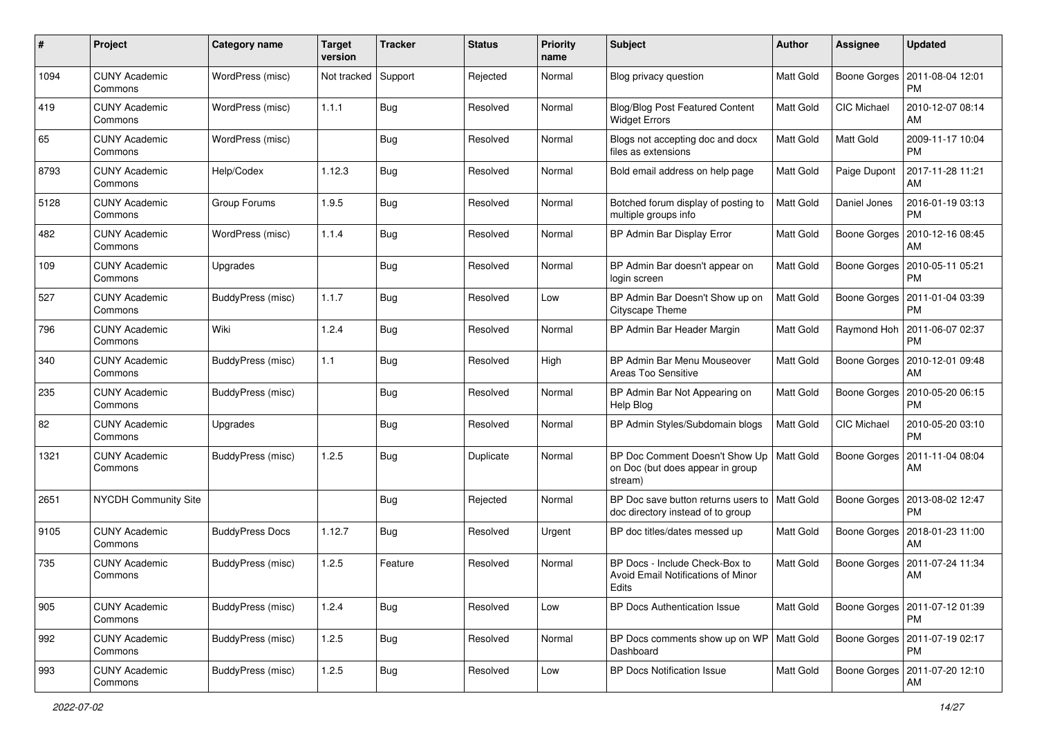| #    | Project                         | Category name            | <b>Target</b><br>version | <b>Tracker</b> | <b>Status</b> | <b>Priority</b><br>name | Subject                                                                       | Author           | <b>Assignee</b>    | <b>Updated</b>                               |
|------|---------------------------------|--------------------------|--------------------------|----------------|---------------|-------------------------|-------------------------------------------------------------------------------|------------------|--------------------|----------------------------------------------|
| 1094 | <b>CUNY Academic</b><br>Commons | WordPress (misc)         | Not tracked              | Support        | Rejected      | Normal                  | Blog privacy question                                                         | Matt Gold        | Boone Gorges       | 2011-08-04 12:01<br>PM                       |
| 419  | <b>CUNY Academic</b><br>Commons | WordPress (misc)         | 1.1.1                    | Bug            | Resolved      | Normal                  | <b>Blog/Blog Post Featured Content</b><br><b>Widget Errors</b>                | Matt Gold        | CIC Michael        | 2010-12-07 08:14<br>AM                       |
| 65   | CUNY Academic<br>Commons        | WordPress (misc)         |                          | <b>Bug</b>     | Resolved      | Normal                  | Blogs not accepting doc and docx<br>files as extensions                       | Matt Gold        | Matt Gold          | 2009-11-17 10:04<br><b>PM</b>                |
| 8793 | <b>CUNY Academic</b><br>Commons | Help/Codex               | 1.12.3                   | Bug            | Resolved      | Normal                  | Bold email address on help page                                               | Matt Gold        | Paige Dupont       | 2017-11-28 11:21<br>AM                       |
| 5128 | <b>CUNY Academic</b><br>Commons | Group Forums             | 1.9.5                    | Bug            | Resolved      | Normal                  | Botched forum display of posting to<br>multiple groups info                   | <b>Matt Gold</b> | Daniel Jones       | 2016-01-19 03:13<br><b>PM</b>                |
| 482  | <b>CUNY Academic</b><br>Commons | WordPress (misc)         | 1.1.4                    | Bug            | Resolved      | Normal                  | BP Admin Bar Display Error                                                    | Matt Gold        | Boone Gorges       | 2010-12-16 08:45<br>AM                       |
| 109  | <b>CUNY Academic</b><br>Commons | Upgrades                 |                          | Bug            | Resolved      | Normal                  | BP Admin Bar doesn't appear on<br>login screen                                | Matt Gold        | Boone Gorges       | 2010-05-11 05:21<br>PM                       |
| 527  | <b>CUNY Academic</b><br>Commons | <b>BuddyPress (misc)</b> | 1.1.7                    | <b>Bug</b>     | Resolved      | Low                     | BP Admin Bar Doesn't Show up on<br>Cityscape Theme                            | Matt Gold        | Boone Gorges       | 2011-01-04 03:39<br>PM                       |
| 796  | <b>CUNY Academic</b><br>Commons | Wiki                     | 1.2.4                    | Bug            | Resolved      | Normal                  | BP Admin Bar Header Margin                                                    | Matt Gold        |                    | Raymond Hoh   2011-06-07 02:37<br><b>PM</b>  |
| 340  | <b>CUNY Academic</b><br>Commons | BuddyPress (misc)        | 1.1                      | <b>Bug</b>     | Resolved      | High                    | BP Admin Bar Menu Mouseover<br>Areas Too Sensitive                            | <b>Matt Gold</b> | Boone Gorges       | 2010-12-01 09:48<br>AM                       |
| 235  | <b>CUNY Academic</b><br>Commons | BuddyPress (misc)        |                          | Bug            | Resolved      | Normal                  | BP Admin Bar Not Appearing on<br>Help Blog                                    | <b>Matt Gold</b> | Boone Gorges       | 2010-05-20 06:15<br><b>PM</b>                |
| 82   | <b>CUNY Academic</b><br>Commons | Upgrades                 |                          | <b>Bug</b>     | Resolved      | Normal                  | BP Admin Styles/Subdomain blogs                                               | <b>Matt Gold</b> | <b>CIC Michael</b> | 2010-05-20 03:10<br><b>PM</b>                |
| 1321 | <b>CUNY Academic</b><br>Commons | BuddyPress (misc)        | 1.2.5                    | Bug            | Duplicate     | Normal                  | BP Doc Comment Doesn't Show Up<br>on Doc (but does appear in group<br>stream) | Matt Gold        | Boone Gorges       | 2011-11-04 08:04<br>AM                       |
| 2651 | <b>NYCDH Community Site</b>     |                          |                          | Bug            | Rejected      | Normal                  | BP Doc save button returns users to<br>doc directory instead of to group      | <b>Matt Gold</b> | Boone Gorges       | 2013-08-02 12:47<br><b>PM</b>                |
| 9105 | <b>CUNY Academic</b><br>Commons | <b>BuddyPress Docs</b>   | 1.12.7                   | Bug            | Resolved      | Urgent                  | BP doc titles/dates messed up                                                 | <b>Matt Gold</b> | Boone Gorges       | 2018-01-23 11:00<br>AM                       |
| 735  | <b>CUNY Academic</b><br>Commons | BuddyPress (misc)        | 1.2.5                    | Feature        | Resolved      | Normal                  | BP Docs - Include Check-Box to<br>Avoid Email Notifications of Minor<br>Edits | Matt Gold        | Boone Gorges       | 2011-07-24 11:34<br>AM                       |
| 905  | <b>CUNY Academic</b><br>Commons | BuddyPress (misc)        | 1.2.4                    | <b>Bug</b>     | Resolved      | Low                     | BP Docs Authentication Issue                                                  | Matt Gold        |                    | Boone Gorges   2011-07-12 01:39<br>PM        |
| 992  | <b>CUNY Academic</b><br>Commons | BuddyPress (misc)        | 1.2.5                    | Bug            | Resolved      | Normal                  | BP Docs comments show up on WP   Matt Gold<br>Dashboard                       |                  |                    | Boone Gorges   2011-07-19 02:17<br><b>PM</b> |
| 993  | <b>CUNY Academic</b><br>Commons | BuddyPress (misc)        | 1.2.5                    | <b>Bug</b>     | Resolved      | Low                     | <b>BP Docs Notification Issue</b>                                             | Matt Gold        |                    | Boone Gorges   2011-07-20 12:10<br>AM        |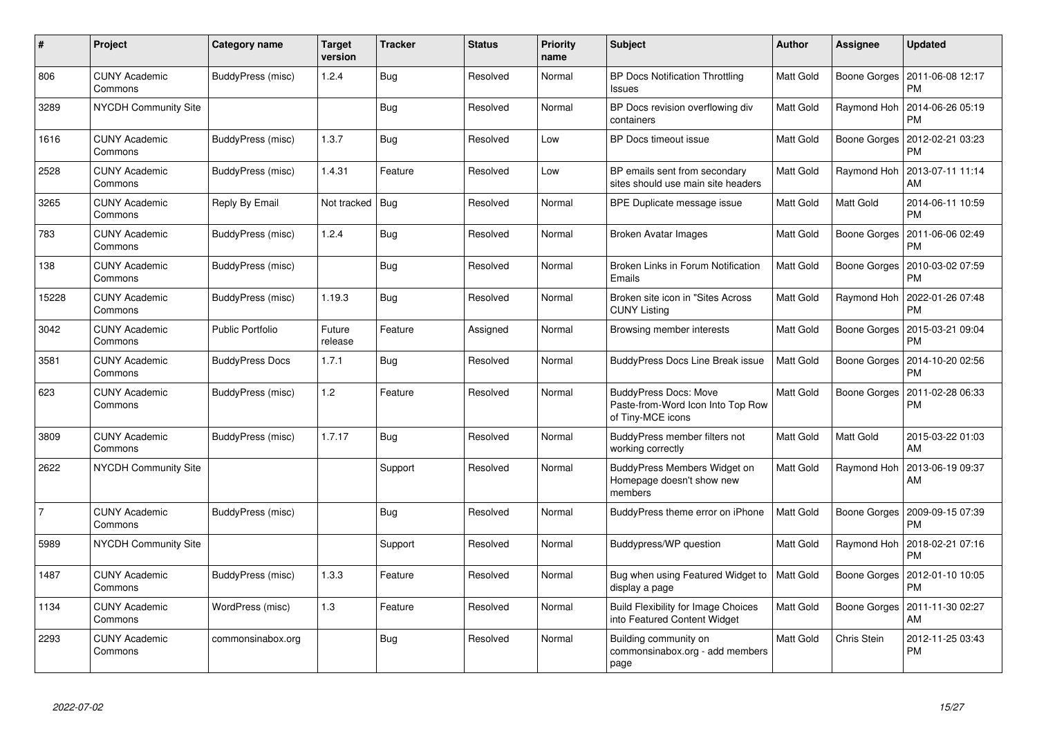| $\#$           | Project                         | Category name           | <b>Target</b><br>version | <b>Tracker</b> | <b>Status</b> | <b>Priority</b><br>name | <b>Subject</b>                                                                         | Author    | Assignee     | <b>Updated</b>                        |
|----------------|---------------------------------|-------------------------|--------------------------|----------------|---------------|-------------------------|----------------------------------------------------------------------------------------|-----------|--------------|---------------------------------------|
| 806            | <b>CUNY Academic</b><br>Commons | BuddyPress (misc)       | 1.2.4                    | Bug            | Resolved      | Normal                  | <b>BP Docs Notification Throttling</b><br>Issues                                       | Matt Gold | Boone Gorges | 2011-06-08 12:17<br><b>PM</b>         |
| 3289           | <b>NYCDH Community Site</b>     |                         |                          | <b>Bug</b>     | Resolved      | Normal                  | BP Docs revision overflowing div<br>containers                                         | Matt Gold | Raymond Hoh  | 2014-06-26 05:19<br><b>PM</b>         |
| 1616           | CUNY Academic<br>Commons        | BuddyPress (misc)       | 1.3.7                    | <b>Bug</b>     | Resolved      | Low                     | <b>BP Docs timeout issue</b>                                                           | Matt Gold | Boone Gorges | 2012-02-21 03:23<br><b>PM</b>         |
| 2528           | <b>CUNY Academic</b><br>Commons | BuddyPress (misc)       | 1.4.31                   | Feature        | Resolved      | Low                     | BP emails sent from secondary<br>sites should use main site headers                    | Matt Gold | Raymond Hoh  | 2013-07-11 11:14<br>AM                |
| 3265           | <b>CUNY Academic</b><br>Commons | Reply By Email          | Not tracked              | <b>Bug</b>     | Resolved      | Normal                  | BPE Duplicate message issue                                                            | Matt Gold | Matt Gold    | 2014-06-11 10:59<br><b>PM</b>         |
| 783            | <b>CUNY Academic</b><br>Commons | BuddyPress (misc)       | 1.2.4                    | Bug            | Resolved      | Normal                  | <b>Broken Avatar Images</b>                                                            | Matt Gold | Boone Gorges | 2011-06-06 02:49<br><b>PM</b>         |
| 138            | <b>CUNY Academic</b><br>Commons | BuddyPress (misc)       |                          | Bug            | Resolved      | Normal                  | Broken Links in Forum Notification<br>Emails                                           | Matt Gold | Boone Gorges | 2010-03-02 07:59<br><b>PM</b>         |
| 15228          | <b>CUNY Academic</b><br>Commons | BuddyPress (misc)       | 1.19.3                   | Bug            | Resolved      | Normal                  | Broken site icon in "Sites Across<br><b>CUNY Listing</b>                               | Matt Gold | Raymond Hoh  | 2022-01-26 07:48<br><b>PM</b>         |
| 3042           | <b>CUNY Academic</b><br>Commons | <b>Public Portfolio</b> | Future<br>release        | Feature        | Assigned      | Normal                  | Browsing member interests                                                              | Matt Gold | Boone Gorges | 2015-03-21 09:04<br><b>PM</b>         |
| 3581           | <b>CUNY Academic</b><br>Commons | <b>BuddyPress Docs</b>  | 1.7.1                    | Bug            | Resolved      | Normal                  | <b>BuddyPress Docs Line Break issue</b>                                                | Matt Gold | Boone Gorges | 2014-10-20 02:56<br><b>PM</b>         |
| 623            | <b>CUNY Academic</b><br>Commons | BuddyPress (misc)       | 1.2                      | Feature        | Resolved      | Normal                  | <b>BuddyPress Docs: Move</b><br>Paste-from-Word Icon Into Top Row<br>of Tiny-MCE icons | Matt Gold | Boone Gorges | 2011-02-28 06:33<br>PM                |
| 3809           | <b>CUNY Academic</b><br>Commons | BuddyPress (misc)       | 1.7.17                   | Bug            | Resolved      | Normal                  | BuddyPress member filters not<br>working correctly                                     | Matt Gold | Matt Gold    | 2015-03-22 01:03<br>AM                |
| 2622           | NYCDH Community Site            |                         |                          | Support        | Resolved      | Normal                  | BuddyPress Members Widget on<br>Homepage doesn't show new<br>members                   | Matt Gold | Raymond Hoh  | 2013-06-19 09:37<br>AM                |
| $\overline{7}$ | <b>CUNY Academic</b><br>Commons | BuddyPress (misc)       |                          | <b>Bug</b>     | Resolved      | Normal                  | BuddyPress theme error on iPhone                                                       | Matt Gold | Boone Gorges | 2009-09-15 07:39<br><b>PM</b>         |
| 5989           | NYCDH Community Site            |                         |                          | Support        | Resolved      | Normal                  | Buddypress/WP question                                                                 | Matt Gold | Raymond Hoh  | 2018-02-21 07:16<br><b>PM</b>         |
| 1487           | <b>CUNY Academic</b><br>Commons | BuddyPress (misc)       | 1.3.3                    | Feature        | Resolved      | Normal                  | Bug when using Featured Widget to<br>display a page                                    | Matt Gold | Boone Gorges | 2012-01-10 10:05<br><b>PM</b>         |
| 1134           | <b>CUNY Academic</b><br>Commons | WordPress (misc)        | 1.3                      | Feature        | Resolved      | Normal                  | <b>Build Flexibility for Image Choices</b><br>into Featured Content Widget             | Matt Gold |              | Boone Gorges   2011-11-30 02:27<br>AM |
| 2293           | <b>CUNY Academic</b><br>Commons | commonsinabox.org       |                          | Bug            | Resolved      | Normal                  | Building community on<br>commonsinabox.org - add members<br>page                       | Matt Gold | Chris Stein  | 2012-11-25 03:43<br><b>PM</b>         |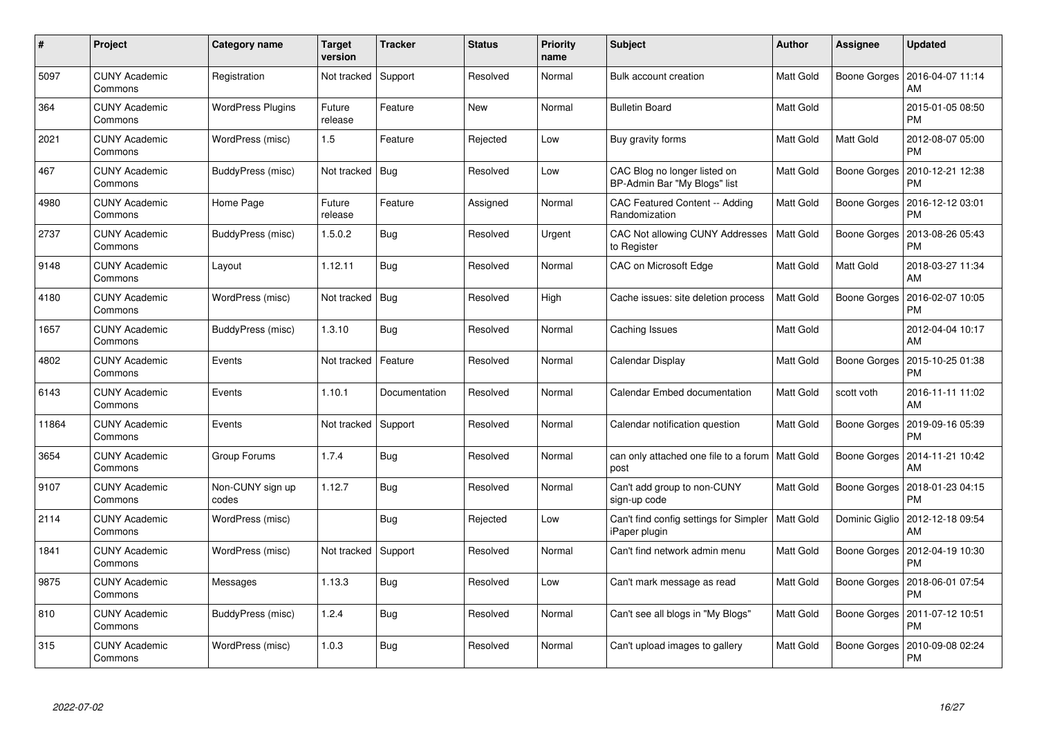| #     | Project                         | <b>Category name</b>      | <b>Target</b><br>version | <b>Tracker</b> | <b>Status</b> | <b>Priority</b><br>name | <b>Subject</b>                                                      | <b>Author</b>    | Assignee     | <b>Updated</b>                          |
|-------|---------------------------------|---------------------------|--------------------------|----------------|---------------|-------------------------|---------------------------------------------------------------------|------------------|--------------|-----------------------------------------|
| 5097  | <b>CUNY Academic</b><br>Commons | Registration              | Not tracked              | Support        | Resolved      | Normal                  | Bulk account creation                                               | Matt Gold        | Boone Gorges | 2016-04-07 11:14<br>AM                  |
| 364   | <b>CUNY Academic</b><br>Commons | <b>WordPress Plugins</b>  | Future<br>release        | Feature        | New           | Normal                  | <b>Bulletin Board</b>                                               | Matt Gold        |              | 2015-01-05 08:50<br>PM                  |
| 2021  | <b>CUNY Academic</b><br>Commons | WordPress (misc)          | 1.5                      | Feature        | Rejected      | Low                     | Buy gravity forms                                                   | <b>Matt Gold</b> | Matt Gold    | 2012-08-07 05:00<br>PM                  |
| 467   | <b>CUNY Academic</b><br>Commons | BuddyPress (misc)         | Not tracked              | Bug            | Resolved      | Low                     | CAC Blog no longer listed on<br>BP-Admin Bar "My Blogs" list        | Matt Gold        | Boone Gorges | 2010-12-21 12:38<br>PM                  |
| 4980  | <b>CUNY Academic</b><br>Commons | Home Page                 | Future<br>release        | Feature        | Assigned      | Normal                  | CAC Featured Content -- Adding<br>Randomization                     | Matt Gold        | Boone Gorges | 2016-12-12 03:01<br>PM                  |
| 2737  | <b>CUNY Academic</b><br>Commons | BuddyPress (misc)         | 1.5.0.2                  | Bug            | Resolved      | Urgent                  | CAC Not allowing CUNY Addresses<br>to Register                      | Matt Gold        | Boone Gorges | 2013-08-26 05:43<br>PM                  |
| 9148  | <b>CUNY Academic</b><br>Commons | Layout                    | 1.12.11                  | Bug            | Resolved      | Normal                  | CAC on Microsoft Edge                                               | Matt Gold        | Matt Gold    | 2018-03-27 11:34<br>AM                  |
| 4180  | <b>CUNY Academic</b><br>Commons | WordPress (misc)          | Not tracked              | Bug            | Resolved      | High                    | Cache issues: site deletion process                                 | Matt Gold        | Boone Gorges | 2016-02-07 10:05<br>PM                  |
| 1657  | <b>CUNY Academic</b><br>Commons | BuddyPress (misc)         | 1.3.10                   | Bug            | Resolved      | Normal                  | Caching Issues                                                      | Matt Gold        |              | 2012-04-04 10:17<br>AM                  |
| 4802  | <b>CUNY Academic</b><br>Commons | Events                    | Not tracked              | Feature        | Resolved      | Normal                  | Calendar Display                                                    | Matt Gold        | Boone Gorges | 2015-10-25 01:38<br>PM                  |
| 6143  | <b>CUNY Academic</b><br>Commons | Events                    | 1.10.1                   | Documentation  | Resolved      | Normal                  | Calendar Embed documentation                                        | Matt Gold        | scott voth   | 2016-11-11 11:02<br>AM                  |
| 11864 | <b>CUNY Academic</b><br>Commons | Events                    | Not tracked              | Support        | Resolved      | Normal                  | Calendar notification question                                      | Matt Gold        | Boone Gorges | 2019-09-16 05:39<br>PM                  |
| 3654  | <b>CUNY Academic</b><br>Commons | Group Forums              | 1.7.4                    | Bug            | Resolved      | Normal                  | can only attached one file to a forum   Matt Gold<br>post           |                  | Boone Gorges | 2014-11-21 10:42<br>AM                  |
| 9107  | <b>CUNY Academic</b><br>Commons | Non-CUNY sign up<br>codes | 1.12.7                   | Bug            | Resolved      | Normal                  | Can't add group to non-CUNY<br>sign-up code                         | Matt Gold        | Boone Gorges | 2018-01-23 04:15<br>PM                  |
| 2114  | <b>CUNY Academic</b><br>Commons | WordPress (misc)          |                          | Bug            | Rejected      | Low                     | Can't find config settings for Simpler   Matt Gold<br>iPaper plugin |                  |              | Dominic Giglio   2012-12-18 09:54<br>AM |
| 1841  | <b>CUNY Academic</b><br>Commons | WordPress (misc)          | Not tracked              | Support        | Resolved      | Normal                  | Can't find network admin menu                                       | Matt Gold        | Boone Gorges | 2012-04-19 10:30<br><b>PM</b>           |
| 9875  | <b>CUNY Academic</b><br>Commons | Messages                  | 1.13.3                   | Bug            | Resolved      | Low                     | Can't mark message as read                                          | Matt Gold        | Boone Gorges | 2018-06-01 07:54<br><b>PM</b>           |
| 810   | <b>CUNY Academic</b><br>Commons | BuddyPress (misc)         | 1.2.4                    | Bug            | Resolved      | Normal                  | Can't see all blogs in "My Blogs"                                   | Matt Gold        | Boone Gorges | 2011-07-12 10:51<br>PM                  |
| 315   | CUNY Academic<br>Commons        | WordPress (misc)          | 1.0.3                    | Bug            | Resolved      | Normal                  | Can't upload images to gallery                                      | Matt Gold        | Boone Gorges | 2010-09-08 02:24<br>PM                  |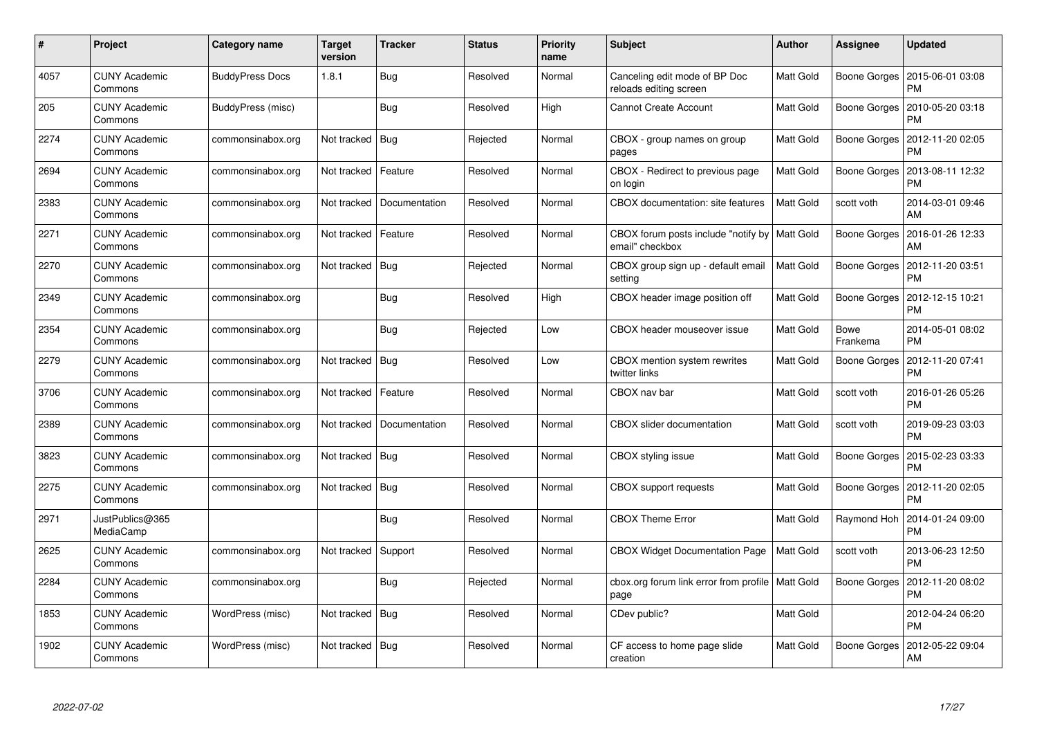| #    | Project                         | <b>Category name</b>   | <b>Target</b><br>version | <b>Tracker</b> | <b>Status</b> | <b>Priority</b><br>name | <b>Subject</b>                                                     | <b>Author</b>    | Assignee                | <b>Updated</b>                |
|------|---------------------------------|------------------------|--------------------------|----------------|---------------|-------------------------|--------------------------------------------------------------------|------------------|-------------------------|-------------------------------|
| 4057 | <b>CUNY Academic</b><br>Commons | <b>BuddyPress Docs</b> | 1.8.1                    | Bug            | Resolved      | Normal                  | Canceling edit mode of BP Doc<br>reloads editing screen            | Matt Gold        | Boone Gorges            | 2015-06-01 03:08<br>PM        |
| 205  | <b>CUNY Academic</b><br>Commons | BuddyPress (misc)      |                          | <b>Bug</b>     | Resolved      | High                    | <b>Cannot Create Account</b>                                       | Matt Gold        | Boone Gorges            | 2010-05-20 03:18<br>PM        |
| 2274 | <b>CUNY Academic</b><br>Commons | commonsinabox.org      | Not tracked              | Bug            | Rejected      | Normal                  | CBOX - group names on group<br>pages                               | Matt Gold        | Boone Gorges            | 2012-11-20 02:05<br>PM        |
| 2694 | <b>CUNY Academic</b><br>Commons | commonsinabox.org      | Not tracked              | Feature        | Resolved      | Normal                  | CBOX - Redirect to previous page<br>on login                       | Matt Gold        | Boone Gorges            | 2013-08-11 12:32<br>PM        |
| 2383 | <b>CUNY Academic</b><br>Commons | commonsinabox.org      | Not tracked              | Documentation  | Resolved      | Normal                  | CBOX documentation: site features                                  | Matt Gold        | scott voth              | 2014-03-01 09:46<br>AM        |
| 2271 | <b>CUNY Academic</b><br>Commons | commonsinabox.org      | Not tracked              | Feature        | Resolved      | Normal                  | CBOX forum posts include "notify by   Matt Gold<br>email" checkbox |                  | Boone Gorges            | 2016-01-26 12:33<br>AM        |
| 2270 | <b>CUNY Academic</b><br>Commons | commonsinabox.org      | Not tracked              | Bug            | Rejected      | Normal                  | CBOX group sign up - default email<br>setting                      | Matt Gold        | Boone Gorges            | 2012-11-20 03:51<br>PM        |
| 2349 | <b>CUNY Academic</b><br>Commons | commonsinabox.org      |                          | <b>Bug</b>     | Resolved      | High                    | CBOX header image position off                                     | Matt Gold        | Boone Gorges            | 2012-12-15 10:21<br>PM        |
| 2354 | <b>CUNY Academic</b><br>Commons | commonsinabox.org      |                          | Bug            | Rejected      | Low                     | CBOX header mouseover issue                                        | Matt Gold        | <b>Bowe</b><br>Frankema | 2014-05-01 08:02<br>PM        |
| 2279 | <b>CUNY Academic</b><br>Commons | commonsinabox.org      | Not tracked              | Bug            | Resolved      | Low                     | CBOX mention system rewrites<br>twitter links                      | Matt Gold        | Boone Gorges            | 2012-11-20 07:41<br>РM        |
| 3706 | <b>CUNY Academic</b><br>Commons | commonsinabox.org      | Not tracked              | Feature        | Resolved      | Normal                  | CBOX nav bar                                                       | Matt Gold        | scott voth              | 2016-01-26 05:26<br>PM        |
| 2389 | <b>CUNY Academic</b><br>Commons | commonsinabox.org      | Not tracked              | Documentation  | Resolved      | Normal                  | CBOX slider documentation                                          | Matt Gold        | scott voth              | 2019-09-23 03:03<br><b>PM</b> |
| 3823 | <b>CUNY Academic</b><br>Commons | commonsinabox.org      | Not tracked              | Bug            | Resolved      | Normal                  | CBOX styling issue                                                 | Matt Gold        | Boone Gorges            | 2015-02-23 03:33<br><b>PM</b> |
| 2275 | <b>CUNY Academic</b><br>Commons | commonsinabox.org      | Not tracked              | Bug            | Resolved      | Normal                  | <b>CBOX</b> support requests                                       | Matt Gold        | Boone Gorges            | 2012-11-20 02:05<br>РM        |
| 2971 | JustPublics@365<br>MediaCamp    |                        |                          | <b>Bug</b>     | Resolved      | Normal                  | <b>CBOX Theme Error</b>                                            | Matt Gold        | Raymond Hoh             | 2014-01-24 09:00<br>PM        |
| 2625 | <b>CUNY Academic</b><br>Commons | commonsinabox.org      | Not tracked              | Support        | Resolved      | Normal                  | <b>CBOX Widget Documentation Page</b>                              | <b>Matt Gold</b> | scott voth              | 2013-06-23 12:50<br>PM        |
| 2284 | <b>CUNY Academic</b><br>Commons | commonsinabox.org      |                          | Bug            | Rejected      | Normal                  | cbox.org forum link error from profile   Matt Gold<br>page         |                  | Boone Gorges            | 2012-11-20 08:02<br>РM        |
| 1853 | <b>CUNY Academic</b><br>Commons | WordPress (misc)       | Not tracked              | Bug            | Resolved      | Normal                  | CDev public?                                                       | Matt Gold        |                         | 2012-04-24 06:20<br><b>PM</b> |
| 1902 | CUNY Academic<br>Commons        | WordPress (misc)       | Not tracked   Bug        |                | Resolved      | Normal                  | CF access to home page slide<br>creation                           | Matt Gold        | Boone Gorges            | 2012-05-22 09:04<br>AM        |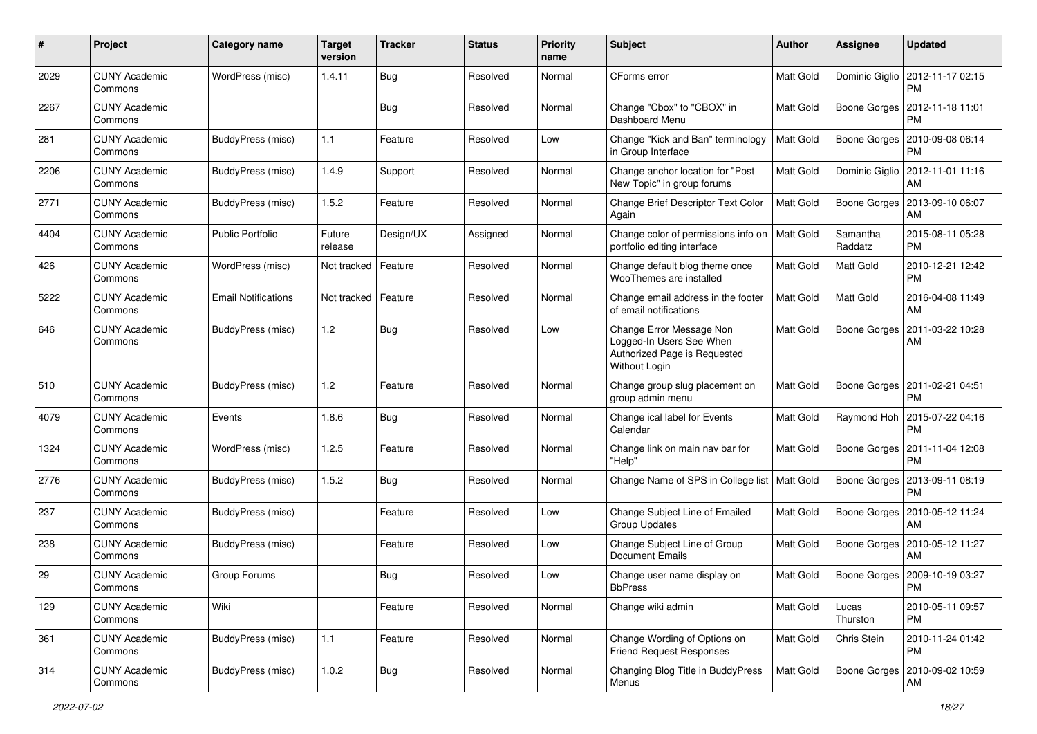| #    | Project                         | <b>Category name</b>       | <b>Target</b><br>version | <b>Tracker</b> | <b>Status</b> | <b>Priority</b><br>name | <b>Subject</b>                                                                                        | Author           | <b>Assignee</b>     | <b>Updated</b>                              |
|------|---------------------------------|----------------------------|--------------------------|----------------|---------------|-------------------------|-------------------------------------------------------------------------------------------------------|------------------|---------------------|---------------------------------------------|
| 2029 | <b>CUNY Academic</b><br>Commons | WordPress (misc)           | 1.4.11                   | Bug            | Resolved      | Normal                  | CForms error                                                                                          | Matt Gold        | Dominic Giglio      | 2012-11-17 02:15<br>PM                      |
| 2267 | <b>CUNY Academic</b><br>Commons |                            |                          | Bug            | Resolved      | Normal                  | Change "Cbox" to "CBOX" in<br>Dashboard Menu                                                          | Matt Gold        | Boone Gorges        | 2012-11-18 11:01<br><b>PM</b>               |
| 281  | <b>CUNY Academic</b><br>Commons | BuddyPress (misc)          | $1.1$                    | Feature        | Resolved      | Low                     | Change "Kick and Ban" terminology<br>in Group Interface                                               | Matt Gold        | Boone Gorges        | 2010-09-08 06:14<br><b>PM</b>               |
| 2206 | <b>CUNY Academic</b><br>Commons | BuddyPress (misc)          | 1.4.9                    | Support        | Resolved      | Normal                  | Change anchor location for "Post<br>New Topic" in group forums                                        | Matt Gold        | Dominic Giglio      | 2012-11-01 11:16<br>AM                      |
| 2771 | <b>CUNY Academic</b><br>Commons | BuddyPress (misc)          | 1.5.2                    | Feature        | Resolved      | Normal                  | Change Brief Descriptor Text Color<br>Again                                                           | <b>Matt Gold</b> | Boone Gorges        | 2013-09-10 06:07<br>AM                      |
| 4404 | <b>CUNY Academic</b><br>Commons | <b>Public Portfolio</b>    | Future<br>release        | Design/UX      | Assigned      | Normal                  | Change color of permissions info on<br>portfolio editing interface                                    | <b>Matt Gold</b> | Samantha<br>Raddatz | 2015-08-11 05:28<br>PM                      |
| 426  | <b>CUNY Academic</b><br>Commons | WordPress (misc)           | Not tracked              | Feature        | Resolved      | Normal                  | Change default blog theme once<br>WooThemes are installed                                             | Matt Gold        | Matt Gold           | 2010-12-21 12:42<br><b>PM</b>               |
| 5222 | <b>CUNY Academic</b><br>Commons | <b>Email Notifications</b> | Not tracked              | Feature        | Resolved      | Normal                  | Change email address in the footer<br>of email notifications                                          | Matt Gold        | Matt Gold           | 2016-04-08 11:49<br>AM                      |
| 646  | <b>CUNY Academic</b><br>Commons | BuddyPress (misc)          | $1.2$                    | Bug            | Resolved      | Low                     | Change Error Message Non<br>Logged-In Users See When<br>Authorized Page is Requested<br>Without Login | Matt Gold        | Boone Gorges        | 2011-03-22 10:28<br>AM                      |
| 510  | <b>CUNY Academic</b><br>Commons | BuddyPress (misc)          | 1.2                      | Feature        | Resolved      | Normal                  | Change group slug placement on<br>group admin menu                                                    | Matt Gold        | Boone Gorges        | 2011-02-21 04:51<br><b>PM</b>               |
| 4079 | <b>CUNY Academic</b><br>Commons | Events                     | 1.8.6                    | Bug            | Resolved      | Normal                  | Change ical label for Events<br>Calendar                                                              | Matt Gold        |                     | Raymond Hoh   2015-07-22 04:16<br><b>PM</b> |
| 1324 | <b>CUNY Academic</b><br>Commons | WordPress (misc)           | 1.2.5                    | Feature        | Resolved      | Normal                  | Change link on main nav bar for<br>"Help"                                                             | Matt Gold        | Boone Gorges        | 2011-11-04 12:08<br><b>PM</b>               |
| 2776 | <b>CUNY Academic</b><br>Commons | BuddyPress (misc)          | 1.5.2                    | Bug            | Resolved      | Normal                  | Change Name of SPS in College list   Matt Gold                                                        |                  | Boone Gorges        | 2013-09-11 08:19<br><b>PM</b>               |
| 237  | <b>CUNY Academic</b><br>Commons | BuddyPress (misc)          |                          | Feature        | Resolved      | Low                     | Change Subject Line of Emailed<br><b>Group Updates</b>                                                | Matt Gold        | Boone Gorges        | 2010-05-12 11:24<br>AM                      |
| 238  | <b>CUNY Academic</b><br>Commons | BuddyPress (misc)          |                          | Feature        | Resolved      | Low                     | Change Subject Line of Group<br>Document Emails                                                       | Matt Gold        | Boone Gorges        | 2010-05-12 11:27<br>AM                      |
| 29   | <b>CUNY Academic</b><br>Commons | Group Forums               |                          | Bug            | Resolved      | Low                     | Change user name display on<br><b>BbPress</b>                                                         | Matt Gold        | Boone Gorges        | 2009-10-19 03:27<br>PM                      |
| 129  | <b>CUNY Academic</b><br>Commons | Wiki                       |                          | Feature        | Resolved      | Normal                  | Change wiki admin                                                                                     | Matt Gold        | Lucas<br>Thurston   | 2010-05-11 09:57<br><b>PM</b>               |
| 361  | <b>CUNY Academic</b><br>Commons | BuddyPress (misc)          | 1.1                      | Feature        | Resolved      | Normal                  | Change Wording of Options on<br><b>Friend Request Responses</b>                                       | Matt Gold        | Chris Stein         | 2010-11-24 01:42<br><b>PM</b>               |
| 314  | <b>CUNY Academic</b><br>Commons | BuddyPress (misc)          | 1.0.2                    | <b>Bug</b>     | Resolved      | Normal                  | Changing Blog Title in BuddyPress<br>Menus                                                            | Matt Gold        | Boone Gorges        | 2010-09-02 10:59<br>AM                      |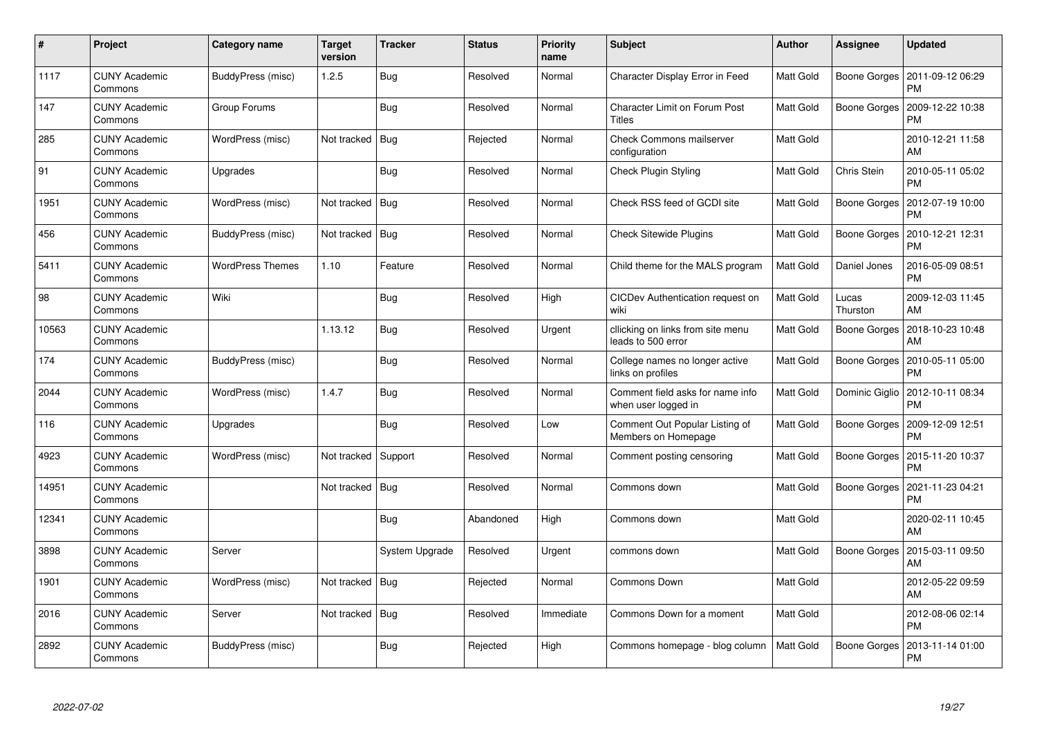| #     | Project                         | Category name           | <b>Target</b><br>version | Tracker               | <b>Status</b> | <b>Priority</b><br>name | <b>Subject</b>                                          | <b>Author</b> | Assignee          | <b>Updated</b>                |
|-------|---------------------------------|-------------------------|--------------------------|-----------------------|---------------|-------------------------|---------------------------------------------------------|---------------|-------------------|-------------------------------|
| 1117  | <b>CUNY Academic</b><br>Commons | BuddyPress (misc)       | 1.2.5                    | Bug                   | Resolved      | Normal                  | Character Display Error in Feed                         | Matt Gold     | Boone Gorges      | 2011-09-12 06:29<br><b>PM</b> |
| 147   | <b>CUNY Academic</b><br>Commons | Group Forums            |                          | Bug                   | Resolved      | Normal                  | <b>Character Limit on Forum Post</b><br>Titles          | Matt Gold     | Boone Gorges      | 2009-12-22 10:38<br><b>PM</b> |
| 285   | <b>CUNY Academic</b><br>Commons | WordPress (misc)        | Not tracked              | Bug                   | Rejected      | Normal                  | <b>Check Commons mailserver</b><br>configuration        | Matt Gold     |                   | 2010-12-21 11:58<br>AM        |
| 91    | <b>CUNY Academic</b><br>Commons | Upgrades                |                          | Bug                   | Resolved      | Normal                  | Check Plugin Styling                                    | Matt Gold     | Chris Stein       | 2010-05-11 05:02<br><b>PM</b> |
| 1951  | <b>CUNY Academic</b><br>Commons | WordPress (misc)        | Not tracked   Bug        |                       | Resolved      | Normal                  | Check RSS feed of GCDI site                             | Matt Gold     | Boone Gorges      | 2012-07-19 10:00<br><b>PM</b> |
| 456   | <b>CUNY Academic</b><br>Commons | BuddyPress (misc)       | Not tracked              | Bug                   | Resolved      | Normal                  | <b>Check Sitewide Plugins</b>                           | Matt Gold     | Boone Gorges      | 2010-12-21 12:31<br><b>PM</b> |
| 5411  | <b>CUNY Academic</b><br>Commons | <b>WordPress Themes</b> | 1.10                     | Feature               | Resolved      | Normal                  | Child theme for the MALS program                        | Matt Gold     | Daniel Jones      | 2016-05-09 08:51<br><b>PM</b> |
| 98    | <b>CUNY Academic</b><br>Commons | Wiki                    |                          | Bug                   | Resolved      | High                    | CICDev Authentication request on<br>wiki                | Matt Gold     | Lucas<br>Thurston | 2009-12-03 11:45<br>AM        |
| 10563 | <b>CUNY Academic</b><br>Commons |                         | 1.13.12                  | Bug                   | Resolved      | Urgent                  | cllicking on links from site menu<br>leads to 500 error | Matt Gold     | Boone Gorges      | 2018-10-23 10:48<br>AM        |
| 174   | <b>CUNY Academic</b><br>Commons | BuddyPress (misc)       |                          | Bug                   | Resolved      | Normal                  | College names no longer active<br>links on profiles     | Matt Gold     | Boone Gorges      | 2010-05-11 05:00<br>PM        |
| 2044  | <b>CUNY Academic</b><br>Commons | WordPress (misc)        | 1.4.7                    | Bug                   | Resolved      | Normal                  | Comment field asks for name info<br>when user logged in | Matt Gold     | Dominic Giglio    | 2012-10-11 08:34<br><b>PM</b> |
| 116   | <b>CUNY Academic</b><br>Commons | Upgrades                |                          | Bug                   | Resolved      | Low                     | Comment Out Popular Listing of<br>Members on Homepage   | Matt Gold     | Boone Gorges      | 2009-12-09 12:51<br>PM        |
| 4923  | <b>CUNY Academic</b><br>Commons | WordPress (misc)        | Not tracked              | Support               | Resolved      | Normal                  | Comment posting censoring                               | Matt Gold     | Boone Gorges      | 2015-11-20 10:37<br><b>PM</b> |
| 14951 | <b>CUNY Academic</b><br>Commons |                         | Not tracked              | <b>Bug</b>            | Resolved      | Normal                  | Commons down                                            | Matt Gold     | Boone Gorges      | 2021-11-23 04:21<br>PM        |
| 12341 | <b>CUNY Academic</b><br>Commons |                         |                          | Bug                   | Abandoned     | High                    | Commons down                                            | Matt Gold     |                   | 2020-02-11 10:45<br>AM        |
| 3898  | <b>CUNY Academic</b><br>Commons | Server                  |                          | <b>System Upgrade</b> | Resolved      | Urgent                  | commons down                                            | Matt Gold     | Boone Gorges      | 2015-03-11 09:50<br>AM        |
| 1901  | <b>CUNY Academic</b><br>Commons | WordPress (misc)        | Not tracked              | Bug                   | Rejected      | Normal                  | <b>Commons Down</b>                                     | Matt Gold     |                   | 2012-05-22 09:59<br>AM        |
| 2016  | <b>CUNY Academic</b><br>Commons | Server                  | Not tracked              | <b>Bug</b>            | Resolved      | Immediate               | Commons Down for a moment                               | Matt Gold     |                   | 2012-08-06 02:14<br><b>PM</b> |
| 2892  | CUNY Academic<br>Commons        | BuddyPress (misc)       |                          | Bug                   | Rejected      | High                    | Commons homepage - blog column                          | Matt Gold     | Boone Gorges      | 2013-11-14 01:00<br><b>PM</b> |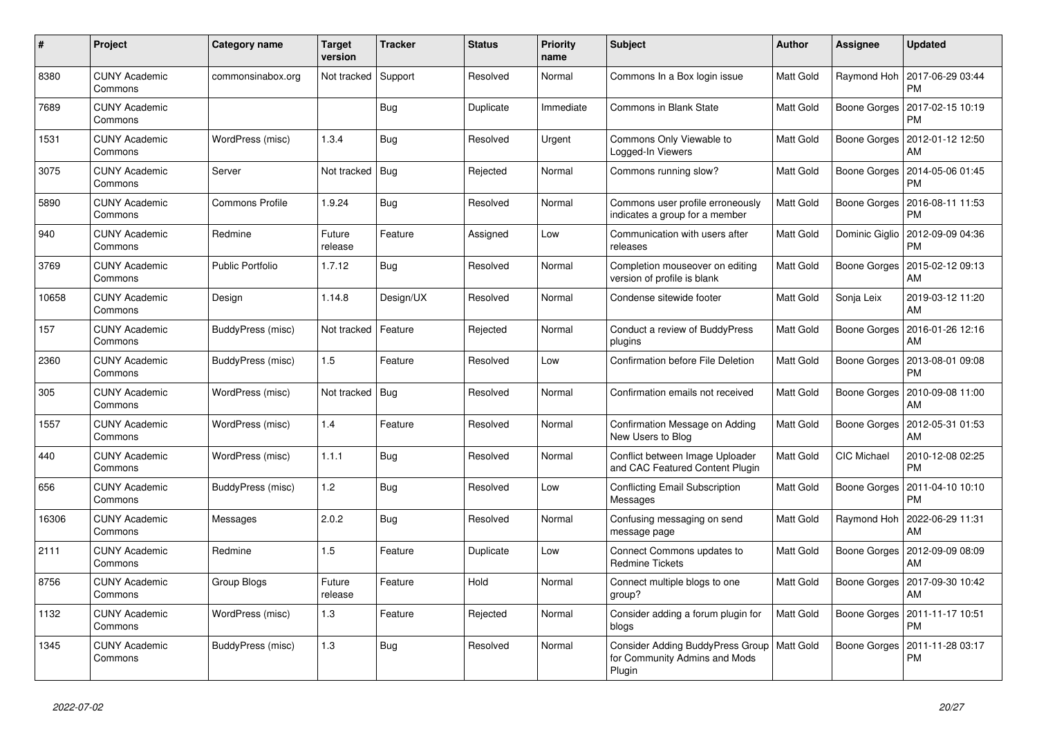| #     | Project                         | Category name           | <b>Target</b><br>version | <b>Tracker</b> | <b>Status</b> | <b>Priority</b><br>name | <b>Subject</b>                                                                          | <b>Author</b>    | Assignee           | <b>Updated</b>                |
|-------|---------------------------------|-------------------------|--------------------------|----------------|---------------|-------------------------|-----------------------------------------------------------------------------------------|------------------|--------------------|-------------------------------|
| 8380  | <b>CUNY Academic</b><br>Commons | commonsinabox.org       | Not tracked              | Support        | Resolved      | Normal                  | Commons In a Box login issue                                                            | Matt Gold        | Raymond Hoh        | 2017-06-29 03:44<br><b>PM</b> |
| 7689  | <b>CUNY Academic</b><br>Commons |                         |                          | Bug            | Duplicate     | Immediate               | Commons in Blank State                                                                  | Matt Gold        | Boone Gorges       | 2017-02-15 10:19<br><b>PM</b> |
| 1531  | <b>CUNY Academic</b><br>Commons | WordPress (misc)        | 1.3.4                    | Bug            | Resolved      | Urgent                  | Commons Only Viewable to<br>Logged-In Viewers                                           | Matt Gold        | Boone Gorges       | 2012-01-12 12:50<br>AM        |
| 3075  | <b>CUNY Academic</b><br>Commons | Server                  | Not tracked              | Bug            | Rejected      | Normal                  | Commons running slow?                                                                   | Matt Gold        | Boone Gorges       | 2014-05-06 01:45<br><b>PM</b> |
| 5890  | <b>CUNY Academic</b><br>Commons | <b>Commons Profile</b>  | 1.9.24                   | <b>Bug</b>     | Resolved      | Normal                  | Commons user profile erroneously<br>indicates a group for a member                      | Matt Gold        | Boone Gorges       | 2016-08-11 11:53<br><b>PM</b> |
| 940   | <b>CUNY Academic</b><br>Commons | Redmine                 | Future<br>release        | Feature        | Assigned      | Low                     | Communication with users after<br>releases                                              | Matt Gold        | Dominic Giglio     | 2012-09-09 04:36<br><b>PM</b> |
| 3769  | <b>CUNY Academic</b><br>Commons | <b>Public Portfolio</b> | 1.7.12                   | Bug            | Resolved      | Normal                  | Completion mouseover on editing<br>version of profile is blank                          | Matt Gold        | Boone Gorges       | 2015-02-12 09:13<br>AM        |
| 10658 | <b>CUNY Academic</b><br>Commons | Design                  | 1.14.8                   | Design/UX      | Resolved      | Normal                  | Condense sitewide footer                                                                | Matt Gold        | Sonja Leix         | 2019-03-12 11:20<br>AM        |
| 157   | <b>CUNY Academic</b><br>Commons | BuddyPress (misc)       | Not tracked              | Feature        | Rejected      | Normal                  | Conduct a review of BuddyPress<br>plugins                                               | Matt Gold        | Boone Gorges       | 2016-01-26 12:16<br>AM        |
| 2360  | <b>CUNY Academic</b><br>Commons | BuddyPress (misc)       | 1.5                      | Feature        | Resolved      | Low                     | Confirmation before File Deletion                                                       | Matt Gold        | Boone Gorges       | 2013-08-01 09:08<br><b>PM</b> |
| 305   | <b>CUNY Academic</b><br>Commons | WordPress (misc)        | Not tracked              | <b>Bug</b>     | Resolved      | Normal                  | Confirmation emails not received                                                        | Matt Gold        | Boone Gorges       | 2010-09-08 11:00<br>AM        |
| 1557  | <b>CUNY Academic</b><br>Commons | WordPress (misc)        | 1.4                      | Feature        | Resolved      | Normal                  | Confirmation Message on Adding<br>New Users to Blog                                     | Matt Gold        | Boone Gorges       | 2012-05-31 01:53<br>AM        |
| 440   | <b>CUNY Academic</b><br>Commons | WordPress (misc)        | 1.1.1                    | Bug            | Resolved      | Normal                  | Conflict between Image Uploader<br>and CAC Featured Content Plugin                      | <b>Matt Gold</b> | <b>CIC Michael</b> | 2010-12-08 02:25<br><b>PM</b> |
| 656   | <b>CUNY Academic</b><br>Commons | BuddyPress (misc)       | 1.2                      | <b>Bug</b>     | Resolved      | Low                     | <b>Conflicting Email Subscription</b><br>Messages                                       | Matt Gold        | Boone Gorges       | 2011-04-10 10:10<br><b>PM</b> |
| 16306 | <b>CUNY Academic</b><br>Commons | Messages                | 2.0.2                    | <b>Bug</b>     | Resolved      | Normal                  | Confusing messaging on send<br>message page                                             | Matt Gold        | Raymond Hoh        | 2022-06-29 11:31<br>AM        |
| 2111  | <b>CUNY Academic</b><br>Commons | Redmine                 | 1.5                      | Feature        | Duplicate     | Low                     | Connect Commons updates to<br><b>Redmine Tickets</b>                                    | <b>Matt Gold</b> | Boone Gorges       | 2012-09-09 08:09<br>AM        |
| 8756  | <b>CUNY Academic</b><br>Commons | Group Blogs             | Future<br>release        | Feature        | Hold          | Normal                  | Connect multiple blogs to one<br>group?                                                 | Matt Gold        | Boone Gorges       | 2017-09-30 10:42<br>AM        |
| 1132  | <b>CUNY Academic</b><br>Commons | WordPress (misc)        | 1.3                      | Feature        | Rejected      | Normal                  | Consider adding a forum plugin for<br>blogs                                             | Matt Gold        | Boone Gorges       | 2011-11-17 10:51<br><b>PM</b> |
| 1345  | <b>CUNY Academic</b><br>Commons | BuddyPress (misc)       | 1.3                      | Bug            | Resolved      | Normal                  | Consider Adding BuddyPress Group   Matt Gold<br>for Community Admins and Mods<br>Plugin |                  | Boone Gorges       | 2011-11-28 03:17<br><b>PM</b> |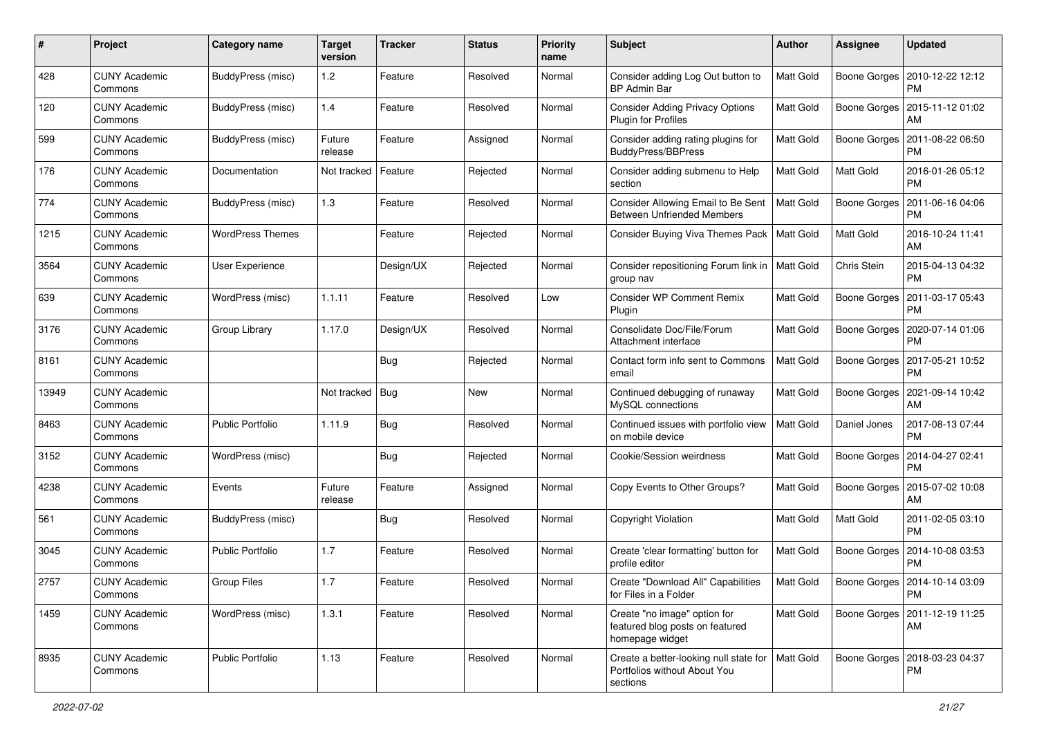| $\#$  | Project                         | <b>Category name</b>    | <b>Target</b><br>version | <b>Tracker</b> | <b>Status</b> | <b>Priority</b><br>name | Subject                                                                            | Author           | <b>Assignee</b> | <b>Updated</b>                               |
|-------|---------------------------------|-------------------------|--------------------------|----------------|---------------|-------------------------|------------------------------------------------------------------------------------|------------------|-----------------|----------------------------------------------|
| 428   | <b>CUNY Academic</b><br>Commons | BuddyPress (misc)       | 1.2                      | Feature        | Resolved      | Normal                  | Consider adding Log Out button to<br><b>BP Admin Bar</b>                           | Matt Gold        | Boone Gorges    | 2010-12-22 12:12<br>PM                       |
| 120   | <b>CUNY Academic</b><br>Commons | BuddyPress (misc)       | 1.4                      | Feature        | Resolved      | Normal                  | <b>Consider Adding Privacy Options</b><br>Plugin for Profiles                      | Matt Gold        | Boone Gorges    | 2015-11-12 01:02<br>AM                       |
| 599   | <b>CUNY Academic</b><br>Commons | BuddyPress (misc)       | Future<br>release        | Feature        | Assigned      | Normal                  | Consider adding rating plugins for<br>BuddyPress/BBPress                           | Matt Gold        | Boone Gorges    | 2011-08-22 06:50<br>PM                       |
| 176   | <b>CUNY Academic</b><br>Commons | Documentation           | Not tracked              | Feature        | Rejected      | Normal                  | Consider adding submenu to Help<br>section                                         | Matt Gold        | Matt Gold       | 2016-01-26 05:12<br><b>PM</b>                |
| 774   | <b>CUNY Academic</b><br>Commons | BuddyPress (misc)       | 1.3                      | Feature        | Resolved      | Normal                  | Consider Allowing Email to Be Sent<br><b>Between Unfriended Members</b>            | <b>Matt Gold</b> | Boone Gorges    | 2011-06-16 04:06<br><b>PM</b>                |
| 1215  | <b>CUNY Academic</b><br>Commons | <b>WordPress Themes</b> |                          | Feature        | Rejected      | Normal                  | Consider Buying Viva Themes Pack                                                   | <b>Matt Gold</b> | Matt Gold       | 2016-10-24 11:41<br>AM                       |
| 3564  | <b>CUNY Academic</b><br>Commons | User Experience         |                          | Design/UX      | Rejected      | Normal                  | Consider repositioning Forum link in   Matt Gold<br>group nav                      |                  | Chris Stein     | 2015-04-13 04:32<br><b>PM</b>                |
| 639   | <b>CUNY Academic</b><br>Commons | WordPress (misc)        | 1.1.11                   | Feature        | Resolved      | Low                     | <b>Consider WP Comment Remix</b><br>Plugin                                         | Matt Gold        | Boone Gorges    | 2011-03-17 05:43<br>PM                       |
| 3176  | <b>CUNY Academic</b><br>Commons | Group Library           | 1.17.0                   | Design/UX      | Resolved      | Normal                  | Consolidate Doc/File/Forum<br>Attachment interface                                 | <b>Matt Gold</b> | Boone Gorges    | 2020-07-14 01:06<br><b>PM</b>                |
| 8161  | <b>CUNY Academic</b><br>Commons |                         |                          | <b>Bug</b>     | Rejected      | Normal                  | Contact form info sent to Commons<br>email                                         | Matt Gold        | Boone Gorges    | 2017-05-21 10:52<br>PM                       |
| 13949 | <b>CUNY Academic</b><br>Commons |                         | Not tracked              | Bug            | <b>New</b>    | Normal                  | Continued debugging of runaway<br>MySQL connections                                | Matt Gold        | Boone Gorges    | 2021-09-14 10:42<br>AM                       |
| 8463  | <b>CUNY Academic</b><br>Commons | <b>Public Portfolio</b> | 1.11.9                   | Bug            | Resolved      | Normal                  | Continued issues with portfolio view<br>on mobile device                           | <b>Matt Gold</b> | Daniel Jones    | 2017-08-13 07:44<br><b>PM</b>                |
| 3152  | <b>CUNY Academic</b><br>Commons | WordPress (misc)        |                          | Bug            | Rejected      | Normal                  | Cookie/Session weirdness                                                           | Matt Gold        | Boone Gorges    | 2014-04-27 02:41<br><b>PM</b>                |
| 4238  | <b>CUNY Academic</b><br>Commons | Events                  | Future<br>release        | Feature        | Assigned      | Normal                  | Copy Events to Other Groups?                                                       | Matt Gold        | Boone Gorges    | 2015-07-02 10:08<br>AM                       |
| 561   | <b>CUNY Academic</b><br>Commons | BuddyPress (misc)       |                          | Bug            | Resolved      | Normal                  | Copyright Violation                                                                | Matt Gold        | Matt Gold       | 2011-02-05 03:10<br><b>PM</b>                |
| 3045  | <b>CUNY Academic</b><br>Commons | <b>Public Portfolio</b> | 1.7                      | Feature        | Resolved      | Normal                  | Create 'clear formatting' button for<br>profile editor                             | Matt Gold        | Boone Gorges    | 2014-10-08 03:53<br><b>PM</b>                |
| 2757  | <b>CUNY Academic</b><br>Commons | <b>Group Files</b>      | 1.7                      | Feature        | Resolved      | Normal                  | Create "Download All" Capabilities<br>for Files in a Folder                        | Matt Gold        |                 | Boone Gorges   2014-10-14 03:09<br><b>PM</b> |
| 1459  | <b>CUNY Academic</b><br>Commons | WordPress (misc)        | 1.3.1                    | Feature        | Resolved      | Normal                  | Create "no image" option for<br>featured blog posts on featured<br>homepage widget | Matt Gold        | Boone Gorges    | 2011-12-19 11:25<br>AM                       |
| 8935  | <b>CUNY Academic</b><br>Commons | Public Portfolio        | 1.13                     | Feature        | Resolved      | Normal                  | Create a better-looking null state for<br>Portfolios without About You<br>sections | <b>Matt Gold</b> | Boone Gorges    | 2018-03-23 04:37<br><b>PM</b>                |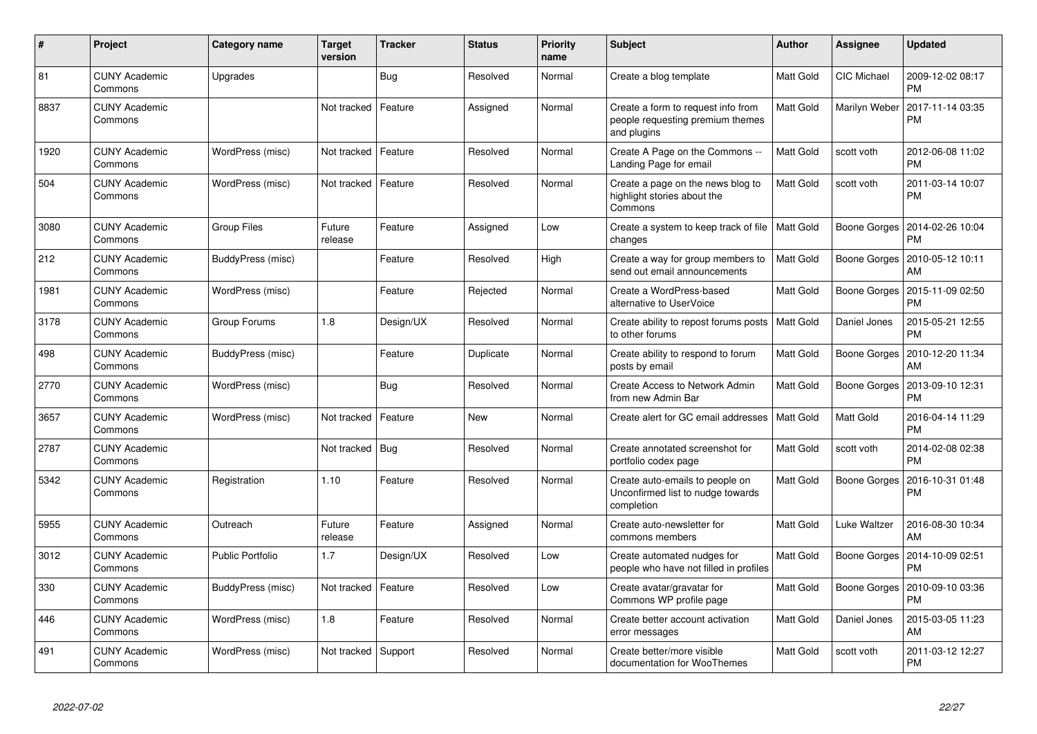| $\#$ | Project                         | <b>Category name</b> | <b>Target</b><br>version | <b>Tracker</b> | <b>Status</b> | <b>Priority</b><br>name | <b>Subject</b>                                                                        | Author           | Assignee           | <b>Updated</b>                               |
|------|---------------------------------|----------------------|--------------------------|----------------|---------------|-------------------------|---------------------------------------------------------------------------------------|------------------|--------------------|----------------------------------------------|
| 81   | <b>CUNY Academic</b><br>Commons | Upgrades             |                          | Bug            | Resolved      | Normal                  | Create a blog template                                                                | Matt Gold        | <b>CIC Michael</b> | 2009-12-02 08:17<br>PM                       |
| 8837 | <b>CUNY Academic</b><br>Commons |                      | Not tracked              | Feature        | Assigned      | Normal                  | Create a form to request info from<br>people requesting premium themes<br>and plugins | Matt Gold        | Marilyn Weber      | 2017-11-14 03:35<br><b>PM</b>                |
| 1920 | <b>CUNY Academic</b><br>Commons | WordPress (misc)     | Not tracked              | Feature        | Resolved      | Normal                  | Create A Page on the Commons --<br>Landing Page for email                             | Matt Gold        | scott voth         | 2012-06-08 11:02<br><b>PM</b>                |
| 504  | <b>CUNY Academic</b><br>Commons | WordPress (misc)     | Not tracked              | Feature        | Resolved      | Normal                  | Create a page on the news blog to<br>highlight stories about the<br>Commons           | Matt Gold        | scott voth         | 2011-03-14 10:07<br><b>PM</b>                |
| 3080 | <b>CUNY Academic</b><br>Commons | <b>Group Files</b>   | Future<br>release        | Feature        | Assigned      | Low                     | Create a system to keep track of file<br>changes                                      | Matt Gold        | Boone Gorges       | 2014-02-26 10:04<br><b>PM</b>                |
| 212  | <b>CUNY Academic</b><br>Commons | BuddyPress (misc)    |                          | Feature        | Resolved      | High                    | Create a way for group members to<br>send out email announcements                     | Matt Gold        | Boone Gorges       | 2010-05-12 10:11<br>AM                       |
| 1981 | <b>CUNY Academic</b><br>Commons | WordPress (misc)     |                          | Feature        | Rejected      | Normal                  | Create a WordPress-based<br>alternative to UserVoice                                  | Matt Gold        | Boone Gorges       | 2015-11-09 02:50<br><b>PM</b>                |
| 3178 | <b>CUNY Academic</b><br>Commons | Group Forums         | 1.8                      | Design/UX      | Resolved      | Normal                  | Create ability to repost forums posts<br>to other forums                              | <b>Matt Gold</b> | Daniel Jones       | 2015-05-21 12:55<br><b>PM</b>                |
| 498  | <b>CUNY Academic</b><br>Commons | BuddyPress (misc)    |                          | Feature        | Duplicate     | Normal                  | Create ability to respond to forum<br>posts by email                                  | Matt Gold        | Boone Gorges       | 2010-12-20 11:34<br>AM                       |
| 2770 | <b>CUNY Academic</b><br>Commons | WordPress (misc)     |                          | <b>Bug</b>     | Resolved      | Normal                  | Create Access to Network Admin<br>from new Admin Bar                                  | Matt Gold        |                    | Boone Gorges   2013-09-10 12:31<br><b>PM</b> |
| 3657 | <b>CUNY Academic</b><br>Commons | WordPress (misc)     | Not tracked              | Feature        | <b>New</b>    | Normal                  | Create alert for GC email addresses                                                   | Matt Gold        | Matt Gold          | 2016-04-14 11:29<br><b>PM</b>                |
| 2787 | <b>CUNY Academic</b><br>Commons |                      | Not tracked              | Bug            | Resolved      | Normal                  | Create annotated screenshot for<br>portfolio codex page                               | Matt Gold        | scott voth         | 2014-02-08 02:38<br><b>PM</b>                |
| 5342 | <b>CUNY Academic</b><br>Commons | Registration         | 1.10                     | Feature        | Resolved      | Normal                  | Create auto-emails to people on<br>Unconfirmed list to nudge towards<br>completion    | Matt Gold        | Boone Gorges       | 2016-10-31 01:48<br><b>PM</b>                |
| 5955 | <b>CUNY Academic</b><br>Commons | Outreach             | Future<br>release        | Feature        | Assigned      | Normal                  | Create auto-newsletter for<br>commons members                                         | Matt Gold        | Luke Waltzer       | 2016-08-30 10:34<br>AM                       |
| 3012 | <b>CUNY Academic</b><br>Commons | Public Portfolio     | 1.7                      | Design/UX      | Resolved      | Low                     | Create automated nudges for<br>people who have not filled in profiles                 | Matt Gold        | Boone Gorges       | 2014-10-09 02:51<br><b>PM</b>                |
| 330  | <b>CUNY Academic</b><br>Commons | BuddyPress (misc)    | Not tracked              | Feature        | Resolved      | Low                     | Create avatar/gravatar for<br>Commons WP profile page                                 | Matt Gold        | Boone Gorges       | 2010-09-10 03:36<br><b>PM</b>                |
| 446  | <b>CUNY Academic</b><br>Commons | WordPress (misc)     | 1.8                      | Feature        | Resolved      | Normal                  | Create better account activation<br>error messages                                    | Matt Gold        | Daniel Jones       | 2015-03-05 11:23<br>AM                       |
| 491  | CUNY Academic<br>Commons        | WordPress (misc)     | Not tracked              | Support        | Resolved      | Normal                  | Create better/more visible<br>documentation for WooThemes                             | <b>Matt Gold</b> | scott voth         | 2011-03-12 12:27<br><b>PM</b>                |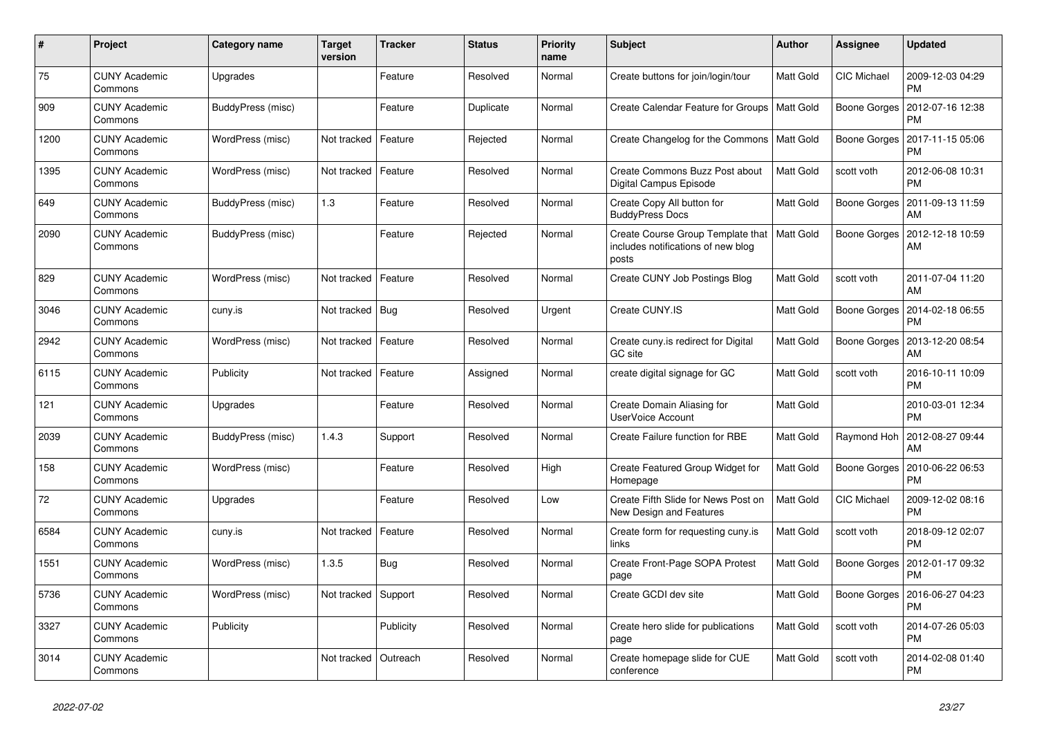| $\#$ | Project                         | Category name     | <b>Target</b><br>version | <b>Tracker</b> | <b>Status</b> | Priority<br>name | <b>Subject</b>                                                                   | Author           | Assignee           | <b>Updated</b>                        |
|------|---------------------------------|-------------------|--------------------------|----------------|---------------|------------------|----------------------------------------------------------------------------------|------------------|--------------------|---------------------------------------|
| 75   | <b>CUNY Academic</b><br>Commons | Upgrades          |                          | Feature        | Resolved      | Normal           | Create buttons for join/login/tour                                               | Matt Gold        | <b>CIC Michael</b> | 2009-12-03 04:29<br><b>PM</b>         |
| 909  | <b>CUNY Academic</b><br>Commons | BuddyPress (misc) |                          | Feature        | Duplicate     | Normal           | Create Calendar Feature for Groups                                               | <b>Matt Gold</b> | Boone Gorges       | 2012-07-16 12:38<br><b>PM</b>         |
| 1200 | <b>CUNY Academic</b><br>Commons | WordPress (misc)  | Not tracked              | Feature        | Rejected      | Normal           | Create Changelog for the Commons                                                 | Matt Gold        | Boone Gorges       | 2017-11-15 05:06<br><b>PM</b>         |
| 1395 | <b>CUNY Academic</b><br>Commons | WordPress (misc)  | Not tracked              | Feature        | Resolved      | Normal           | Create Commons Buzz Post about<br>Digital Campus Episode                         | Matt Gold        | scott voth         | 2012-06-08 10:31<br><b>PM</b>         |
| 649  | <b>CUNY Academic</b><br>Commons | BuddyPress (misc) | 1.3                      | Feature        | Resolved      | Normal           | Create Copy All button for<br><b>BuddyPress Docs</b>                             | Matt Gold        | Boone Gorges       | 2011-09-13 11:59<br>AM                |
| 2090 | <b>CUNY Academic</b><br>Commons | BuddyPress (misc) |                          | Feature        | Rejected      | Normal           | Create Course Group Template that<br>includes notifications of new blog<br>posts | Matt Gold        | Boone Gorges       | 2012-12-18 10:59<br>AM                |
| 829  | <b>CUNY Academic</b><br>Commons | WordPress (misc)  | Not tracked              | Feature        | Resolved      | Normal           | Create CUNY Job Postings Blog                                                    | Matt Gold        | scott voth         | 2011-07-04 11:20<br>AM                |
| 3046 | <b>CUNY Academic</b><br>Commons | cuny.is           | Not tracked              | Bug            | Resolved      | Urgent           | Create CUNY.IS                                                                   | Matt Gold        | Boone Gorges       | 2014-02-18 06:55<br><b>PM</b>         |
| 2942 | <b>CUNY Academic</b><br>Commons | WordPress (misc)  | Not tracked              | Feature        | Resolved      | Normal           | Create cuny is redirect for Digital<br><b>GC</b> site                            | Matt Gold        |                    | Boone Gorges   2013-12-20 08:54<br>AM |
| 6115 | <b>CUNY Academic</b><br>Commons | Publicity         | Not tracked              | Feature        | Assigned      | Normal           | create digital signage for GC                                                    | Matt Gold        | scott voth         | 2016-10-11 10:09<br><b>PM</b>         |
| 121  | <b>CUNY Academic</b><br>Commons | Upgrades          |                          | Feature        | Resolved      | Normal           | Create Domain Aliasing for<br><b>UserVoice Account</b>                           | Matt Gold        |                    | 2010-03-01 12:34<br><b>PM</b>         |
| 2039 | <b>CUNY Academic</b><br>Commons | BuddyPress (misc) | 1.4.3                    | Support        | Resolved      | Normal           | Create Failure function for RBE                                                  | Matt Gold        | Raymond Hoh        | 2012-08-27 09:44<br>AM                |
| 158  | <b>CUNY Academic</b><br>Commons | WordPress (misc)  |                          | Feature        | Resolved      | High             | Create Featured Group Widget for<br>Homepage                                     | Matt Gold        | Boone Gorges       | 2010-06-22 06:53<br><b>PM</b>         |
| 72   | <b>CUNY Academic</b><br>Commons | Upgrades          |                          | Feature        | Resolved      | Low              | Create Fifth Slide for News Post on<br>New Design and Features                   | Matt Gold        | CIC Michael        | 2009-12-02 08:16<br><b>PM</b>         |
| 6584 | <b>CUNY Academic</b><br>Commons | cuny.is           | Not tracked              | Feature        | Resolved      | Normal           | Create form for requesting cuny.is<br>links                                      | Matt Gold        | scott voth         | 2018-09-12 02:07<br><b>PM</b>         |
| 1551 | <b>CUNY Academic</b><br>Commons | WordPress (misc)  | 1.3.5                    | <b>Bug</b>     | Resolved      | Normal           | Create Front-Page SOPA Protest<br>page                                           | Matt Gold        | Boone Gorges       | 2012-01-17 09:32<br><b>PM</b>         |
| 5736 | <b>CUNY Academic</b><br>Commons | WordPress (misc)  | Not tracked              | Support        | Resolved      | Normal           | Create GCDI dev site                                                             | Matt Gold        | Boone Gorges       | 2016-06-27 04:23<br><b>PM</b>         |
| 3327 | <b>CUNY Academic</b><br>Commons | Publicity         |                          | Publicity      | Resolved      | Normal           | Create hero slide for publications<br>page                                       | Matt Gold        | scott voth         | 2014-07-26 05:03<br><b>PM</b>         |
| 3014 | <b>CUNY Academic</b><br>Commons |                   | Not tracked              | Outreach       | Resolved      | Normal           | Create homepage slide for CUE<br>conference                                      | Matt Gold        | scott voth         | 2014-02-08 01:40<br><b>PM</b>         |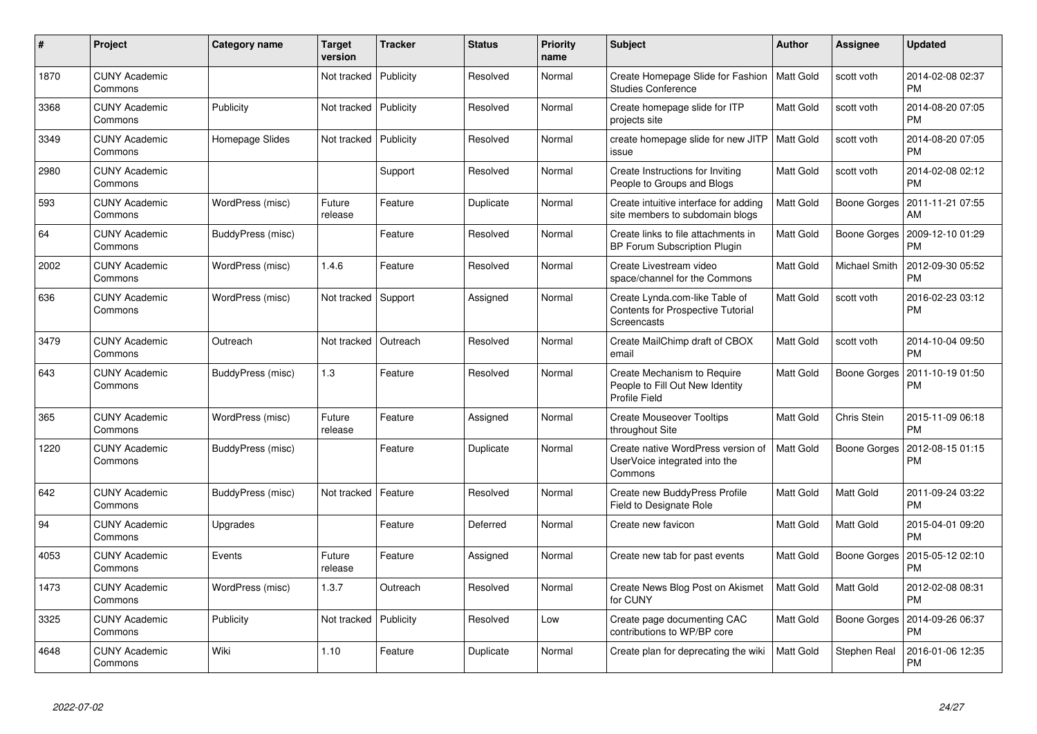| $\#$ | Project                         | Category name     | <b>Target</b><br>version | <b>Tracker</b> | <b>Status</b> | <b>Priority</b><br>name | <b>Subject</b>                                                                            | Author           | Assignee      | <b>Updated</b>                        |
|------|---------------------------------|-------------------|--------------------------|----------------|---------------|-------------------------|-------------------------------------------------------------------------------------------|------------------|---------------|---------------------------------------|
| 1870 | <b>CUNY Academic</b><br>Commons |                   | Not tracked              | Publicity      | Resolved      | Normal                  | Create Homepage Slide for Fashion<br><b>Studies Conference</b>                            | <b>Matt Gold</b> | scott voth    | 2014-02-08 02:37<br><b>PM</b>         |
| 3368 | <b>CUNY Academic</b><br>Commons | Publicity         | Not tracked              | Publicity      | Resolved      | Normal                  | Create homepage slide for ITP<br>projects site                                            | Matt Gold        | scott voth    | 2014-08-20 07:05<br><b>PM</b>         |
| 3349 | <b>CUNY Academic</b><br>Commons | Homepage Slides   | Not tracked              | Publicity      | Resolved      | Normal                  | create homepage slide for new JITP<br>issue                                               | Matt Gold        | scott voth    | 2014-08-20 07:05<br><b>PM</b>         |
| 2980 | <b>CUNY Academic</b><br>Commons |                   |                          | Support        | Resolved      | Normal                  | Create Instructions for Inviting<br>People to Groups and Blogs                            | Matt Gold        | scott voth    | 2014-02-08 02:12<br><b>PM</b>         |
| 593  | <b>CUNY Academic</b><br>Commons | WordPress (misc)  | Future<br>release        | Feature        | Duplicate     | Normal                  | Create intuitive interface for adding<br>site members to subdomain blogs                  | Matt Gold        |               | Boone Gorges   2011-11-21 07:55<br>AM |
| 64   | <b>CUNY Academic</b><br>Commons | BuddyPress (misc) |                          | Feature        | Resolved      | Normal                  | Create links to file attachments in<br>BP Forum Subscription Plugin                       | Matt Gold        | Boone Gorges  | 2009-12-10 01:29<br><b>PM</b>         |
| 2002 | <b>CUNY Academic</b><br>Commons | WordPress (misc)  | 1.4.6                    | Feature        | Resolved      | Normal                  | Create Livestream video<br>space/channel for the Commons                                  | Matt Gold        | Michael Smith | 2012-09-30 05:52<br><b>PM</b>         |
| 636  | <b>CUNY Academic</b><br>Commons | WordPress (misc)  | Not tracked Support      |                | Assigned      | Normal                  | Create Lynda.com-like Table of<br><b>Contents for Prospective Tutorial</b><br>Screencasts | Matt Gold        | scott voth    | 2016-02-23 03:12<br><b>PM</b>         |
| 3479 | <b>CUNY Academic</b><br>Commons | Outreach          | Not tracked              | Outreach       | Resolved      | Normal                  | Create MailChimp draft of CBOX<br>email                                                   | Matt Gold        | scott voth    | 2014-10-04 09:50<br><b>PM</b>         |
| 643  | CUNY Academic<br>Commons        | BuddyPress (misc) | 1.3                      | Feature        | Resolved      | Normal                  | Create Mechanism to Require<br>People to Fill Out New Identity<br>Profile Field           | Matt Gold        | Boone Gorges  | 2011-10-19 01:50<br><b>PM</b>         |
| 365  | <b>CUNY Academic</b><br>Commons | WordPress (misc)  | Future<br>release        | Feature        | Assigned      | Normal                  | <b>Create Mouseover Tooltips</b><br>throughout Site                                       | Matt Gold        | Chris Stein   | 2015-11-09 06:18<br><b>PM</b>         |
| 1220 | <b>CUNY Academic</b><br>Commons | BuddyPress (misc) |                          | Feature        | Duplicate     | Normal                  | Create native WordPress version of<br>UserVoice integrated into the<br>Commons            | Matt Gold        | Boone Gorges  | 2012-08-15 01:15<br><b>PM</b>         |
| 642  | <b>CUNY Academic</b><br>Commons | BuddyPress (misc) | Not tracked              | Feature        | Resolved      | Normal                  | Create new BuddyPress Profile<br>Field to Designate Role                                  | Matt Gold        | Matt Gold     | 2011-09-24 03:22<br><b>PM</b>         |
| 94   | <b>CUNY Academic</b><br>Commons | Upgrades          |                          | Feature        | Deferred      | Normal                  | Create new favicon                                                                        | Matt Gold        | Matt Gold     | 2015-04-01 09:20<br><b>PM</b>         |
| 4053 | <b>CUNY Academic</b><br>Commons | Events            | Future<br>release        | Feature        | Assigned      | Normal                  | Create new tab for past events                                                            | Matt Gold        | Boone Gorges  | 2015-05-12 02:10<br><b>PM</b>         |
| 1473 | <b>CUNY Academic</b><br>Commons | WordPress (misc)  | 1.3.7                    | Outreach       | Resolved      | Normal                  | Create News Blog Post on Akismet<br>for CUNY                                              | Matt Gold        | Matt Gold     | 2012-02-08 08:31<br><b>PM</b>         |
| 3325 | <b>CUNY Academic</b><br>Commons | Publicity         | Not tracked              | Publicity      | Resolved      | Low                     | Create page documenting CAC<br>contributions to WP/BP core                                | Matt Gold        | Boone Gorges  | 2014-09-26 06:37<br><b>PM</b>         |
| 4648 | <b>CUNY Academic</b><br>Commons | Wiki              | 1.10                     | Feature        | Duplicate     | Normal                  | Create plan for deprecating the wiki                                                      | Matt Gold        | Stephen Real  | 2016-01-06 12:35<br>PM                |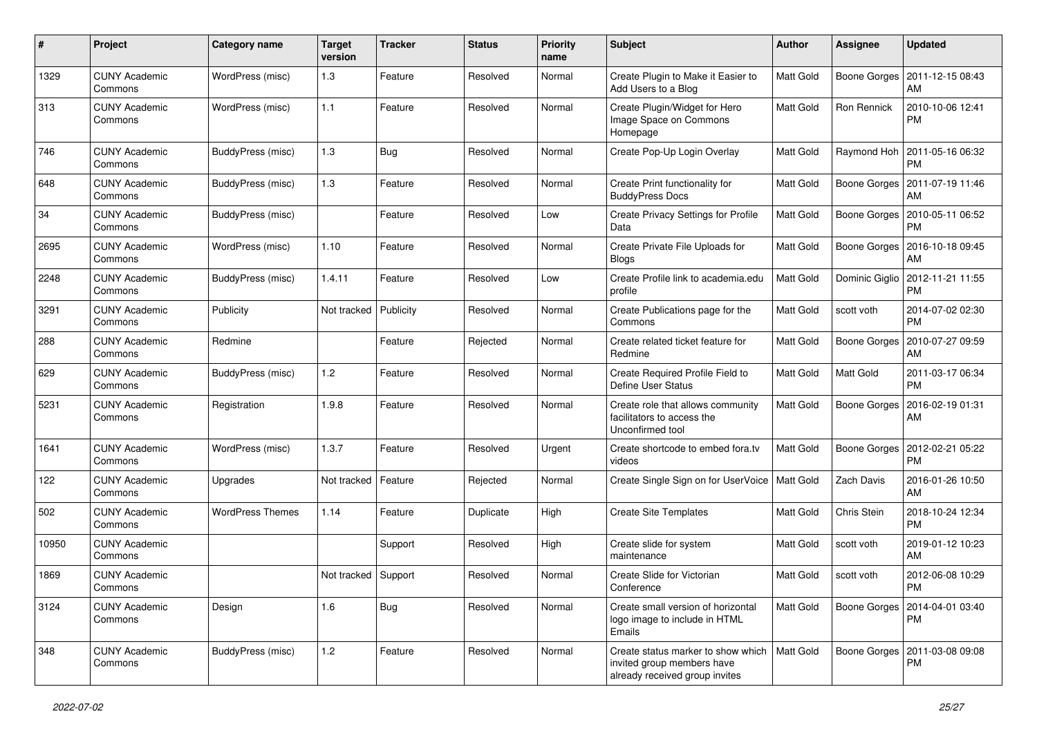| $\pmb{\#}$ | Project                         | <b>Category name</b>    | <b>Target</b><br>version | <b>Tracker</b> | <b>Status</b> | <b>Priority</b><br>name | <b>Subject</b>                                                                                     | Author           | Assignee     | <b>Updated</b>                                 |
|------------|---------------------------------|-------------------------|--------------------------|----------------|---------------|-------------------------|----------------------------------------------------------------------------------------------------|------------------|--------------|------------------------------------------------|
| 1329       | <b>CUNY Academic</b><br>Commons | WordPress (misc)        | 1.3                      | Feature        | Resolved      | Normal                  | Create Plugin to Make it Easier to<br>Add Users to a Blog                                          | Matt Gold        | Boone Gorges | 2011-12-15 08:43<br>AM                         |
| 313        | <b>CUNY Academic</b><br>Commons | WordPress (misc)        | $1.1$                    | Feature        | Resolved      | Normal                  | Create Plugin/Widget for Hero<br>Image Space on Commons<br>Homepage                                | Matt Gold        | Ron Rennick  | 2010-10-06 12:41<br><b>PM</b>                  |
| 746        | <b>CUNY Academic</b><br>Commons | BuddyPress (misc)       | 1.3                      | <b>Bug</b>     | Resolved      | Normal                  | Create Pop-Up Login Overlay                                                                        | Matt Gold        | Raymond Hoh  | 2011-05-16 06:32<br><b>PM</b>                  |
| 648        | <b>CUNY Academic</b><br>Commons | BuddyPress (misc)       | 1.3                      | Feature        | Resolved      | Normal                  | Create Print functionality for<br><b>BuddyPress Docs</b>                                           | Matt Gold        | Boone Gorges | 2011-07-19 11:46<br>AM                         |
| 34         | <b>CUNY Academic</b><br>Commons | BuddyPress (misc)       |                          | Feature        | Resolved      | Low                     | Create Privacy Settings for Profile<br>Data                                                        | Matt Gold        | Boone Gorges | 2010-05-11 06:52<br><b>PM</b>                  |
| 2695       | <b>CUNY Academic</b><br>Commons | WordPress (misc)        | 1.10                     | Feature        | Resolved      | Normal                  | Create Private File Uploads for<br><b>Blogs</b>                                                    | Matt Gold        | Boone Gorges | 2016-10-18 09:45<br>AM                         |
| 2248       | <b>CUNY Academic</b><br>Commons | BuddyPress (misc)       | 1.4.11                   | Feature        | Resolved      | Low                     | Create Profile link to academia.edu<br>profile                                                     | Matt Gold        |              | Dominic Giglio   2012-11-21 11:55<br><b>PM</b> |
| 3291       | <b>CUNY Academic</b><br>Commons | Publicity               | Not tracked              | Publicity      | Resolved      | Normal                  | Create Publications page for the<br>Commons                                                        | <b>Matt Gold</b> | scott voth   | 2014-07-02 02:30<br><b>PM</b>                  |
| 288        | <b>CUNY Academic</b><br>Commons | Redmine                 |                          | Feature        | Rejected      | Normal                  | Create related ticket feature for<br>Redmine                                                       | Matt Gold        | Boone Gorges | 2010-07-27 09:59<br>AM                         |
| 629        | <b>CUNY Academic</b><br>Commons | BuddyPress (misc)       | $1.2$                    | Feature        | Resolved      | Normal                  | Create Required Profile Field to<br>Define User Status                                             | Matt Gold        | Matt Gold    | 2011-03-17 06:34<br><b>PM</b>                  |
| 5231       | <b>CUNY Academic</b><br>Commons | Registration            | 1.9.8                    | Feature        | Resolved      | Normal                  | Create role that allows community<br>facilitators to access the<br>Unconfirmed tool                | Matt Gold        | Boone Gorges | 2016-02-19 01:31<br>AM                         |
| 1641       | <b>CUNY Academic</b><br>Commons | WordPress (misc)        | 1.3.7                    | Feature        | Resolved      | Urgent                  | Create shortcode to embed fora.tv<br>videos                                                        | Matt Gold        | Boone Gorges | 2012-02-21 05:22<br><b>PM</b>                  |
| 122        | <b>CUNY Academic</b><br>Commons | Upgrades                | Not tracked              | Feature        | Rejected      | Normal                  | Create Single Sign on for UserVoice   Matt Gold                                                    |                  | Zach Davis   | 2016-01-26 10:50<br>AM                         |
| 502        | <b>CUNY Academic</b><br>Commons | <b>WordPress Themes</b> | 1.14                     | Feature        | Duplicate     | High                    | <b>Create Site Templates</b>                                                                       | Matt Gold        | Chris Stein  | 2018-10-24 12:34<br><b>PM</b>                  |
| 10950      | <b>CUNY Academic</b><br>Commons |                         |                          | Support        | Resolved      | High                    | Create slide for system<br>maintenance                                                             | Matt Gold        | scott voth   | 2019-01-12 10:23<br>AM                         |
| 1869       | <b>CUNY Academic</b><br>Commons |                         | Not tracked Support      |                | Resolved      | Normal                  | Create Slide for Victorian<br>Conference                                                           | Matt Gold        | scott voth   | 2012-06-08 10:29<br>PM                         |
| 3124       | <b>CUNY Academic</b><br>Commons | Design                  | 1.6                      | Bug            | Resolved      | Normal                  | Create small version of horizontal<br>logo image to include in HTML<br>Emails                      | Matt Gold        | Boone Gorges | 2014-04-01 03:40<br>PM                         |
| 348        | <b>CUNY Academic</b><br>Commons | BuddyPress (misc)       | 1.2                      | Feature        | Resolved      | Normal                  | Create status marker to show which<br>invited group members have<br>already received group invites | Matt Gold        |              | Boone Gorges   2011-03-08 09:08<br>PM          |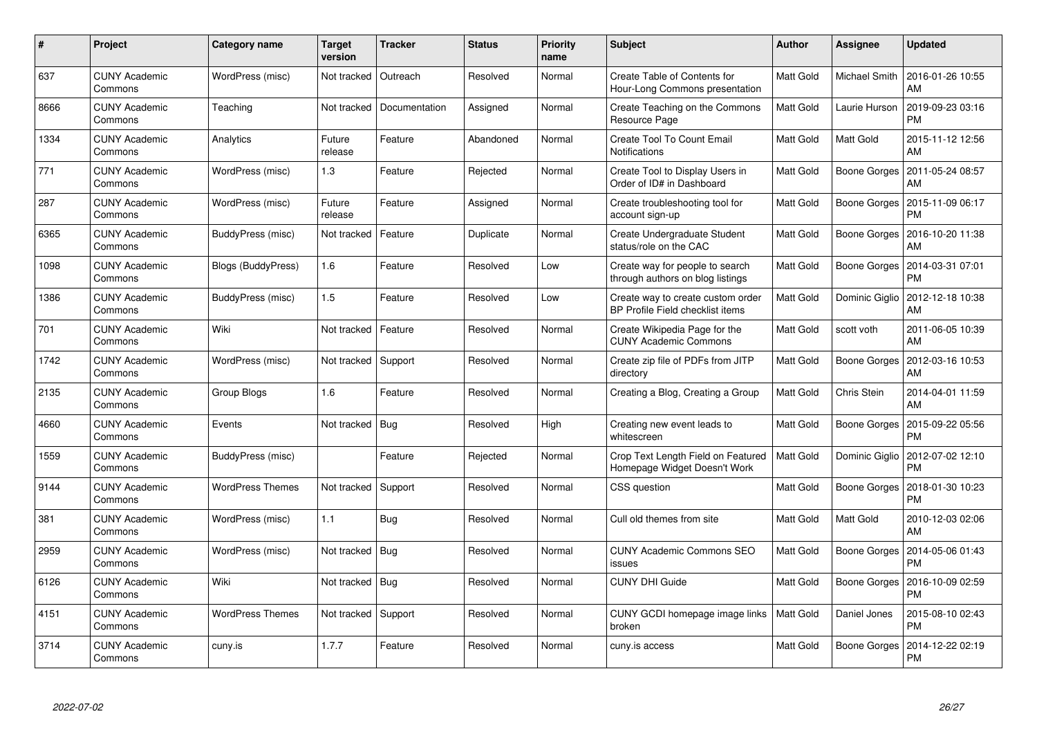| #    | Project                         | <b>Category name</b>      | <b>Target</b><br>version | <b>Tracker</b> | <b>Status</b> | <b>Priority</b><br>name | <b>Subject</b>                                                        | <b>Author</b>    | Assignee       | <b>Updated</b>                |
|------|---------------------------------|---------------------------|--------------------------|----------------|---------------|-------------------------|-----------------------------------------------------------------------|------------------|----------------|-------------------------------|
| 637  | <b>CUNY Academic</b><br>Commons | WordPress (misc)          | Not tracked              | Outreach       | Resolved      | Normal                  | Create Table of Contents for<br>Hour-Long Commons presentation        | Matt Gold        | Michael Smith  | 2016-01-26 10:55<br>AM        |
| 8666 | <b>CUNY Academic</b><br>Commons | Teaching                  | Not tracked              | Documentation  | Assigned      | Normal                  | Create Teaching on the Commons<br>Resource Page                       | Matt Gold        | Laurie Hurson  | 2019-09-23 03:16<br>PM        |
| 1334 | <b>CUNY Academic</b><br>Commons | Analytics                 | Future<br>release        | Feature        | Abandoned     | Normal                  | Create Tool To Count Email<br>Notifications                           | Matt Gold        | Matt Gold      | 2015-11-12 12:56<br>AM        |
| 771  | <b>CUNY Academic</b><br>Commons | WordPress (misc)          | 1.3                      | Feature        | Rejected      | Normal                  | Create Tool to Display Users in<br>Order of ID# in Dashboard          | Matt Gold        | Boone Gorges   | 2011-05-24 08:57<br>AM        |
| 287  | <b>CUNY Academic</b><br>Commons | WordPress (misc)          | Future<br>release        | Feature        | Assigned      | Normal                  | Create troubleshooting tool for<br>account sign-up                    | <b>Matt Gold</b> | Boone Gorges   | 2015-11-09 06:17<br><b>PM</b> |
| 6365 | <b>CUNY Academic</b><br>Commons | BuddyPress (misc)         | Not tracked              | Feature        | Duplicate     | Normal                  | Create Undergraduate Student<br>status/role on the CAC                | Matt Gold        | Boone Gorges   | 2016-10-20 11:38<br>AM        |
| 1098 | <b>CUNY Academic</b><br>Commons | <b>Blogs (BuddyPress)</b> | 1.6                      | Feature        | Resolved      | Low                     | Create way for people to search<br>through authors on blog listings   | Matt Gold        | Boone Gorges   | 2014-03-31 07:01<br>PM        |
| 1386 | <b>CUNY Academic</b><br>Commons | BuddyPress (misc)         | 1.5                      | Feature        | Resolved      | Low                     | Create way to create custom order<br>BP Profile Field checklist items | Matt Gold        | Dominic Giglio | 2012-12-18 10:38<br>AM        |
| 701  | <b>CUNY Academic</b><br>Commons | Wiki                      | Not tracked              | Feature        | Resolved      | Normal                  | Create Wikipedia Page for the<br><b>CUNY Academic Commons</b>         | Matt Gold        | scott voth     | 2011-06-05 10:39<br>AM        |
| 1742 | <b>CUNY Academic</b><br>Commons | WordPress (misc)          | Not tracked              | Support        | Resolved      | Normal                  | Create zip file of PDFs from JITP<br>directory                        | Matt Gold        | Boone Gorges   | 2012-03-16 10:53<br>AM        |
| 2135 | <b>CUNY Academic</b><br>Commons | Group Blogs               | 1.6                      | Feature        | Resolved      | Normal                  | Creating a Blog, Creating a Group                                     | Matt Gold        | Chris Stein    | 2014-04-01 11:59<br>AM        |
| 4660 | <b>CUNY Academic</b><br>Commons | Events                    | Not tracked              | Bug            | Resolved      | High                    | Creating new event leads to<br>whitescreen                            | Matt Gold        | Boone Gorges   | 2015-09-22 05:56<br>РM        |
| 1559 | <b>CUNY Academic</b><br>Commons | BuddyPress (misc)         |                          | Feature        | Rejected      | Normal                  | Crop Text Length Field on Featured<br>Homepage Widget Doesn't Work    | <b>Matt Gold</b> | Dominic Giglio | 2012-07-02 12:10<br>PM        |
| 9144 | <b>CUNY Academic</b><br>Commons | <b>WordPress Themes</b>   | Not tracked              | Support        | Resolved      | Normal                  | CSS question                                                          | <b>Matt Gold</b> | Boone Gorges   | 2018-01-30 10:23<br>PM        |
| 381  | <b>CUNY Academic</b><br>Commons | WordPress (misc)          | 1.1                      | Bug            | Resolved      | Normal                  | Cull old themes from site                                             | Matt Gold        | Matt Gold      | 2010-12-03 02:06<br>AM        |
| 2959 | <b>CUNY Academic</b><br>Commons | WordPress (misc)          | Not tracked              | Bug            | Resolved      | Normal                  | <b>CUNY Academic Commons SEO</b><br>issues                            | Matt Gold        | Boone Gorges   | 2014-05-06 01:43<br><b>PM</b> |
| 6126 | <b>CUNY Academic</b><br>Commons | Wiki                      | Not tracked              | Bug            | Resolved      | Normal                  | <b>CUNY DHI Guide</b>                                                 | Matt Gold        | Boone Gorges   | 2016-10-09 02:59<br>PM        |
| 4151 | <b>CUNY Academic</b><br>Commons | <b>WordPress Themes</b>   | Not tracked              | Support        | Resolved      | Normal                  | CUNY GCDI homepage image links<br>broken                              | <b>Matt Gold</b> | Daniel Jones   | 2015-08-10 02:43<br>PM        |
| 3714 | <b>CUNY Academic</b><br>Commons | cuny.is                   | 1.7.7                    | Feature        | Resolved      | Normal                  | cuny.is access                                                        | Matt Gold        | Boone Gorges   | 2014-12-22 02:19<br>PM        |